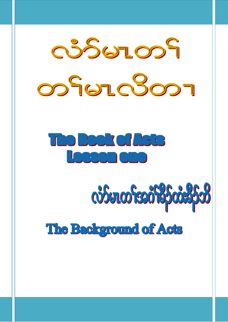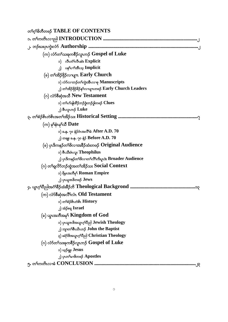| တ <sup>ှ</sup> လ်ု <sup>ရွ</sup> တိတဖဉ် TABLE OF CONTENTS                                            |
|------------------------------------------------------------------------------------------------------|
|                                                                                                      |
|                                                                                                      |
| (က) လံာ်တ <sup>ှ</sup> သးခုကစိဉ်လူးက <b>် Gospel of Luke</b>                                         |
| o) လီးတံ <sup>ရ</sup> လီးဆဲး Explicit                                                                |
| ၂) ပန <sup>္</sup> ပြက်အီးသ္ Implicit                                                                |
| (ခ) တ <sup>ှ</sup> အိ $\beta$ ဖို $\beta$ လ႑ပျ $\pi$ Early Church                                    |
| ၁) လံာ်လကာဉ်တ <sup>ှ</sup> ကွဲးအီးလၫစု <b>Manuscripts</b>                                            |
| ၂) တ <sup>၎</sup> အိဉ်ဖှိဉ် <sup>8</sup> ဉ်န5လာပျπတဖဉ် Early Church Leaders                          |
| (o) လံာ်စီဆုံအသီ New Testament                                                                       |
| ၁) တ႑်ဟ်ဖျ်ထိဉ်ဘဉ်ဒံ့းဘဉ်ဒွါတဖဉ် Clues                                                               |
| ျှ) စီးလူးက $\beta$ Luke                                                                             |
| ၃. တၫ်စံဉိစိၤတဲစိၤအတၫ်အိဉ်သး Historical Setting ………………………………………………………………………………………                    |
| $(\infty)$ မှS်နီးမှSသီ $\mathbf{Date}$                                                              |
| ၁) ခ.န. ၇၀ နံဉိဝံၤအလိ််််ခံ $\rm{After\, A.D.\, 70}$                                                 |
| ၂) တချူး ခ.န. ၇၀ နံ $\bm{\beta}$ $\bm{\mathrm{Before}}\,\bm{\mathrm{A.D.}}$ $\bm{70}$                |
| (ခ) ပုၤဒိကနဉ်တ <sup>၎</sup> ဖိလၢအခ်ိဳဉ်ထံးတဖဉ် <b>Original Audience</b>                              |
| ၁) စီးသီးဖံးလူး Theophilus                                                                           |
| ၂) ပုၤ <sup>ဌ</sup> ကနဉ်တ <sup>၎</sup> ဖိလၫတ <sup>၎</sup> လိ <sup>ု</sup> ကိႏပူးဒဲး Broader Audience |
| (ဂ) တ႑ရလိုာ်ဘဉ်ထွဲအတ႑်အိဉ်သး $Social$ $\emph{Context}$                                               |
| ၁) ရိမ္နာအဘီမှ <sup>င္</sup> Roman Empire                                                            |
| ၂) ပုၤယူအဖိတဖဉ် <b>Jews</b>                                                                          |
|                                                                                                      |
| (က) လံာစီဆုံအလိ <sup>ု</sup> လံၤ <b>Old Testament</b>                                                |
| ၁) တ <sup>ှ</sup> စ်ဉိစိၤတဲစိၤ $\overline{\text{History}}$                                           |
| ၂) အံ့ဉ်စရ္ Israel                                                                                   |
| (ခ) ယွာအဘိအမှ <sup>ငှ</sup> Kingdom of God                                                           |
| ၁) ပုက္ခအဖိအယွာဂ္ ါတ္ပါ Jewish Theology                                                              |
| ၂) ဘျာတ <sup>5</sup> စီးယိၤဟ <b>်</b> John the Baptist                                               |
| ၃) ခရံာ တော့က်ပြည် Christian Theology                                                                |
| (ဂ) လံာ်တ <sup>ှ</sup> သးခုကစိဉ်လူးကဉ် Gospel of Luke                                                |
| ၁) ယူဉ်ရူး <b>Jesus</b>                                                                              |
| ၂) ပုၤတ <sup>၎</sup> မၢ&တဖဉ် <b>Apostles</b>                                                         |
| 9 <b>.</b> 9                                                                                         |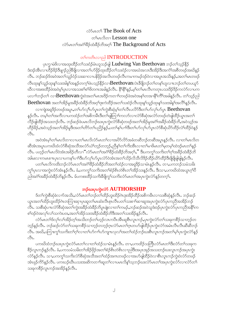# လံว์ยาတ<sup>ุ</sup> The Book of Acts တ<sup>ှ</sup>မာလိတ္ဍ Lesson one လံာ်မာတၫ်အဂံ<sup>ရှ</sup>ဦဉ်ထံးနိ<sub></sub>ဉ်ဘိအဝှ<sup>ငှ</sup> The Background of Acts

# တ<sup>ှ</sup>ကတိၤလၫည္ပါ **INTRODUCTION**

ပုက္ခၫမဲ<sup>8</sup>လၫအထုးထိဉ်တၫ်သးဝံဉ်မံၤဟူသဉ်ဖျံ Ludwing Van Beethovan ဘဉ်တၫ်သူဉ်နိုဉ် ဒံးဒဉ်အီၤလၢဟိဉ်<sup>႙ှ</sup>ဉ်ဒိဖျာဉ်ညါဒိဖျိလၢအတၫ်ဟ်ဖိုဉ်ထုးထိဉ်တၫ်သးဝံဉ်လၢအဃံအလၤဒိးအိဉ်ဒိးအကံၤ်အစိတဖဉ်အဃိန္ဉ လီၤႉ ဘဉ်ဆဉ်ဒ်အဝဲအတ ်သူဉ်ဝံဉ်သးဆၢလၢပန်ဖိုဉ်အလိၤတဖဉ်လီၤကမၢကမဉ်ဒဉ်ဝဲလၢအပူၤအသိးနဉ်ႇအတ ်မၤတဖဉ် လီးထုးနှ်သူဉ်ထုးနှ်သးအါနှ်အနှဉ်တက့်ပြဲပသုဉ်နိုဉ်လ**ာBeethovan**လဲၤဒီဖျိဘဉ်တၢ်တန<sup>ှ</sup>ဟူလπဘဉ်တၢ်တပယူဉ် ဃီလၢအစးထိဉ်ဖဲအ၀ဲမှ ်ပုၤလၢအသးစၫ်စၫ်ဖိတဂၤအခါနဉ်လီၤႉ နိ<sup>ု</sup>နိ<sup>ု</sup>နှဉ်,မှၫ်တၫ်မၤလီၤကတုၤပသးဒိဉ်ဒိဉ်ကလဲာ်လၢပက ပလၢႝဘဉ်တ ်လၢ**Beethovan**ကွဲးဝဲအတ ်မၤအဒိဉ်ကတၢါတဖဉ်ဖဲအဝဲအန ်တအၫနိ<sup>႖</sup>ကိ်ိၢအခါနဉ်လိၤႉတၫ်သွဉ်ညါ Beethovan အတၫ်အိဉ်မှုအခိဉ်ထံးခိဉ်ဘိအဂ္ဂါဒုးကဲထိဉ်အတ႑်သးဝံဉ်လီၤထုးန္1်သူဉ်ထုးနှ1်သးအါန္1်အလိါန္နဉ်လီၤ.

လၫကျဲအရှုဒိဉ်တဖဉ်အပူး,တၫ်ပာ်လှၤ်ပာ်ပွာတ႑်ကွဲးစိဆုံမှုၤ်တ႑်လီၤပလိဉ်ဒီးတ႑်ပာ်လှၤ်ပာ်ပွား Beethovan နှဉ်လီၤ. တမ့်ၢိတ်၊အကိလၤပကထံဉ်တၫ်အစိကမ်ိဳးဒီးတၢ်ဖျံတြၫ်ကလာ်လၤလံာ်စိဆုံအလံာ်တဖဉ်တဲဖျံထိဉ်ယွာအတ႑် လိဉ်ဖျါထိဉ်အသးဘဉ်လိၤႉ ဘဉ်ဆဉ်ဖဲပမၤလိဘဉ်ဃးပုၤကွဲးလံာ်စိဆုံတဖဉ်အတၫ်အိဉ်မှုအငံ္ဂါအခ်ိဉ်ထံးခ်ိဉ်ဘိႇအဝဲသူဉ်အ ဟိဉ်နိဉ်,အဝဲသွဉ်အတၫ်အိဉ်မူဒီးအတ႑်တိဉ်တ႑်ပည်ဉ်နှဉ်,ပတ႑်နှၤပ႑ါဒီးတ႑်ပာ်လှၤ်ဟ်ပုၤလံဉ်စီဆုံယိဉ်ထိဉ်လဲြထိဉ်ဝဲနှဉ်  $\mathcal{S}_1$ .

အဝဲအံၤမ္โတ ်မၤလိတၢလၢပတ ်မၤလိလံာ်မၤတ ်လၢအပိာ်လိာ်အခံတဆီဘဉ်တဆီအပူၤန္နဉ်လီၤ. လၢတ ်မၤလိတ ဆိုအံၤအပူၤပကဃိထံလံာ်စီဆုံအသိအလံာ်ယဲၫ်ဘ့ဉ်တဘ့ဉ်ႇညိနှၤ်တၤ်ကိးအိၤလၢတၤ်မၢဖိမၤတၤ်မှတမ့ၤ်ထဲဒဉ်မၤတၤ်နဉ် လီၤ. ပဟ္နဉ်တၫ်မၤလိဝဲအံၤအခိဉ်တီလ႑ံံလံဉ်မၤတ႑်အငံ႑်နိဉ်ထံးနိဉ်ဘိအဂ္န္]," ဒီးပကက္ဂၤ်သက်းတ႑်ဂ္ဥအနိဉ်ထံးနိဉ်ဘိ အါမးလาကမာစπပုာလာပကန1်ပၢါဒိီးဟ်လှါဟ်ပုာလံာ်ဝဲအံာအတ1်သိဉ်လိသိလိဒိဉ်ထိဉ်ယိဉ်ထိဉ်ဒီးဖြံဖြိုဖျ်ရှုနှဉ်လီာ. ပတ1်မၤလိကထိးဘဉ်လံာ်မၤတ1်အငံ1်ခိဉ်ထံးခိဉ်ဘိအတ1်ထံဉ်လၢအရှဒိဉ်သၢမံၤန္ဉာ်လီၤႉ တၢႇပကဘဉ်သမံသမိး ကွှျပုလာအကွဲးလံာ်အံၤန္နဉ်လီၤ. ခံ,ပကကွှျသကိုးအတျစံဉ်စိၤတဲစိၤတျအိဉ်သးန္ဉာလီၤ. ဒီးသ႑,ပကဃိထံအယွၤဂ့ါပီ ညါအဂံ<sup>ရ</sup>အခ်ိဉ်ထံးခိဉ်ဘိနဉ်လိၤႉ မ်ပကစးထိဉ်သက်းခီဖျိကွ<sup>ရ</sup>သက်းလံာ်မၤတ<sup>ရ</sup>အပုၤကွဲးလံာ်နဉ်တက့<sup>ရှ</sup>့

## ဘဉိဃးပုၤကွဲးလံ5 AUTHORSHIP

ဒ်တၫ်ကွဲးစီဆုံခဲလၫာ်အသိႏႇလံာ်မၤတၫ်ဘဉ်တ႑်ထိဉ်ဟူးထိဉ်ဂဲၤဒုးအိဉ်ထိဉ်အစိကမိၤလ႑သးစီဆုံနှဉ်လိၤႉ ဘဉ်ဆဉ် ယ္ဇာအတၫ်ထိဉ်ဟူးထိဉ်ဂဲၤတကြၤးဆု၊ပုၤဆူတ႑်မာဆံးလိၤစုၤလိၤပတ႑်သးစ႑ာ်ဆာဆူအပုၤက္ပဲးလံာ်ပုၤကညီအအိဉ်ဘဉ် လီၤ. သးစီဆုံပπလံာ်စီဆုံအတၫ်ကွဲးအခ်ိဳဉ်ထံးခ်ိဳဉ်ဘိပူးဖျဲးလၢတၫ်ကမဉ်ႇဘဉ်ဆဉ်အဝဲသူဒံးဒဉ်ပုၤကွဲးလံာ်ပုၤကညီအနိံၤ်က စၢ်ဒဉ်ဝဲအလှၤ်လၤ်သကဲးပ၀း,အတၤ်အိဉ်သးအခိဉ်ထံးခိဉ်ဘိဒီးအတၤ်သးအိဉ်နဉ်လီး.

လံာ်မၤတၫ်ဒ်လှၤ်လၢ်အိဉ်တ့ၤ်အသိးဘဉ်တၤ်ဟ့ဉ်လၤကပိၤအိၤဆူစီၤလူၤကဉ်ႇပုၤကွဲးလံာ်တၤ်သးခုကစိဉ်သၢဘ့ဉ်တ ဘ့ဉ်နဉ်လီၤႉ ဘဉ်ဆဉ်လံာ်တၫ်သးခုကစိဉ်သၢဘ့ဉ်တဘ့ဉ်ဂ္ $\mathfrak a$ လံာ်မ $\mathfrak a$ တ်ဂု $\mathfrak a$ တပာ်ဖျါထိဉ်ပှ $\mathfrak a$ ကွဲးလံာ်အမံ $\mathfrak a$ လီၤဆီဆီဘဉ် လိၤ. အဃိႇပကြၢးကွ<sup>ရ</sup>သကိႏတ<sup>ရ</sup>ဂ္ဂါလၢတၫ်ဟ်ဂ႑ါဟ်ကျπလုလၫ်အတၫ်ထံဉ်ဘဉ်ဃးစီၤလူၤကဉ်အတ႑်မ့<sup>၎</sup>ပုၤကွဲးလံာ်နဉ်  $\mathcal{C}_{1}$ 

ပကဃိထံဘဉ်ဃးပုၤကွဲးလံာ်မၤတၫ်လၢတၫ်ထံဉ်သၢမံၤန္နဉ်လီၤႉ တၢႇပကထိဉ်သတြိၤလံာ်မၤတၢ်ဒီးလံာ်တၫ်သးခုက စိဉ်လူၤကဉ်နဉ်လီၤ. ခံ,ပကသမံသမိးတၫ်အိဉ်ဖိုဉ်အတၫ်စံဉ်စိၤတဲစိၤလၢညါဒိီးအပုၤအုဉ်အသးဘဉ်ဃးလူၤကဉ်အပုၤကွဲး လံာ်နဉ်လီၤႉ သ႑ႇပကကွ¶်သကိဴးလံာ်စီဆုံအသိအတ¶်ထံဉ်အဂၤတဖဉ်လၢအပာ်ဖျါထိဉ်ဝဲလၢစီၤလူၤကဉ်ကွဲးဝဲလံာ်တဖဉ် အံၤဖုဉ်ကိ9်နဉ်လီၤ. ပကဃဉ်ဃိၤပသးအဆိကတ႑ာ်ဆူတ႑်လၢပမၤလိန္1်သူဘဉ်ဃးလံ9်မၤတ႑်အပုၤကွဲးလံ9်လၢလံ9်တ႑် သးခုကစိဉ်လူၤကဉ်အအိဉ်နဉ်လီၤ.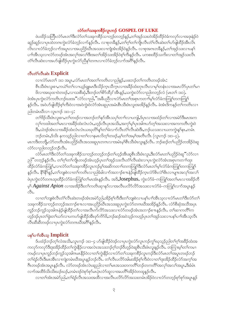#### လံာ်တ<sup>ှ</sup>သးခုကစိဉ်လူးကဉ်  $\bf GOSPEL\,OF\,LUKE$

ဖဲပထိဉ်သတြိုလံဉ်မၤတၫ်ဒီးလံဉ်တ႑်သးခုကစိဉ်သ႑ဘူဉ်တဘူဉ်နှဉ်ႇတ႑်အှဉ်သးဟဲအိဉ်ထိဉ်ဝဲခံကလှဉ်လ႑အဒုးနဲ့ဉ်ဝဲ ဆူဉ်ဆူဉ်လၢပုၤထဲတဂၤကွဲးလံာ်ခံဘ့ဉ်လၢာ်နှဉ်လီၤ. လၢစုတခ်ိန္ဉ9,တၫ်ဂ့ၫ်တ႑်ကျိုၤလီၤတံ႑်လီၤဆဲးတ႑်ပာ်ဖျါထိဉ်အီၤလိၤ လိၤလၢလံာ်ခံဘူဉ်လၫာ်အပူၤလၢအပည်ဉ်ဃီၤအသးလၢကျဲအံၤအိဉ်ဝဲနဉ်လိၤႉ လၢစုအကတခ်ိန္ဉ်ႇတၫအုဉ်သးလၢပန႑် ပၢါအိၤသ့လၢလံာ်တဖဉ်အံၤအလှါအလၢိဒိီးအတၢ်အိဉ်သးအိဉ်ဝဲစ့ါကီးနဉ်လီၤ. ပကစးထိဉ်သကိးလၢတၢ်အှဉ်သးလီၤ တံ်လီၤဆဲးလၢအဟ်ဖျါထိဉ်ပုၤကွဲးလံဉ်ညီနှၤ်တဂၤလၢလံဉ်ခံဘုဉ်လၢာ်အဂိါနှဉ်လီၤ.

## လီးတံ<sup>ှ</sup>လီးဆဲး Explicit

လၢလံာ်မၤတ႑် ၁း၁ အပူၤ,လံာ်မၤတ႑်အတ႑်ကတိၤလ႑ညါနဉ်,ပဖးဘဉ်တ႑်ကတိၤတဖဉ်အံၤ:

စီၤသီးဖံၤလူးဧၢ,ကယဲ်ျတၫ်လၢယ့ဉ်ရူူးမၤဒီးသိဉ်ကူၤသိက္ၤလၢအခ်ိဉ်ထံးတုၤလိၤလၢမှၢ်တနံၤလၢအမၤလိဉ်ပုၤတ႑်မ႑ ဖိလၢအၰထၢ၀ဲတဖဉ်ႇလၢသးစိဆုံႇဒိီးဘဉ်တၫ်စိ႒်ထိဉ ်အီၤန္၄ဲႇယက္ပဲးလံာ်လၢညါတဘ့ဉ်လံ (မၤတ႑် ၁း၁). ဖဲအံၤပုၤကဲ့းလံာ်ကတိၤဘဉ်ဃးအ ိံလံာ်လၢညါ, ''အခ်ဳပညီလၢလံာ်မၤတၫ်အစုၤကတ႑ၢိမ္၊်လံာ်ခံကတြူၫ်တကတြူၫ နှဉ်လီၤ. အဝဲဟ်ဖျါထိဉ်စ့်ကြီးဝဲလၢအဝဲကွဲးဝဲလံာ်အံၤဆူပုၤအမံၤစီၤသီးဖံၤလူးအအိဉ်နဉ်လီၤ. ခဲအံၤဒိကနဉ်တ႑်ကတိၤလၢ ညါတမံၤဃီလၢ လူၤကဉ် ၁း၁−၄:

တၫ်ဒိဉ်သီးဖံၤလူးဧၢႇတၫ်တဖဉ်လၢအဘဉ်တၫ်နာ်အိၤသပုၫ်တ႑ာ်လၢပကျါႇဒ်ပုၤလၢအထံဉ်တ႑်လၢအမဲာ်ဒီးမၤအက လှ်ကထါအတ}မၤလၢအခဵဉ်ထံးလံၤလံၤႇဟၟဉ်လီၤပုၤအသိးႇအကှ'်မ့ှ်ပုၤအါဂၤဟ်တ့ౕါအသးလၢအကကတိၤကဲ့းဝဲ ဒိး,ယဲဒဉ်အံၤလၢအခိဉ်ထံးလံၤလံၤယဃုတိၫ်နှၤ်တ႑်ခဲလ႑ာ်လီၤတံၤ်လီၤဆဲးဒိး,ဘဉ်ယသးလၢယကကွဲးနှၤ်န၊,တမံၤ ဘဉ်တမံၤႇဒ်သိး နကသ့ဉ်ညါလၢတၫ်လၢနမၤလိတ့ၫ်တဖဉ်ႇမ့ၢ်တၫ်အမှၤ်အတိၤလီၤ (လူၤကဉ် ၁း၁–၄).

မၤကဒီးတဘိုု့,လံာ်တတိၤအံၤပည်ဉ်ဃိၤအသးဆူပုၤတဂၤလၢအမံၤမ့ၢိစိၤသီးဖံၤလူးနှဉ်လိၤႉ ဘဉ်ဆဉ်တၫ်ပညိဉ်တအိဉ်ဝဲဆူ လံာ်လၫညါတဘုဉ်ဘဉ်လီၤ.

လံာ်မၤတၫ်ဒီးလံာ်တၫ်သးခုကစိဉ်သၢဘဲ့ဉ်တဘဲ့ဉ်ဘဉ်တၫ်ဟ့ဉ်အိၤဆူစီၤသီးဖံၤလူး,ဒီးလံာ်မၤတၫ်ပညိဉ်ဝဲဆူ်လံာ်လ႑ ညါ"တဘုဉ်နဉ်လီၤႉ တၫ်ဂ့ၫ်တ႑်ကျိုတဖဉ်အံၤဟ္ဥပုံဟာၫ်အှဉ်သးလီၤတံၫလီၤဆဲးလ႑ပုၤကွဲးလံာ်အံၤအစုၤကတ႑ာ်ထုး ထိဉ်လံာ်ခံကတြူၫ်ႇလၢလံာ်တ႑်သးခုကစိဉ်လူၤကဉ်မ့ှ်အဆိကတ႑ၢ်တကတြူၫ်ဒီးလံာ်မၤတ႑်မ့ှ်လံာ်ခံကတြူၫ်တကတြူ႑် န5်လီး. နိ<sup>ရန္န</sup>ြန်္ာတ်ဘူးစဲလၢတ<sup>ြ</sup>ကတိၤလၢညါခံခါလၫာ်အဘ႑ာ်စπနဲဉ်ဖျ်ထိဉ်က္ၤလံာ်&ၤလဲ<sup>၎</sup>&ၤလၢပျπအလှ၊အလ်၊ ဖဲ့ပုကွဲးလံာ်တကထုးထိဉ်လံာ်ခံကတြူၫ်တၫ်မာအံာနှဉ်လီၤ. အဒိ**,Josephus,** ကွဲးလံာ်ခံ–ကတြူၫ်အတ႑်မာလၢအခိဉ်တိ မ့် Against Apion လၫအအိဉ်ဒီးတၫ်ကတိၤဆုၫနၵ်လၫအလီၤပလိၵ်လိုအသးလၫလံာ်ခံ–ကတြူၫ်လၫာ်အပူၤန္နဉ်  $\circ$ <sup>8</sup>

လၢတၫ်ဘူးစဲလီၤတံၫ်လီၤဆဲးတဖဉ်အံၤအမဲာ်ညါႇအိဉ်စ့ၫ်ကီးဒီးတၫ်ဘူးစဲလၢပန႑်ပၢၢ်အိၤသ္စလၢလံာ်မၤတၫ်ဒီးလံာ်တ႑် သးခုကစိဉ်သၢဘ့ဉ်တဘ့ဉ်အဘၢဉ်စπလၢအပညိဉ်ဃိၤအသးဆူပုၤကွဲးလံာ်တဂၤဃိအအိဉ်နဉ်လိၤႉ လံာ်စိဆုံအသိအပုၤ ကူဉ်ဘဉ်ကူဉ်သူအါဂၤနဲ့ဉ်ဖျါထိဉ်တ႑်လၢအလိၤက်လိာ်အသးလၢလံာ်တဖဉ်အံၤအဘၢဉ်စ႑န္နဉ်လိၤ. တ႑်ဆၢကတိၤ်က ဟ့ဉ်ဒဉ်ပုၤတၫ်ခွဲးတ႑်ယာ်လၤပကပာ်ဖျါထိဉ်အိၤဖှာ်ကိာ်ဖိႇဘဉ်ဆဉ်အဝဲသူဉ်ကဟုဉ်ပုၤတ႑်အှဉ်သးလၤပန႑်ပ႑ါအိၤသူလီၤ လီၤဆီဆီတဖဉ်လၢပုၤကွဲးလံာ်တဂၤဃီအဂ်ိါနဉ်လီၤ.

## ပန**်ပ**ၢါအီးသူ Implicit

ဒ်ပထံဉ်ဘဉ်တဲ့ ်လံအသိး,လူၤကဉ် ၁း၁–၄ ဟ်ဖျါထိဉ်ဝဲဒဉ်လၢပုၤကွဲးလံာ်လူၤကဉ်ကွ ်ယုသူဉ်ညါတ ်ဂ့ ်အခိဉ်ထံးအ ကလုာ်ကလုာ်ဒီးဒုးအိဉ်ထိဉ်တၫ်ကွဲးနိဉ်လၢအလဲၤအသးဘဉ်ဂ့ၢ်ဘဉ်ဝိဟုဉ်ဝဲဆူစီၤသီးဖံၤလူးနှဉ်လီၤႉ တကြၢးမ့ၢ်တ႑်ကမ႑ ကမဉ်လၢပုၤကူဉ်ဘဉ်ကူဉ်သူအါဂၤမၤနိဉ်ဝဲလၢတၫ်ကွဲးနိဉ်လၢလံာ်တ႑်သးခုကစိဉ်လူၤကဉ်ဒီးလံာ်မၤတ႑်အပူၤတဖဉ်ဘဉ် တ႑်ရဲဉ်လီၤဒီးမၤအီၤလၢကျဲတမံၤဃိအပူၤန္ဉာဴဘဉ်လိၤႉ တ႑်လီၤပလိာ်အါမးအိဉ်စ့႑်ကီးဝဲလၢတ႑်ဒုးအိဉ်ထိဉ်လံာ်အက္႑်အ ဂီၤတဖဉ်အံၤအပူၤန္ဉာလီၤႉ လံာ်တဖဉ်အံၤလဲၤဆူညါလၢတၫ်မၤအသးတကတိၤ်ဘဉ်တကတိၤ်အလှၤ်အလၤ်အပူၤႇဒီးခံမံၤ လၫာ်အထိဒ်သိးသိးဃဉ်ဃဉ်,တမံၤဒဉ်ဝဲစုာ်စုာ်မာပုဲၤလံာ်ထူလၢအပတိႝၤအိဉ်ဝဲတထူနဉ်လီၤ.

လၢတၫ်အံၤအမဲာ်ညါႇတၫ်ရဲဉ်လီၤအသးအထိလၢအလိၤပလိာ်လိာ်အသးတမံၤအိဉ်ဝဲလၢလံာ်တဘ့ဉ်စှာ်စှာ်အပူၤန္ဉာ်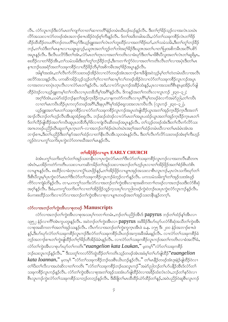လီၤႉ လံာ်လူၤကဉ်ဒီးလံာ်မၤတၫ်ကျၤာဘၤတ႑်ဆၢကတိႝၤနံ့ဉ်တမံၤဃိဃဉ်ဃဉ်နဉ်လီၤႉ ဒီးတ႑်ဂ္ဂါခိဉ်သ့ဉ်လၢအလဲၤသဃဲၤ လိ်ာအသးလ႑လံာတဖဉ်အံၤအဘ႑ာ်စπအိဉ်ဝဲဒဉ်စ့ၫ်ကီးနှဉ်လီၤ. ဒ်တၫ်အဒိတခါအသိႏႇလံာ်တ႑်သႏၶုကစီဉ်လဲၤတ႑်ဒိဉ် ထိဉ်ထိထိဉ်တပတိ််တဉ်တပတိ််ါဃှာ်ဒီးယ့ဉ်ရူးအတၤ်လဲၤတၤ်ဘူးထိဉ်လၢအတၤ်ဖိဉ်ဃာ်,တၤ်သမံသမိး ဒီးတၤ်တူၤ်ဘဉ်ခိဉ် ဘဉ်,တ႑်သံဒီးတ႑်မၤန္ πလၤယရူၤရုလ့ဉ်,ယူဒၤအတ႑်ဘူဉ်တ႑်ဘါအဝ္႑်ခြိဦဒီးယူဒၤအတ႑်ပၤတ႑်ပြးအစိကမိၤအလိ႑်ပစိဉ် အပူးနဉ်လီး. ဒီးလီးပလိ5်ဒီးတၫ်အံး,လံ5်မၤတၫ်တုၤလၢအတၫ်ကတိၤလၢခံဃှာ်ဒီးတၫ်မၢဖိစီးပိလူးအတ႑်လဲၤတၫ်ဆူရိမ့္, စးထိဉ်လၢတၫ်ဖိဉ်အိၤ,တ႑်သမံသမ်းဒီးတ႑်တူ႑်ဘဉ်နိဉ်ဘဉ်,ဒီးကတ႑ၢ်က္ဂံာ်ဝဲလၢအတ႑်ကတိၤလီၤတ႑်လၢအပုံၤဒီးတ႑်မၤ နπဘဉ်ဃးခရံာ်အတၤ်သးခုကစိဉ်လၢဟိဉ်ခိဉ်ဘိမှၤ်အစိကမိၤအဝ့ၤ်ခိဉ်အပူၤန္ဉာလိၤႉ

အါန1်အအံၤႇတၫ်လီၤက်လိာ်သးတဖဉ်အိဉ်ဝဲလၢလံာ်တဖဉ်အံၤအဘၫဉ်စπခ်ိဖျိအဝဲသူဉ်မှါတၫ်တဲတမံၤဃီလၢအလီၤ ဖးလိ်ာအသးနဉ်လီၤႉ ပကဆိကမိဉ်သ့ဉ်သ့ဉ်တ႑်ဂ့႑်လ႑တ႑်ဆ႑မှ႑်လ႑်တဖဉ်အိဉ်ဝဲလ႑လံာ်တ႑်သးခုကစိဉ်လူၤကဉ်အပူၤ လၢအတလၢတပုံၤတုၤလိၤလၢလံာ်မၤတၫ်န္ဉာ်လီၤႉ အဒိႇလၢလံာ်လူၤကဉ်အခ်ိဉ်ထံးန္ဉာ်,ပုၤလၢအသးတိစိၤစူၤမူးအိဉ်ဟ်ဖျါ ထိဉ်ဝဲဒဉ်လၢယ့ဉ်ရူးကမ့္ပ်ာတ်ကပီးလၢပုၤတခ်ိဘိမှ်ျအဂ်ိန္နဉ်လီး အိကနဉ်အတ္က်ကတိၤလၢလူးကဉ် ၂း၃၀–၃၂: အဂ္ဂါဒ်အံၤႇယမဲဉ်ထံဉ်ဘဉ်နတ<sup>႖</sup>အှဉ်ကူၤနိဉ်ကူၤႇလၢနကတဲဉ်ကတိၤလၢပုၤဂိၢမှါတဖဉ်ခဲလၢာ်အမဲှာညါႇတၢ်ကပိၤ လၢတၫိမၤကပိၤထိဉ်ပုၤကလှာ်တဖဉ်အဂိၢ်,ဒီးနပုၤဂိၢ်မှၫ်အံဉ်စရလးအလၤကပိၤလိၤ (လူၤကဉ် ၂း၃၀–၃၂).

ယ့ဉ်ရူးအတၫ်မၤတၫ်သးခုကစိဉ်လ႑လံာ်တ႑်သးခုကစိဉ်လူၤကဉ်အပူၤတဲဖျါထိဉ်ယွၤအတ႑်အှဉ်ကူၤဒိဉ်ကူၤဒိီးအတ႑် အၫဉ်လီၤဘဉ်တၫ်ဟုဉ်လီၤအီၤဆူအံဉ်စရူလီၤႉ ဘဉ်ဆဉ်ထဲဒဉ်လၢလံာ်မၤတၫ်အပူၤပထံဉ်ယွၤအတၫ်အှဉ်ကူၤခိဉ်ကူၤမၤတ႑် ဒ်တၫ်လိဉ်ဖျ်ထိဉ်အတၫ်ကပီၤဆူပှၤတ<sup>8</sup>ဘိမု<sup>ှ</sup>ဖိလၢကျဲလီၤဆီတဖဉ်အပူၤန္ဉာ်လီၤႉ တၫ်သ္ဉာ်တဖဉ်အံၤဒီးတၫ်လီၤက်လိာ်သး အဂၤတဖဉ်ပညိဉ်ဃီၤဆူတ႑်ပုၤက္ၤတ႑်–လၢအဘဉ်တ႑်စံဉ်ဃဲၤတဲဃဲၤအဂ္နၤ်အတ႑်ထံဉ်တမံၤဃီလၢတ႑်မၤခံမံၤအံၤအ ဘၫဉ်စπ,ဒီးတၫ်ပညိဉ်ဒီးတၫ်နဉ်အတ႑်ထံဉ်လၢတ႑်နီၤလီၤအီၤသ့တမံၤန္ဉာ်လီၤ ဒီးတ႑်လီၤက်လိဉ်သးတဖဉ်အံၤစ့ၫ်ကီးဟ့ဉ် ကူဉ်ဝဲလၢပက္ဂ<sup>ရ</sup>သက်ိးပုၤကွဲးလံာ်တဂၤဃီအတ<sup>ၡ</sup>မၤန္ဉာလီၤ.

#### တ<sup>ှ</sup>အိန်ဖို့န်လာပျπ **EARLY CHURCH**

ခဲအံၤပက္ဂ<sup>႑</sup>သက်ိးတ့်ౕ၊လံတౕာအှဉ်သးတနိၱၤလၢပုၤက္ဂဲးလံာ်မၤတၤ်ဒီးလံာ်တၤ်သးခုကစိဉ်လူၤကဉ်လၢအတလီၤဆီတဂၤ အံၤဝံၤႇပအိဉ်ကတဲာ်ကတိၤပသးလၢပကဆိကမိဉ်တၫ်အှဉ်သးလၢအဘဉ်တၫ်ဟုဉ်ပုၤလၢတၫ်အိဉ်ဖိုဉ်အတၫ်စံဉ်စိၤတဲစိၤ လာပျπန္ဉၥ်လီး .စးထိိဉ်လာခံတုၤလာလွံ်ာယာဖိုဉ်နှဉ် တော်အိဉ်ဖိုဉ်လာပျπအှဉ်အသးလာစီၤလူၤကဉ် ,ပုၤလဲၤသကိးဃှာ်တၤ် ဒီးစီၤ၀ီလူးမ့\်ပုၤကွဲးလံာ်မၤတ`်ဒီးလံာ်တ`်သးခုကစိဉ်လူၤကဉ်ခံဘ့ဉ်လ႑ာ်နှဉ်လီၤႉ ပကသမံသမိးကွ`်တ`်အှဉ်သးအံၤဖုဉ် ကိ5်လၤကျဲခံဘိန္5်လိၤႉ တ႑ႇပကကွ<sup>၎</sup>သက်ိးလံ5်လၤအဘဉ်တၫ်ကွဲးအိၤလၢစုအဆိကတၫၢ်တဖဉ်လၤအဘဉ်ဃးဒီးလံ5်စီဆုံ အဂ္ဂါနဉ်လီး - ဒီးခံ,ပကကွ<sup>ရ</sup>သက်းတ<sup>ရ</sup>လၢတ<sup>ရအ</sup>ဉ်ဖိုဉ်သူဉ်က့သးပု<sup>ရ</sup>လၢညါတဖဉ်ကွဲးဝဲဘဉ်ဃးပုၤကွဲးလံာ်လူၤကဉ်နဉ်လီး -မ်ပကစးထိဉ်သကိုးလၢလံာ်လၢအဘဉ်တၫ်ကွဲးအီၤလၢစုလၢပျπတဖဉ်အတၫ်အှဉ်သးတနိၤန္ဉာ်တက့ၫ်.

# လံာ်လာအဘဉ်တ<sup>ှ</sup>ကွဲးအီးလာစုတဖဉ် Manuscripts

လံာ်လၢအဘဉ်တၫ်ကွဲးအီၤလၢစုအသးပုၫ်ကတၢၫ်တမံၤႇဘဉ်တၫ်ပညိဉ်အီၤဒ်  $\bold{p}$ a $\bold{p}$ yrus ဘဉ်တၫ်ထံဉ်န႑်အီၤလၢ ၁၉၅၂ နံဉ်လၢကိႝၤ်အဲၤကူပတူးန္ဉာ်လီၤႉ အဝဲဘဉ်တၤ်ကွဲးအီၤလၢ  $\bold{p}$ a $\bold{p}$ yrus အဖိ $\mathrm{\mathcal{S}}$ ဉ်ဒီးပာ်ဃှာ်ပလံာ်စီဆုံအသိတၤ်ကွဲးအီၤ ု့ ၁၀၀ ...<br>လျာရွာဆိကတ႑ါအတ႑်အုဉ်သႏန္၄လြီး လီးက်လျှအဘဉ်တ႑်ကွဲးကူကူးအီးဖဲ ခ.န. ၁၇၅ ဒီး ၂၀၀ နံဉ်အဘ႑ာ်စπဖဲ န္၄်ႇဒီးဟ်ဃှာ်လံာ်တၫ်သးခုကစိဉ်လူၤကဉ်ဒီးလံာ်တၫ်သးခုကစိဉ်ယိၤဟဉ်အက္ခအခ်ီအါမးနဉ်လိၤႉ လၢလံာ်တၫ်သးခုကစိဉ်ခံ ဘ့ဉ်အဘၫဉ်စπတၫ်ကွဲးဖျါထိဉ်တ႑်ဂူ၁ိခိုဉ်တိအိဉ်ခံမံၤန္ဉာလီၤ. လၢလံာ်တ႑်သးခုကစိဉ်လူၤကဉ်အတ႑်ကတိၤလၢခံအလိၤ်ခံ, လံာ်တ<sup>ှ</sup>ကွဲးအီၤလၢစုဟ်ဃှာ်တ<sup>ှ</sup>ကတိၤ<sup>"</sup>euangelion kata Loukan," မ့တမ့<sup>ရ</sup>်လံာ်တ<sup>ရ</sup>သးခုကစိဉ် ဘဉ်ဃးလူးကဉ်နဉ်လီး." ဒီးသတူ်ကလာ်ပိ႒်ထွဲထိဉ်တၤ်ကတိၤသ္ဉ်တဖဉ်အံၤအခံမ့ၤ်တၤ်ပာ်ဖျါထိဉ်"euangelion kata loannan," မ့တမ့<sup>ရ "</sup>လံာ်တ<sup>ရ</sup>သးခုကစိဉ်ဘဉ်ဃးစီၤယိၤဟဉ်နဉ်လီၤ." တ<sup>ရ</sup>မာနိဉ်တဖဉ်အံၤဒုးနဲဉ်ဖျါထိဉ်ဝဲလၢ တၫိၒိးတၫ်လိလၢအဟဲဆိလၢတၫ်ကတိၤ "လံာ်တ႑်သးခုကစိဉ်ဘဉ်ဃးလူၤကဉ်"အမဲာ်ညါဘဉ်တ႑်ဟ်ပနိဉ်အီၤဒ်လံာ်တ႑် သးခုကစိဉ်လူၤကဉ်နဉ်လီၤႉ လံာ်တၫ်ကွဲးအီၤလၢစုအတၫ်အှဉ်သးအံၤဟ်ဖျါထိဉ်ဝဲလၢအခိဉ်ထံးလံၤလံၤႇဘဉ်တ႑်နှာ်ဝဲလၢ စီးလူးကဉ်ကွဲးလံာ်တ<sup>ှ</sup>သးခုကစိဉ်သၢဘ့ဉ်တဘ့ဉ်နှဉ်လီး -ဒီးခီဖျိတ်မြာထိထိဉ်ယံာ်ထိဉ်တ<sup>ှ</sup>နှဉ်<sub>•</sub>အဝဲပညိဉ်ဝဲဆူစီးလူးကဉ်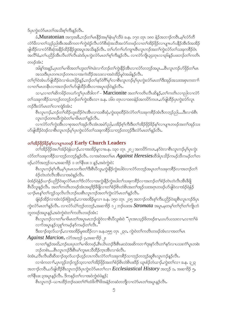ဒ်ပုၤကွဲးလံာ်မၤတၫ်အသိးစ့ၢ်ကီးနဉ်လီၤ.

ခံ,Muratonian အက္ခ္အအခ်ိဳႇဘဥ္ခ်တ္႕မွာနွိဥအမွှန္နီးမွှျသွဖ္ပဲ ခန္ေ၁၇၀ တုၤ ၁၈၀ နံဥအဘၫဥ္ခ်က္မွာျပဳလုပ္ရွာတဲ့ လံာ်မီလၢတၫ်သူဉ်ညါအီၤအဆိကတ႑်ကွဲးရဲဉ်လီၤလံာ်စီဆုံအသီအလံာ်တဖဉ်လၢတၫ်အိဉ်ဖိုဉ်လၢပျπဟ်ပနိဉ်အီၤဒ်အအိဉ် ျဖြတ်လာလံာ်စိဆိုအနိုဉ်ထိဉ်နိုဉ်ဒွးအပူ၊ အသိးနဉ်လီး တော်ဟာဂၢါဟာကျာစီးလူးကဉ်အတ်ကွဲးလံာ်တာ်သုံးခုကစိဉ်ဝံ၊ အလိဂ်နှံ,တဂ်ပညိဉ်အီးလီးတိဂ်လီးဆဲးဒ်ပုံးကွဲးလံဉ်မာတဂ်စ့ဂ်ကီးနဉ်လီး လၫလံဉ်ကျုံ ၃၄တု၊ လ႑ပြနေဉ်ပဖးဘဉ်တဂ်ကတိၤ တဖဉ်အံၤ:

အါန1်အနဉ်,ပုၤတ1်မาဖိအတ1်ဟူးတ1်ဂဲၤခဲလ႑ာ်ဘဉ်တ1်ကွဲးနိဉ်အီၤလၤလံာ်တဘ့ဉ်အပူၤ…စီၤလူၤကဉ်ဟ်ဖိုဉ်တ1်မၤ အသးဒီးပုၤတဂၤဘဉ်တဂၤလၢအကဲထိဉ်အသးလၢအဝဲအိဉ်မူဝဲအခါနဉ်လီၤႉ

တၫ်ဂ့ၢ်ဝဲအံၤပာ်ဖျါထိဉ်ဝဲလၫခံယၤဖိုဉ်နှဉ်ႇဘဉ်တ႑်နှာ်ဝဲဂိ<sup>ြ</sup>မှၢ်လၫစီၤလူၤကဉ်မ့ှ၊်ပှၤကွဲးလံာ်မၤတ<sup>၎</sup>ဒီးအုဉ်အသးအစှၤကတ႑၊် လၢတၢိမၤတနိၤလၢအဘဉ်တၢိဟ်ဖျဲထိဉ်အီၤလၢအပူၤဒဉ်ဝဲနဉ်လီၤ.

သၫႇလၢတၫ်ဆိကမိဉ်တယာ်ကွ\ပုၤထိဒါတ႑် – Marcionite အတ\ကတိၤလိၤဆိန္ဉာ်,တ\ကတိၤလၢညါလၢလံာ် တၫ်သးခုကစိဉ်သၫဘ့ဉ်တဘ့ဉ်ဘဉ်တၫ်ကွဲးအီၤလၢ ခ.န. ၁၆၀ တုၤလၢ၁၈၀နံဉ်အက $\delta$ ာ်ကပ $\cdot$ ,ဟ်ဖျါထိဉ်ပှၤကွဲးလံာ်လူၤ ကဉ်ဒီးလံာ်မာတ႑်လာကျဲ့ဒ်အံၤ:

စီၤလူၤကဉ်ႇဘဉ်တၫ်ထိဉ်ဟူးထိဉ်ဂဲၤအီၤလၢသးစိဆုံႇကွဲးထုးထိဉ်ဝဲလံာ်တ႑်သးခုကစိဉ်အံၤဒိတဘ္ဉာ်ညါ….ဒီးလၢခံစီၤ လူၤကဉ်တဂၤဃီကဲ့းဝဲတ<sup>ြ</sup>မၢဖိမၤတၢ်နှဉ်လီၤ**.** 

္လ<br>လၤလံာ်တၫ်ကွဲးအီၤလၢစုအတၫ်အုဉ်က်ိဳၤအံၤအမဲာ်ညါႇပအိဉ်စ့ၫ်ကီးဒီးတၫ်အိဉ်ဖိုဉ်ခိဉ်နှၤ်လၢပျπတဖဉ်အတ႑်အုဉ်သး ဟ်ဖျါထီဉ်ဝဲဒဉ်လၢစီၤလူၤကဉ်မ့ှ်ပုၤကွဲးလံာ်တ႑်သးခုကစိဉ်သၢဘ့ဉ်တဘ့ဉ်ဒီးလံာ်မၤတ႑်နှဉ်လီၤႉ

# တ<sup>ှ</sup>အိဉ်ဖှိဉ်နိဉ်နှ်လာပျπတဖဉ် Early Church Leaders

.<br>တ<sup>ရအ</sup>ဉ်ဖြဉ်အပ<sup>ြ</sup>အဉ်ရဲနံယၫဉ်ႇလၢအအိဉ်မူလၢခႉနႇာ၁၃၀ တုၤ ၂၀၂ အကတိကပၤႇနၵ်ဝဲလၢစီၤလူၤကဉ်မ့<sup>ရ</sup>ပှၤကွဲး လံာ်တ<sup>ရ</sup>သးခုကစိဉ်သၫဘ့ဉ်တဘ့ဉ်နှဉ်လီၤႉ လၫအဝဲအတ<sup>ျှ</sup>မၤ *Against Heresies*ထိဒါပုၤသိဉ်ကမဉ်သိကမဉ်တ<sup>ရ</sup>တ ဖဉ်ႇလံာ်အဘ့ဉ်သၢႇအဆၢဒိဉ် ၁ တၫိနီၤဖး ၁ နဉ်ႇအဝဲကွဲးဝဲ $\colon$ 

-<br>စီၤလူၤကဉ်စ့<sup>၎</sup>ကီး<sub>•</sub>မ့<sup>၎</sup>ပုၤမၤသက်းတ<sup>၎ဒ္</sup>းစီးပိလူး<sub>•</sub>ကဲ့ႏနီဉ်ကဲ့းဃါဝဲလၢလံာ်တဘ္ဉာ်အပူၤတၫ်သးခုကစိဉ်လၢအဘဉ်တ႑် စံဉ်တဲၤတဲလီၤအီၤလၢအဝဲနဉ်လီၤ.

ဖဲအံဉ်ရဲနံဉိယ႑ာ်ပည်ဉ်ဝဲဆူလံာ်မၤတ႑်ဒ်လံာ်လၢအကွဲးနိုဉ်ကွဲးဃါတ႑်သးခုကစိဉ်လၢအဘဉ်တ႑်စံဉ်တဲၤတဲလီၤအီၤဒီဖြိ ္စာ<br>၂ ရက္မွဴးန္႕ေလး . အတ႑်ကတိၤတဖၣအံၤအရူဒိုဥန္ဂ်ီဖြဲလျတ႑ိစံဥစိၤတဲစိၤအတ႑်အုဉ်သႏၶာဂ္ဂၤတဖဉ်ပာဖျဲဝဲလျအံဥရဲနံ့ဉ ယၫဉ်မၤန္ ်တ႑်ကူဉ်သူလိၤလိၤဘဉ်ဃးစီၤလူၤကဉ်အတ႑်ကွဲးလံာ်မၤတ႑်နှဉ်လီၤ.

ချံမဲဉ်အိဉ်လၢအဲလဲဉ်ဇဲဒြံအဉ်,လၢအအိဉ်မူလၢ ခ.န. ၁၅၀ တုၤ ၂၁၅ အဘၫဉ်ကဝိၤစ့ၢ်ကီးပညိဉ်ဝဲဆူစီၤလူၤကဉ်ဒ်ပုၤ ကွဲးလံာ်မၤတၫ်နဉ်လီၤႉ လၢလံာ်ယဲၫ်ဘူဉ်တဘူဉ်ႇအဆၢဒိဉ် ၁၂ ဘဉ်ဃးအ  $\it Stromata$  အပူၤႇမ့တမ့ၢ်တၫ်ဂ့ၢ်တ႑်ကျိုးဘံ ဘူတဖဉ်အပူၤန္၄်ႇအဝဲကွဲးဝဲတၫ်ကတိၤတဖဉ်အံၤ:

း<br>စီးလူးကဉ်လၫတ<sup>ြ</sup>မၢဖိမၤတၫ်အပူးမၤဘဉ်ထွဲဝဲလၫစီၤပီလူးစံးဝဲ <sup>"</sup>ပုၤအၤသ့ဉ်ဖိတဖဉ်ဧၢ,ယဟ်ယသးလၢ,လၢတၫ်ခဲ လၫာ်အပူၤန္ဉာိသုစူၫ်ကမဉ်နာ်ကမဉ်တ႑်လီၤ."

<u>ဒီးထၫ</u>ာ်ထွလ်ယၫဉ်ႇလၫအအိဉ်မူစးထိဉ်လၢ ခႉနႉ၁၅၅ တုၤ ၂၃၀, ကွဲးဝဲတၫ်ကတိၤတဖဉ်အံၤလၢအတၫ်မၤ

 $Against\,Marcion$ , လံာ်အဘုဉ် ၄,အဆၢ $35$ ုး

လၢတၫ်နဉ်အဃိႇဘဉ်ဃးပုၤတ႑်မၢဖိတဖဉ်ႇစီၤယိၤဟဉ်ဒီးစီၤမးသဲအဆိကတ႑်ဒုးနုဉ်လီၤတ႑်နှဉ်လ႑ပသးကံ႑ိပူၤတစဲး ဘဉ်တစဲး….စီၤလူၤကဉ်ဒီးစီၤမါကူးမၤသီထိဉ်က္πအိၤလၢခံလီၤ.

ဖဲအံၤႇလီၤလီၤဆီဆီထ႑်ာ်ထဲ့လ်ယ႑ာ်ဟူဉ်လၤကဗီၤလံာ်တ႑်သးခုကစီဉ်သ႑ဘူဉ်တဘူဉ်ဆူစီၤလူၤကဉ်နဉ်လီၤႉ လၢခံကတၢႝာႇပုၤကူဉ်ဘဉ်ကူဉ်သ့လၢတါအိဉ်ဖိုဉ်အတါစံဉ်စိၤတဲစိၤဖးဒိဉ် ယူၤစံဉ်ဘံယၢဉ်ႇကွဲးတါလၢ ခႉနႇ ၃၂၃ အဘၫဉ်ကဝီၤႇပာ်ဖျါထိဉ်စီၤလူၤကဉ်ဒ်ပုၤကွဲးလံာ်မၤတၫ်လ႑ $\it Ecclesiastical\, History$  အဘုဉ် ၁, အဆ႑ဒိဉ် ၅, တၫိနီၤဖး ၃အပူၤန္ဥလိုၤႉ ဒိကနဥ္ပ်ံတ႑လာအဝဲကုံးဝဲဖဲန္ဥ္မ်ဴး

-<br>စီၤလူၤက**်**–ယπထိဉ်ဘဉ်ဃးတၤ်ဂံၤ်ထံဖိက်ိဳၤဖိအနံ့ဉ်တဆံတဘျီလၤလံာ်မၤတၤ်အပူၤန္ဉဉ်လီၤ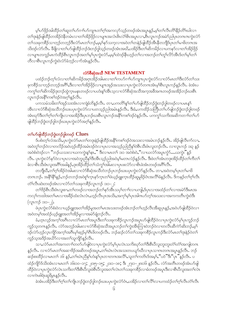မ့်ၢဟ်ဖိုဉ်အါထိဉ်တౕာဆူတၤ်ဟ်ဂၢၤ်ဟ်ကျၤၤတၤ်ဂ့ၤ်အကလှာ်သူဉ်တဖဉ်အံၤအပူၤန္နဉ်ႇမ့ၤ်တၤ်လီၤတိၤ်နိုဉ်တိၤ်ဃါလ႑ တၫ်ဒုးနဲဉ်ဖျင်္ကြံဉတအိဉ်ဝဲနီတမံၤလၢတၫ်အိဉ်ဖိုဉ်လၢပျπအလံၤဇ်းလဲၫ်<sup>ဇိ႑</sup>အပူးလၢႇစီၤလူးကဉ်အမဲဉ်ညါပု၊တဂၤဂၢကွဲးလံဉ် တၫ်သးခုကစိဉ်သၢဘ့ဉ်တဘ့ဉ်ဒီးလံာ်မၤတၫ်ဘဉ်ႇမ့မ့ှ်နှာ်သက့လၢအဝဲတၫ်တနဲ့ဉ်ဖျဲထိဉ်အိၤနိတဘျိဒ်ပုၤတၫ်မၢဖိတဂၤအ သိးဒဉ်လဲ၁်လီၤ. ခ်ီဖျိလၢတၫ်ပာ်ဖျါထိဉ်ဘဉ်ဒုံးဘဉ်ဒွါသုဉ်တဖဉ်အံၤအဃိႇပအိဉ်ဒီးတၫ်ဆိကမိဉ်လ႑ပကနဉ်လ႑တ႑်အိဉ်ဖိုဉ် လာပျπတကူဉ်မာကဲထိဉ်စီးလူးကဉ်အတ<sup>ု</sup>မှုပြုကွဲးလံ9်,မမဲ့<sup>ရ</sup>ထဲဒဉ်နီးဟ့ဉ်တ<sup>ှ</sup>လာအဘဉ်တှ်ကြွလို်အီးဒ်တ<sup>ှ</sup>မှုတ<sup>ှ</sup>ြ တီလၢစီၤလူၤကဉ်ကွဲးဝဲလံာ်ခံဘ္၄်လၢာ်အံၤန္၄လီၤ.

#### လံာ်စီဆုံအသီ NEW TESTAMENT

ပထံဉ်ဘဉ်တ့််လံလၢတ်ဆိကမိဉ်အဂ္ဂၤအိဉ်အါမးလၢတ်ကပာ်ဂၢၢ်ပာ်ကျπပုၤကွဲးလံာ်လၢလံာ်မၤတၤ်ဒီးလံာ်တၤ်သး ခုကစိဉ်သၢဘ္ဉာ်တဘ္ဉာ်အဂိ်ၫႇဒီးလၢတၫ်အိဉ်ဖိုဉ်လၢပျπအှဉ်အသးလၢပုၤကွဲးလံာ်တကအံၤမ့ၢ်စီၤလူၤကဉ်နှဉ်လိၤႉ ခဲအံၤပ ကက္ဂါတၫ်ဆိကမိဉ်ဒုးဘဉ်ထွဲကူၤမနုၤတဖဉ်လၢပဟံးနှၤ်အီၤသ့လၢလံာ်စီဆုံအသိအက္ခအခ်ိအကတဖဉ်အအိဉ်ဘဉ်ဃးစီၤ လူၤကဉ်အနိ<sup>5</sup>ကစ<sup>ှ</sup>ဒဉ်ဝဲအဂ္ဂါနဉ်လီၤ.

ပကသမံသမိးတ်၊အှဉ်သးအံၤလၢကျဲခံဘိန္နဉ်လီၤႉ တ႑ႇပကတိၢ်န္ ါတ႑်ပာ်ဖျါထိဉ်ဘဉ်ဒွံးဘဉ်ဒွါတဖဉ်လၢပမၤန္ ါ အီၤလၢလံာ်စိဆုံအသိဘဉ်ဃးပၦၤကွဲးလံာ်လၢပတသ္ဉ်ညါအမံၤန္ဉာလီၤႉ ဒီးခံႇပကထိဉ်သတြိဳၤတၫ်ပာ်ဖျါဘဉ်ဒုံးဘဉ်ဒွါတဖဉ် အံၤဃု႒်ဒီးတၫ်ဂ္ဂါတ႑်ကျုလၫအအိဉ်ဒီးပုၤဘဉ်ဃးစီၤလူၤကဉ်အနိုၤ်ကစ႑်ဒဉ်ဝဲနဉ်လီၤ. ပက်ကွ႑်သက်းအဆိကတ႑ၤ်တ႑်ပာ် ဖျါထိဉ်ဘဉ်ဒွံးဘဉ်ဒွါဘဉ်ဃးပုၤကွဲးလံာ်အဂ့ါနဉ်လီၤ.

# တ႑်ပာ်ဖျါထိဉ်ဘဉ်ဒွံးဘဉ်ဒွါတဖဉ် Clues

ဒ်ပစံးတ့်၊လံအသိး,ပုၤကွဲးလံာ်မၤတၫ်တဒုးနဲ့ဉ်ဖျဲထိဉ်အနိံၤကစၤ်ဒဉ်ဝဲအသးလၢအမံၤဘဉ်နဉ်လီၤ. အိဉ်ဖျဲလီၤက်လၢ, အဝဲတူ်ဘဉ်ဝဲလၢတလိဉ်အဝဲဟ့ဉ်ထိဉ်အမံၤဒဉ်ဝဲလၢပုၤလၢအသုဉ်ညါညီနှၤ်ဝဲစီၤသီးဖံၤလူးဘဉ်လီၤႉ လၢလူၤကဉ် ၁း၃ နှဉ် အဝဲစီးဝဲဒဉ်လၢ ၱဴဘဉ်ယသးလၢယကကွဲးနှဴရနာ," ဒီးလၢမၤတ႑် ၁း၁ အဝဲစီးဝဲ,ၱဴလၢယလံာ်အပူၤကၠႆာ်…ယကွဲး"နဉ် လီၤ. ပုၤက္မဲးလံာ်နာ်ဝဲလၢပုၤလၢအဝဲဘူးညီနှၤ်ဒီးအီၤသ္ဥာ်ညါအဝဲမ့္ပ်မတၤလဲဉ်န္ဥာ်လီၤ. ဒီးဖဲတၤ်အံၤတဒုးအိဉ်ထိဉ်တၤ်ကီတၤ် ခဲလၢစီၤသီးဖံၤလူးအဂ်ိ<sup>ရ</sup>အခါန္**ဉ်,**ဒုးအိဉ်ထိဉ်တ႑်သံကွ<sup>၎</sup>အါမးလၢပုၤဖးလံာ်လၢစိၤခဲအံၤတဖဉ်အဂိၤ်လီၤ.

တဘိုုဃိႇတ႑်ဂ္ဂါအိဉ်ဝဲအါမႈလၫလံာစိဆုံအသိတဲဘဉ်ပုံ၊ဘဉ်ဃးပပုံ၊ကွဲးလံာ်နဉ်လီး တ႑အဝဲတမ္ဒါပုံ၊တ႑်မ႑ဖိ တဂၤဘဉ်ႉ အနိ<sup>ရ</sup>နိ<sup>ရ</sup>နဉ်ႇဘဉ်တဘဉ်အဝဲစူ<sup>ရ</sup>က္ဍာနဉ်က္�ာတ<sup>ရ</sup>ဖဲယ့ဉ်ရူးက္�ာထိဉ်ဆူမှု<sup>8ှ</sup>ဉ်ဝံၤအလိ<sup>ရ</sup>ခံနဉ်လိၤႉ ဒိကနဉ်တ<sup>ရ</sup>ဂ္ဂါလီၤ တံၤ်လီၤဆဲးတဖဉ်အံၤလၢလံာ်တၤ်သးခုကစိဉ်လူၤကဉ် ၁း၁–၂:

တၫ်ဒိဉ်စီၤသီးဖံၤလူး။ေ,တၫ်တဖဉ်လၢအဘဉ်တ႑်နှာ်အီၤသပုၢိတ႑ာ်လၢပကျါ,ဒ်ပုၤလၢအထံဉ်တ႑်လၢအမဲာ်ဒီးမၤအ ကလုိကထါအတၫ်မာလၫအခ်ိႆာထီးလံၤလံၤႇဟ့ဉ်လီၤပှၤအသိႏႇအကုိမ့်ပြာအါဂၤပာ်တ့်၊အသးလၫအကကတိၤကွဲးဝဲဒီး (လူၤကဉ် ၁း၁–၂).

ဖဲပုံၤကွဲးလံာ်စီးဝဲလၢယ္ဝ်ရူူးအတၫ်အိဉ်မူအတၤ်မၤအသးတဖဉ်အံၤဘဉ်တၤ်ဟ့ဉ်လီၤအီဆူပုၤန္ဉာ်,အဝဲဟ်ဖျါထိဉ်ဝဲလၢ အဝဲတမ့်ၫအထံဉ်ယှဉ်ရူုးအတ႑်အိဉ်မူလၢအမဲာ်ချံဘဉ်လီၤ.

ခံ<sub>•</sub>ဟ္နာလှဉ်အကွ<sup>်</sup>အဂီးလၫလံ5်မာတ<sup>ြ</sup>အပူးဒီးတ႑်သးခုကစိဉ်လူးကဉ်အပူးဟာဖျထိဉ်ဝဲလၢပုၤကွဲးလံာ်မ့ှ်ပုၤကူဉ်ဘဉ် ကူဉ်သ့တဂၤနှဉ်လီၤႉ လံာ်အဘ့ဉ်အါမးလၢလံာ်စီဆုံအသိအပူ၊ဘဉ်တၫ်ကွဲးအိၤကြၢးဝဲဘဉ်ဝဲလၢတလိၤဆိကဲာ်ဆိးဘဉ်,မ့႑် ဒဉ်လဲ၁်ဟုဉ်လူၤကျိာ်အက္ခၤ်အဂ်ီၤမုၤ်ဆုဉ်မုၤ်ဂီၤဖိတဖဉ်လီၤႉ ဘဉ်ဆဉ်လံာ်တၤ်သးခုကစိဉ်လူၤကဉ်ဒီးလံာ်မၤတၤ်ဒုးနဲ့ဉ်ဝဲတၤ် ကူဉ်သူအဒိဉ်အယိ5်လၢအတ႑်သူကျိ5်နဉ်လီၤ.

သၢ,လံာ်မၤတၫ်အကတၫၫ်တတ်ပာ်ဖျါဝဲလၢပုၤကွဲးလံာ်မှၫ်ပုၤလဲၤသကိးဃှာ်တၫ်ဒီးစီၤပီလူးဘူးဘူးတံၫ်တံၫ်အကျါတဂၤ နဉ်လီၤႉ လၢလံာ်မာတၫ်အဆၫဒိဉ်အဆိတဖဉ်အပူ၊ တၫ်ဃဲၤလဲၤအသးတပယှာ်ဃီလၢပုၤသၢကတဂၤအပူ၊နဉ်လီၤႉ ဘဉ် ဆဉ်စးထိဉ်လၢမၤတၫ် ၁၆ နဉ်,တၫ်ဃဲၤညီနှၤ်ဟံးနှၤ်ပုၤတၢတဂၤအလိၢ်,သူတၤ်ကတိၤဒ်အမှၤ်, ပဲဝဲ"ဒိး"ပုၤ"နှဉ်လီၤ. ပ ထံဉ်ကျိဉ်ဒ်သိးအံၤလၢမၤတ႑် ၁၆း၁၀–၁၇; ၂၀း၅–၁၅; ၂၁း၁–၁၈; ဒီး ၂၇း၁–၂၈း၁၆ နဉ်လီၤ. လံာ်အတီၤတဖဉ်အံၤဟ်ဖျါ ထိဉ်ဝဲလၢပုၤကွဲးလံာ်လဲၤသက်ိးတၫ်ဒီးစီၤပီလူးဖဲစီၤပီလူးအတ႑်လဲၤတ႑်သးခုကစိဉ်လၢခံတဖဉ်အပူၤဒီးလၢစီၤပီလူးအတ႑်လဲၤ လၫကဲၤစါရံၤဆူရိမ္နာနဉ်လိၤ.

ခဲအံၤပအိဉ်ဒီးတၫ်ဂ့ၢ်တ႑်ကျိၤဘဉ်ဒွံးဘဉ်ဒွါဘဉ်ဃးပပုၤကွဲးလံာ်ဝံၤႇပအိဉ်လၢတ႑်လိၤ်လၤပကထံဉ်တ႑်ဂ့ၤ်လီၤတံၤလီၤ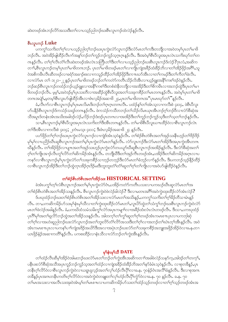ဆဲးတဖဉ်အံၤဘဉ်လိာ်အသးဒီးတ႑်လၢပသူဉ်ညါဘဉ်ဃးစီၤလူၤကဉ်ထဲလဲဉ်နဉ်လီၤ.

## စီးလှုက**်** Luke

.<br>ပကကွ<sup>ှ</sup>သကိႏတ႑်လျားသည်သုတ်သည်မားပည်းတုံးတုံကျွေးတုံချွေးတုံများ အသုံးပြလည်း ပါတုံများ ဘဉ်လီး အဝဲအိဉ်ဖျ်ထိဉ်လီးက်အနN်ဘဉ်တNကူဉ်ဘဉ်ကူဉ်သွဂ္ဂၤဂ္ဂန္ဉာ်လီး ဒီးအဝဲမ့ါစီးပီလူးအပုၤလဲၤသကိးဃှာ်တNတ ္<br>ကန္ဥာလီး တ႑ိဂ္ဂါလီးတံြလီးဆဲးတဖဉ်အံၤလဲၤသတြိဳးတာ်သိုလ္မွာပဲသည်သည်စားစီးလူးကဉ်§လဲဉ်?ဂူးလံႇအဆိက တၫ်ာႇစီးလူးကဉ်တမ့်ၫ်ပုၤတ႑်မၢဖိတဂၤဘဉ်ႉ ပုၤတ႑်မၢဖိတဖဉ်မၤတ႑်လၢကျိုးကျဲအခဵဉ်ထံးခဵဉ်ဘိလၢတ႑်အိဉ်ဖိုဉ်အဂဵိြႇသူ ဝဲအစိကမီၤလီၤဆီတဖဉ်လၢခရံာ်အခ႑ာ်စးလၢကသူဉ်ထိဉ်တၫ်အိဉ်ဖှိဉ်ဒီးကπဃာ်အီၤလၢတ႑်ကမဉ်ဒီးတ႑်ကိတ႑်ခဲလီၤ. လၢလံာ်မၤတၫ် ၁း၂၁-၂၂နဉ်ပုံၤတၫ်မၢဖိတဖဉ်ဘဉ်တၫ်ကတဲာ်ကတိၤသိဉ်လိအိၤလၢယ့ဉ်ရူးအနိ<sup>႖်</sup>ကစၫ်ဒဉ်ဝဲနဉ်လီၤ ာဉ်ဆဉ်စီၤလူၤကဉ်တထံဉ်ဘဉ်ယှဉ်ရျူးလၢအနိ<sup>ရ</sup>ကစ<sup>ရ</sup>ဒီးတစံးဝဲနိတဘျီလၢအအိဉ်ဒီးတ<sup>ရ်</sup>စိကမိၤလၢအဘဉ်ထွဲဒီးပုၤတ<sup>ရ</sup>မၢ ဖြတ်ဖဉ်ဘဉ်လီး မဲ့မ့<sup>ှ</sup>ဆေဝဲဒဉ်မ့ှပြာသီးတီလၢအဆိဉ်ထွဲစီးပီလူးအတ<sup>ြ</sup>သီးခုကစိဉ်တ<sup>ှ</sup>မာတကနဉ်လီး အဝဲမ့ှပြာတှမြာဖိ တဂၤအပျဲ႑်ႇမ့တမ့္ပါစီၤလူးဟ်ဖျါထိဉ်အီၤလၤဖံၤလ့မိဉ်အဆၢဖိ ၂၄,ပုၤတၫ်မၢဖိတဂၤအ "ပုၤမၤၰာ်တ႑်"နဉ်လီၤ.

ခံ,လီၤက်လၢစီၤလူၤကဉ်မ့ှ်ပုၤမၤလိမၤဒိးဘဉ်တ႑်ဂ္ၤဂ္ဂၤတဂၤလီၤ. ပထံဉ်နှၤ်တၤ်အံၤသ့လၢကလီးစဲ ၄း၁၄, ဖဲစီၤပီလူး ဟ်ပနိဉ်စီၤလူၤကဉ်ဒ်ကသံဉ်သရဉ်တဂၤနှဉ်လီၤ. ဖဲကသံဉ်ကသိတဘဉ်တၫ်သိဉ်လိမၤယုၤအိၤဘဉ်ဂ့ၢ်ဘဉ်၀ိလၢလံာ်စိဆုံအ သိအပူၤဒ်တနံၤအံၤအသိးအခါဒဉ်လဲဉ်ႇလိဉ်ဘဉ်ဒံးဒဉ်ပုၤတဂၤလၢအအိဉ်ဒီးတၤ်ကူဉ်ဘဉ်ကူဉ်သူဒီးတၤ်သူတၤ်ဘဉ်နဉ်လီၤ သၢႇစီၤလူၤကဉ်မ့ှ်စီၤ၀ီလူးအပုၤလဲၤသကိႏတၫ်ဒီးအိၤတဂၤန္ဉာလီၤႉ တ႑်မၢဖိစီၤ၀ီလူးယ႑ာထိဉ်ဝဲလၢစီၤလူၤကဉ်လဲၤ တ)မွှို့အွူးတ၊ယတ္တူစု င်း၁၀ဲ ါတ္၊ကား င်း၁၁ဲ မွှေ့စုံတစ်၃အဆ $\mathfrak g$ ါဝဲမွှ ဖြေ

ပဟ်ဖိုဉ်တၫ်ဂ္ဂါဘဉ်ဃးပုၤကွဲးလံာ်လူၤကဉ်လ႑ကျဲဒ်အံၤသ့ဝဲနှဉ်လိၤႉ တၫ်စံဉ်စိၤတဲစိၤအတ႑်အှဉ်သးနိုၤဟ္ဥတ႑်ဒိဉ်ဒိဉ် မှာမှာလာယ်သို့သွားဆိုရွာများကွန်တွင် များကွဲများ အသင်းများ အသင်းများကွန်း များကွန်း အသင်းများကွဲများ များကွဲ ဃိန္ဉာ်လီၤႉ တၫ်အိဉ်ဖိုဉ်လၢပျπအတၫ်အှဉ်သးဟ့ဉ်ပုၤကွဲးလံာ်တပယှာ်ဃိဆူစီၤလူၤကဉ်အအိဉ်နဉ်လီၤႉ ဒီးလံာ်စိဆုံအတ႑် ဂ့ါတါကျိုးအၫဉ်လီၤတူ၊်လိဉ်တၢ်ဆိကမိဉ်အံၤန္နဉ်လီၤႉ တဘျီဃီဒီးတၢ်အှဉ်ကီၤတဖဉ်အံၤႇပအိဉ်ဒီးတၢ်ဆိကမိဉ်အဂ္ဂၤလၢပ ကန>်လၢစီၤလူၤကဉ်မ့\်ပှၤကွဲးလံ>်တ`ြသးခုကစိဉ်သၢဘ့ဉ်တဘ့ဉ်ဒီးလံာ်မၤတ`်္ဂခံဘ့ဉ်လၢာ်နှဉ်လီၤ. ဒီးပကဘဉ်သ့ဉ်နိဉ်ထိဉ် လၢစီၤလူၤကဉ်အိဉ်ဒီးတၫ်ဘဉ်ထွဲတုၤအိဉ်ဂုၤဒိဉ်မးဒီးဘူးဘူးတံၫ်တံၫ်ဆူတၫ်ဂ့ၫ်တၫ်ကျိုၤလၢအဝဲဟ်ဖျါထိဉ်ဝဲနဉ်လီၤ.

### တ်စံဉ်စိုးတဲစိုးအတ်အိဉ်သး HISTORICAL SETTING

ခဲအံၤပက္ဂါတ့ါလံစီၤလူၤကဉ်အတၫ်မ့္ပြဲပုၤက္ဂဲးလံာ်ဝံၤႇပအိဉ်ကတဲာ်ကတိၤပသးလၢပကဃဉ်ဃီၤဆူလံာ်မၤတၤ်အ တၫ်စံဉ်စိၤတဲစိၤအတၫ်အိဉ်သးန္ဉာလီၤ. စီၤလူၤကဉ်ကွဲးဝဲဖဲလဲဉ်ခါလဲဉ်? ဒီးလၢမတၤအဂိၢ်အဝဲကွဲးထုးထိဉ်လံာ်အံၤလဲဉ်? ဒ်ပၰထံဉ်ဘဉ်ဃးတၫ်စံဉ်စိၤတဲစိၤအတၫ်အိဉ်သးလၢလံာ်မၤတၫ်အသိးန္ဉာ်,ပကကွၫ်သကိႏတ႑်ဂူၫ်ခိဉ်တိသၢမံၤန္ဉဉ် လီး တၫႇပကဆိကမိဉ်ပာ်သးမှၫ်နံၤမှၫ်သီလၢတၫ်ကွဲးထုးထိဉ်လံာ်မၤတ႑် လူၤပိာ်ထွဲတၫ်သံကွၢ်ဘဉ်ဃးစီၤလူၤကဉ်ကွဲးဝဲလံာ် မၤတၫ်ဖဲလဲဉ်အခါနဉ်လိၤႉ ခံႇပကဃိထံသမံသမိးကွၤ်လံာ်အပှၤကမျၤာ်လၤအခိဉ်ထံးလံၤလံၤတဖဉ်လိၤႉ ဒီးသ႑ႇပကဃုထံဉ် ပုၤဂိၢမုၢ်အတၢ်ရှုလိ်ာဘဉ်ထွဲအတၤ်အိဉ်သးနဉ်လီၤ. အါတက္ ်ာတၫ်က္ဂၤ်ဆူတၤ်ဂ့ၤ်တဖဉ်အံၤကမၤစ႑ာပုၤလၢပကဘုါဆုဲ တၫ်ဂ့ၢ်လၢအဟဲဆူညါဘဉ်ဃးလံာ်လူၤကဉ်အတၫ်ဘူးလိ5်တံၤ်လိ5်အသးဒီးတ႑်ဂ့ၢ်လၢအဘဉ်တ႑်ဃဲၤတ္႑်အီၤန္ဉာ်လီၤ. အဝဲ အံၤကမၤစπပုၤလၢပကန<်ပၢၢိကျဲအဒိဉ်အယိာ်ဒီးအလၢအပုဲၤဘဉ်ဃးလံာ်တၫ်သးခုကစိဉ်အဘူးအဖိုဉ်အိဉ်ဝဲလၢခႉန.တ႑ ယာဖိုဉ်နံဉ်အဆၢကတိႝၤန္နဉ်လီၤႉ ပကစးထိဉ်လၢနံၤသိလၢလံာ်ဘဉ်တၤ်ကွဲးအိၤန္ဉာလီၤႉ

# မှ<sup>င်</sup>နံးမှ<sup>င်ဘ</sup>ီ DATE

တၫ်ထံဉ်လီၤဆီမ့ၫ်အိဉ်ဝဲအါမးဘဉ်ဃးလံဉ်မၤတၫ်ဘဉ်တ႑်ကွဲးအီၤအဆိကတ႑ာ်အခါဖဲလဲဉ်သနဉ်က့ႇအါဒဉ်တ႑်တက္ၟ႑်ႇ ပနိုၤဖးလံာ်စိဆုံအသိအပုၤကူဉ်ဘဉ်ကူဉ်သ့အတၫ်ထံဉ်လၢကျဲအခိဉ်ထံးခိဉ်ဘိအတ႑်နာ်ခံမံၤသ့ဝဲနဉ်လိၤႉ လၢစုတခ်ိန္ဉာ်ႇပုၤ တနိုးဂ္ဂါလိ9်ဝဲလၢစီးလူးကဉ်ကွဲးဝဲလၢယရူးရှလ့ဉ်အတၤ်လှၤ်ဟုံဝိလီးပိုၤ်လၢခႉနႇ ၇၀နံ့ဉ်ဝံၤအလိၤ်ခံနဉ်လီး အီးလၢစုအဂၤ တခ်ိန္ဥပုၤအဂၤတနိၤကတိၤဂ့ၫ်လိ႒်ဝဲလၢအဝဲကွဲးဝဲတချူးတၫ်လှၤ်ဟုံညီလီၤပိုၫ်ကွံာ်ဝဲလၢခႉန. ၇၀ နဉ်လိၤ. ခႉန. ၇၀ တၫ်မၤအသးလၢအလိၤသးအုးဝဲအံၤမ့္ပ်ာပါမၤစ႑ာလၤပကဆိကမိဉ်ဟ်သးတ႑်ထံဉ်သူဉ်တဖဉ်လၢတ႑်ဂ္ဂါသူဉ်တဖဉ်အံၤအ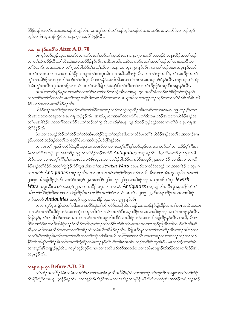ဗီခိဉ်ဘဉ်ဃးတ<sup>၎</sup>မၤအသးတဖဉ်အံၤန္ဉာလီၤႉ ပကကွ<sup>၎</sup>သကိႏတ႑်ထံဉ်သ့ဉ်တဖဉ်အံၤတမံၤဘဉ်တမံၤႇစးထိဉ်လၢဘဉ်သ့ဉ် သ့ဉ်လၢစီၤလူၤကဉ်ကွဲးဝဲလၢခႉန. ၇၀ အလိ်ိုခံနဉ်လြီး.

#### ခ.န. ၇၀ နံ့ဉ်အလိ<sup>ု</sup>ခံ  $\overline{\rm After A.D. 70}$

ပှၤကူဉ်ဘဉ်ကူဉ်သ့လၢအနာ်ဝဲလၢလံာ်မၤတ<sup>၎</sup>ဘဉ်တ<sup>၎</sup>ကွဲးအီၤလၢ ခႉနႇ ၇၀ အလိ<sup>႖</sup>ခံတဖဉ်ဒိးသန္ၤထိဉ်အတ<sup>၎</sup>ထံဉ် လၢတၫ်ဆိကမြဉ်လိုၤတံၫလီၤဆဲးအါမးအဖိခြိဉ်နဉ်လီၤ. အဒိ,ပုၤအါဂၤစံးဝဲလၢလံာ်မၤတၫ်အတ႑်ထံဉ်တ႑်လၢအကပီၤလ႑ တၫ်ခဲလၫာ်ကမၤအသးလၫတၫ်ဂုၤဟ်ဖျါထိဉ်မှၫ်နှံၤမှၫ်သိလ႑ခႉနှႉ ၈၀ တုၤ ၉၀ နှဉ်လိၤႉ လ႑တ႑်ထံဉ်ဝဲအံၤအပူၤန္ဉာ်,လံဉ် မၤတၫ်အံၤဂ္ၤတလၢလၢတၫ်အိဉ်ဖိုဉ်လၢပျ႑ာတ႑်ကကွဲးအီၤလၢအဆိအဂိၢိန္ဉ်လိၤႉ လၢတ႑်န္ဉ်အလိၤ်ႇတ႑်သးအိဉ်အတ႑် ကွ်က်အိဉ်ဖိုဉ်လၢပျπလိဉ်ဘဉ်တ်လီၤမှ်လီၤဖးအနံဉ်အလါအါမးလၢတ်မၤအသးတဖဉ်ဒဉ်ဝဲနဉ်လီၤႉ ဘဉ်ဆဉ်တ်ထံဉ် ဝဲအံၤကွ်တလီၤကျဲအနူးအဖိုဉ်လၢလံဉ်မၤတၤ်လဲၤဒီဖျိဘဉ်ဝဲဃှာ်ဒီးတၤ်ကီတၤ်ခဲလၢတၤ်အိဉ်ဖိုဉ်အပူၤဒီးအချၫန္ဉာလီၤ.

အအါကတၫ်န္ဉာ်ႇပုၤလၢအနာ်ဝဲလၢလံာ်မၤတၫ်ဘဉ်တၫ်ကွဲးအီၤလၢခႉနုႇ ၇၀ အလိၢ်ခံတဖဉ်မၤဝဲခ်ိဖျိအဝဲသ့ဉ်နာ်ဝဲ .<br>လာတา်ပီးတา်လီလာလိာ်မာတာအမှာတနီးဒီးသန္နာထိဉ်အသးလာပုယူအဖိလာအကူဉ်ဘဉ်ကူဉ်သ့လာတ<sup>ှ</sup>စံဉစ်လဲစိာ ယိ စံဉ် ဖၫဉ်အတ∫မၤအဖိိခိဉ်နဉ်လီၤ.

ယိစံဉ်ဖၫဉ်အတၫ်ကွဲးလၫဘဉ်ဃးဒီးတၫ်အိဉ်သးတဖဉ်ဘဉ်တၫ်ကွဲးထုးထိဉ်အိၤတဆိတလ႑နၫ်ခႉနု. ၇၉ ဘဉ်,ဒီးတရာ လီၤအသးဝးဝးတချူးလၢခႉန္. ၈၅ ဘဉ်နဉ်လီၤ. အဃိ,ပုၤလၢအနဉ်ဝဲလၢလံာ်မၤတၫ်ဒိးသန္ၤထိဉ်အသးလၢယိစံဉ်ဖၫဉ်အ တ<sup>ျ</sup>မၤအ<sup>88</sup>ဉ်မၤကတ႑ၢ်ဝဲလၢလံာ်မၤတ<sup>႖</sup>ဘဉ်တ႑်ကွဲးအီၤတဆိန1်ခႉနႇ ၇၉ ဒီးဘဉ်သ့ဉ်သွဉ်တဆ႑ကတိႝၤဖဲ ခႉနႇ ၈၅ အ လိ်<sup>ှ</sup>ခံနဉ်လီၤ.

.<br>ဖဲပုၤလၢအဟုဉ်ထိဉ်တၫ်သိဉ်တၫ်သိဝဲအံၤပည်ဉ်ဝဲဆူတၫ်ဘူးစဲအါမးလၢလံာ်မၤတၫ်ဒီးယိစံဉ်ဖၫဉ်အတ႑်မၤအဘ႑ာ်စπ န္}ႇပကထိးဘဉ်ဒဉ်ထဲတၫ်ဘူးစဲလံ့ၫ်မံၤလၢအဝဲသ့ဉ်ဟ်ဖျါဝဲန္ဉာလီၤ.

ား မာတ်၊ ၅း၃၆ ပညိဉ်ဝဲဆူစီၤသူဒါ ပှၤယူဒၤဖိလၤအဂ်ၤထံဂ့ၢ်ကိၢ်ဂ့ၢ်ဆူဉ်ဆူဉ်တဂၤလၤဘဉ်တၢ်ယၤာထိဉ်စ့ၢ်ကီးအ မံၤလၢလံာ်အဘုဉ် ၂၀ အဆၢ<sup>8</sup>ဉ် ၉၇ လၢယိစံဉ်ဖၫဉ်အလံာ် *Antiquities* အပူ၊နှဉ်လီၤ. ခံ,လံာ်မၤတ႑် ၅း၃၇ ပာ်ဖျါ ထိဉ်ပှာလာအဂဲၤထံဝှ်ကိြိုက်ပှာတာလုံးလါဖိစီးယူအႇလာအအိဉ်ဖျံထိဉ်လာလံဉ်အဘုဉ် ၂,အဆာဒိဉ် ၁၁၇ဒီး၁၁၈လာယိ စံဉ်ဖၢဉ်တ<sup>ှ</sup>စံဉ်စိၤအတ<sup>ှ</sup>ကွဲးနိဉ်လံာ်ယူအဖိအတ<sup>ှ</sup>ဒုး  $Jewish \ Wars$  အပူၤ,ဒီးလၢလံာ်အဘ့ဉ် ၁၈,အဆၢဒိဉ် ၁ တုၤ ၈ လၢအလံာ် Antiquities အပူးနည်လီး. သၫႇပုၤလၢအဂဲၤထံဂ့ါ်ကိ<sup>ု</sup>ဂ္ဂါဘဉ်တ<sup>ု</sup>က်ိးအီၤလၢပုၤအဲၤကူပတူးဖိလၢမၤတ1် ၂၁း၃၈ အိဉ်ဖျ်ထိဉ်စ့<sup>ရ</sup>ကီးလၫလံဒ်အဘ့ဉ် ၂,အဆ႑ဒိဉ် ၂၆၁ တုၤ ၂၆၃ လ႑ယိစံဉ်ဖ႑ာ်အယူၤဒၤဖိတၫ်ဒုး  ${\it Jewish}$  $\emph{Wars}$  အပူးမီးလၢလံာ်အဘု $\emph{S}$  ၂၀, အဆၢဒိ $\emph{S}$  ၁၇၁ လၢအလံ $\emph{S}$   $\emph{Antiquities}$  အပူးန $\emph{S}$ လီး $\emph{S}$ းလ္ဂံ $\emph{S}$ ပုကျိ $\emph{S}$ ထံတ $\emph{S}$ အါကဂ္ဂါလိ်ာစ့်၊ကိုးဝဲလၢတ႑်ပာ်ဖျါထိဉ်စီၤပာဟ္နာရာအတ႑်သံလၢလံာ်မာတ႑် ၁၂း၁၉–၂၃ ဒိးသန္၊ထိဉ်အသးလၢယိစံဉ် ဖၫဉ်အလံ $\delta$  Antiquities အဘူဉ် ၁၉, အဆၢဒိဉ် ၃၄၃ တုၤ ၃၅၂ နဉ်လီၤ.

တလၫက္ပံ၁်ပှၤကျိာ်ထံတၫ်အါမးလၫအပိာ်ထွဲတၫ်ဆိကမိဉ်အကျိုၤဝဲအံၤန္**ဉ်**,ပကဘဉ်နဲဉ်ဖျါထိဉ်လ႑တၫ်လဲၤသဃဲၤအသး လၢလံာ်မၤတၫ်ဒီးယိစံဉ်ဖၫဉ်အတၫ်ကွဲးတအုဉ်ကိဳၤ၀ဲလၢလံာ်မၤတၫ်ဒိးသန္ၤထိဉ်အသးလၢယိစံဉ်ဖၫဉ်အတ႑်မၤဘဉ်နဉ်လိၤ နို<sup>ရန္စ</sup>ြန္႕်ႇတၫ်ဟိဖျါထိဉ်တၫမၤအသးလၤလံာ်မၤတၫအပူၤလီၤဆီ၀ဲလၤယိစံဉ်ဖ႑ာ်အတၫ်လိဉ်ဖျါထိဉ်နဉ်လီၤႉ အဃိႇလိၤက် ဒိဉ်လၢလံာ်မာတSဒီးယိစံဉ်ဖၫဉ်ဂံၫ်ထိဉ်ကဒါက္ခၤထဲဒဉ်တSစံဉ်စိၤတဲစိၤတSမာအသးလၢပုၤသ္ဥ်ညါအီၤအါတဖဉ်လီၤလီၤဆိ ဆီမှတမှSမိုးသန္ၤထိဉ်အသးလၫတSအခိဉ်ထံးတမံၤဃိအဖိခိဉ်နဉ်လီၤႉ ခ်ီဖျိပုၤဂိၢ်မှSလၫတSယπထိဉ်အိၤတဖဉ်အါဒဉ်တS တက္နဲမ္နါတၫိစံဉ်စိၤတဲစိၤအက္ဒ္ကါအဂ်ီၤလၢတၫ်သူဉ်ညါအီၤအဃိႇတကြၫးမ္နါတၫလိၤကမၫကမဉ်လၢအဝဲသူဉ်ဘဉ်တ႑်သူဉ် နိုဉ်အီၤအါန1်တ1်စံဉ်စိၤတဲစိၤအတ1်ကွဲးနိုဉ်တမံၤဘဉ်နဉ်လီၤ.ဒိးအါန1်အအံၤ,ဘဉ်ဃးဒိးစိၤသူဒါနဉ်,ပမၤဘဉ်ထွဲပသးဒိးမံၤ လၫအညီနှ<sup>6</sup>တဖျာဉ်နဉ်လီၤ. ကမ့<sup>6</sup>သွဉ်သွဉ်လၫပုၤလၢအလီၤဆီလိာ်အသးခံဂၤလၢအမံၤတဖျာဉ်ဃီအိဉ်ဝဲလၢတၫ်ထံဉ်အံၤ အပူးနဉ်လီး.

# တချး ခ.န. ၇၀ **Before A.D. 70**

တၫ်ထံဉ်အကါဒိဉ်ခံမံၤတမံၤလၢလံာ်မၤတၫ်အမှၫ်နံၤမှၫ်သိအ<sup>88</sup>ခ်မှ်ပဲလၢအဝဲဘဉ်တၫ်ကွဲးအီၤတချူးလၢတၫ်လှၤ်ဟံဉ် လီၤ၀ို်ကွဲ၁်လၢခႉနႇ ၇၀နံဉ်နဉ်လီၤႇ တၫ်အှဉ်ကီၤအိဉ်ဝဲအါမးလၢအအိဉ်လၢမုၢိနံၤမုၢ်သိဟဲလၢညါအံၤအအိဉ်တခ်ိႇဘဉ်ဆဉ်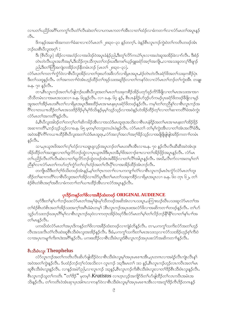လၢပတ်ပညိဉ်အဂိါပကကွ ်လီၤတံ်လီၤဆဲးတ်လၢပကမၤကတၢ်အိၤလၢတ်ထံဉ်လၢခံကတ႑်လၢလံာ်မၤတၢ်အပူၤန္ဉဉ်  $\circ$ 31.

ဒိကနဉ်အဆၢဖိအကတၫ်ာခံဆၢလၢလံာ်မၤတ႑် ၂၈း၃၀–၃၁ နှဉ်တက့်ၤ. ဖဲနဉ်စီၤလူၤကဉ်ကွဲးဝဲတၤ်ကတိၤတဖဉ်အံၤ ဘဉ်ဃးစီၤပီလူးအဂ္ဂါ :

ဒိး (စီၤ၀ီလူး) အိဉ်လၢအဟံဉ်လၢအငါဒဉ်ဝဲအပူၤခံနံဉ်ညါ,ဒီးတူၤ်လိဉ်ကယဲၤိပုၤလၢအဟဲဆူအအိဉ်ခဲလၢာ်လီၤ. ဒီးစံဉ် တဲၤတဲလီၤယ္ပၤအဘိအမု)်,ဒီးသိဉ်က္ၤသိက္ၤတၫ်ဘဉ်ဃးဒီးကစၢ်ယ့ဉ်ရူးခရံာ်အဂ္ဂါအကျို ,လၢအသးခူတလ့ၫ်ဒိဖျၢဉ် ညါ,ဒီးတၫ်တြိအကျဲတအိဉ်ဘဉ်နိတမံၤဘဉ် (မၤတ႑် ၂၈း၃၀–၃၁).

လံာ်မၤတၢ်ကတၢၢ်ကွံာ်ဝဲလၢစီၤပီလူးအိဉ်လၢတၢ်ဒုးဃာ်အဖိလာ်လၢရိမ့ၤအပူၤ,စံဉ်တဲၤတဲလီၤခရံာ်ဖိအတၫ်သးခုကစိဉ်ပုံၤ ဒီးတၫ်သးဒူနဉ်လီၤႉ တၫ်အကတ႑ၢ်ဝဲအံၤဟ္ဥာ်ထိဉ်တၫ်အှဉ်သးအရှဒိဉ်လ႑တ႑်ကနဉ်ဝဲလ႑လံဉ်မၤတ႑်ဘဉ်တ႑်ကွဲးအီၤ တချုး <u>ခ.န. ၇၀ န</u>ဉ်လီၤ.

တ႑ႇဗ်ဳၤလူၤကဉ်အတၫ်ဟ်ဖျါဘဉ်ဃးစီၤပီလူးအတၫ်မၤတၫ်သးခုကစိဉ်အိဉ်ပတု၁်ဖုဉ်ကိ်ာ်ဒီဖျိလၢတၫ်မၤအသးအၫအ႑ သိသိတမံၤလၢအမၤအသးလၢ ခ.န. ၆၄န္)်လိၤ. လၢ ခ.န. ၆၄ န္)်, စီၤပၤနံရဲဴဉ်ဟ်ဒ္ပဉ်ဟ်ကမဉ်ပုၤခရံှာ်ဖိတဖဉ်ခ်ီဖိုလၢမှုဉ် အူအတၫ်အိဉ်မၤဟးဂိၤတၫ်လၢရိမ္၊အပူ၊ဒီးစးထိဉ်မၤအၢမၤနးပုၤခရံာ်ဖိတဖဉ်နဉ်လိၤႉ ကမ့ၢ်တၫ်တညီနှၤ်လၢစီၤလူၤကဉ်အ ဂိ်းလၢတယπထိဉ်တၫ်မၤအသးဒိဉ်ဒိဉ်မှ၊်မှ၊်ဒ်သိးနဉ်မှမ့်၊သ္ဉ်သှဉ်လၢအဝဲနဉ်ဟဲအိဉ်ထိဉ်တဲ့၊်လၢတၫ်ဆၢကတိ၊်ဖဲအဝဲကွဲး လံဉ်မၤတౕၤအကတိႝၤ်နှဉ်လီၤႉ

ခံ,စီၤပီလူးအါဒဉ်တၫ်တက့ၫ်တၫ်ဆိကမိဉ်အီၤလၢအသံဒ်မၤထူရၤအသိးလၢစီၤပၤနံရိဉ်အတၫ်မၤအၢမၤနးတၫ်အိဉ်ဖိုဉ် အဆၢကတိိ၊ ဘဉ်သ့ဉ်သ့ဉ်လၢခ.န. ၆၅ မှတမ့ါ်တဘူးတယံၤဖဲနဉ်လီၤ. လံာ်မာတ တ်မ့်ာ်ကွဲးအီၤလၢတၢ်အံၤအလိၢခံဒီး အဝဲအနိ<sup>ု</sup>ကိ်<sup>ရ</sup>ကယπထိဉ်စီၤပီလူးအတ<sup>ှ</sup>သံဒ်မၤထူရၤႇလံာ်အလှ<sup>ရှ်</sup>အလ<sup>ှ</sup>အဝှါ်နည့်သည်လၫအဖြိဖျိဖျါဖျါအဒိဉ်ကတ႑ါတမံၤ  $50.$ 

သ႑ႇပုၤယူအဖိအတၫ်လှၤ်ဟဲ့ဉ်လၢယရူးရလူဉ်အပူးဘဉ်တၫ်မၤဟးဂိၤအိၤလၢခႉနႇ ၇၀ နှဉ်လီၤလီၤဆီဆီအဝဲအံၤဒုး အိဉ်ထိဉ်တ<sup>ရ</sup>အဘျူးလၢတ<sup>ရ</sup>ရှလိဉ်ဘဉ်ထွဲလၢပုၤယူဒၤဖိဒိီးပုၤတခ်ိမှ<sup>ရ</sup>ဖိအဘၢဉ်စπလၢတ<sup>ရ</sup>အိဉ်ဖိုဉ်အပူၤန္ဉဉ်လီၤ. လံဉ်မၤ တၫ်ပညိဉ်လီၤတံၫလီၤဆဲးလၢတၫ်ရှလိာ်ဘဉ်တွဲတဖဉ်အံၤအဖိခိဉ်လၢတၫ်လိႝၤ်အါပူၤန္ဉဉ်လီၤႉ အဃိႇလီၤက်လၢအတမ့ၢ်တ႑် ညီနှ\လၢလံာ်မၤတ\ကဟ်တ့\်ကွဲာ်တ\လှ\ဟံဉ်အတ\လီၤပို\လၢအအိဉ်ထိဉ်အံၤဘဉ်လီၤ

တကျိုးဃိဒီးတၫ်ဂ့ၫ်ဒ်သိးတဖဉ်အံၤန္နဉ်ႇမ့ၢ်တၫ်ဂူးကတ႑ၢ်လ႑ပကကျ႑ၢ်တံၫ်လ႑စီၤလူၤကဉ်မၤတံ၊တွံာ်လံာ်မၤတၫ်ဘူး ထိဉ်တၫ်ဆၢကတိႝၤ်လၢစီၤပီလူးအတၫ်အိဉ်လၢဃိSပူၤဒီးတၫ်မၤတၫ်သးခုကစိဉ်လၢရိမ္၊အပူၤလၢ ခႉနုႉ ၆၀ တုၤ ၆၂, တ႑် စံဉ်စိၤတဲစိၤအဂ္ဂါအ၀ီလၢခံကတၫါတါယπထိဉ်အီၤလၢလံာ်အပူၤန္ဉာလီၤ.

# ပုၤဒိဉ်ကနဉ်တ<sup>ှ</sup>ဖိလၢအခိဉ်ထံးတဖဉ် ORIGINAL AUDIENCE

ႜႜႜ<br>ၰာ်ဒီးတၫ်နၫ်ပၫၢိဘဉ်ဃးလံာ်မၤတၫ်အမုၢိနံၤမုၢ်သိတဖဉ်အဆိအံၤလၢပသးပူၤႇပကြၢးဃဉ်ဃီၤပသးဆူလံာ်မၤတၫ်အ တၫ်စံဉိစိၤတဲစိၤအတၫ်အိဉ်သးအက့ၢ်အဂ်ီၤခံမံၤတမ့ါ် :စီၤလူၤကဉ်အပုၤဖးအလံာ်ဖိလၢအဆိကတ႑ၢ်တဖဉ်နဉ်လီၤ. တၫ်ဟ် သူဉ်ဟ်သးဘဉ်ဃးပုၤဂိၢမှ်လၢစိၤလူၤကဉ်ဃုဝဲလၢကတုၤအိဉ်ဝဲဃုာ်ဒီးလံာ်မၤတၢ်မ့ၢ်တၫ်လိဉ်ဘဉ်နိ<sup>၎</sup>နို<sup>ရ</sup>လ၊တ႑်နှၤ်ပၢၢ်အ တ}မၤန္ဉဴလီၤ.

ပကဃိထံလံာ်မၤတၫ်အပုၤဒိကနဉ်တၫ်ဖိလၢအခ်ိႆဉ်ထံးတဖဉ်လၢကျဲခံဘိန္နဉ်လီၤႉ တၢႇပကကွၢ်သက်ိးလံာ်အတၫ်ဟ့ဉ် လီၤအသးလီၤတံၤ်လီၤဆဲးဆူစီၤသီးဖံၤလူးအအိဉ်နဉ်လီၤႉ ဒီးခံႇပကကွၤ်သက်းတၤ်မာအသးသ့လ႑လာံသးအိဉ်ဟုဉ်စ့ၤ်ကီးဝဲ လၢအပုၤကမျၢၤ်ကိုးကဒဲးအဂ်ိဳးနဉ်လိုၤ. ပကစးထိဉ်လၢစီၤသီးဖံၤလူးဒ်စီၤလူၤကဉ်အပုၤဖးလံာ်အဆိကတၫ်နဉ်လိုၤ.

# စီးသီးဖံးလူး Theophelus

လံာ်လူးကဉ်အတ<sup>ှ</sup>ကတိၤလီးဆိဟ်ဖျ်ထိဉ်ဝဲလၢစီးသီးဖံၤလူးမ့<sup>ရ</sup>အပုၤမၤစၢၤအိၤႇပုၤတဂၤလၢအရဲဉ်လီၤကျဲၤလီၤန္<sup>၎</sup> အဝဲအတၢ်ကွဲးနဉ်လီၤ. ဒ်ပထံဉ်ဘဉ်တ့ၢ်လံအသိးလၢ လူၤကဉ် ၁း၃ဒိီးမၤတၢ် ၁း၁ နဉ်,စီၤလူၤကဉ်ဟ့ဉ်လၤကပိၤအတၢ်မၤ ဆူစီၤသီးဖံၤလူးနှဉ်လီၤႉ လၢန္ဉာ်အမဲာ်ညါႇလၢလူၤကဉ် ၁း၃န္၄်ႇစီၤလူၤကဉ်ကိုးစီၤသီးဖံၤလူးလၢတၫ်ဒိဉ်စီၤသီးဖံၤလူးနှဉ်လီၤႉ စီးလူးကဉ်သူတ<sup>ရ</sup>ကတိၤ "တ<sup>ရဒ္ဌ</sup>ဉ်" မှတမ့<sup>ရ</sup> Kratistos လာဟူးလှဉ်အကျိဉ်ဒ်တ<sup>ရ</sup>ပာဖျံထိဉ်တ<sup>ရ</sup>လာကပီးအမံၤအ သိးနဉ်လီၤ. တၫ်ကတိၤဝဲအံၤဆုၤပုၤအါဂၤလၢကနဉ်ဝဲလၢစီၤသီးဖံၤလူးမ့္ပ်ာအပုၤမၤစ႑ာအီၤလၢအတူ ်ဒိဉ်ကီၤဒိဉ်တဂၤန္ဉ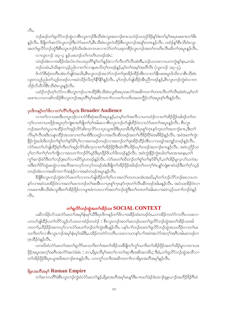$\circ$ 31.

ဘဉ်ဆဉ်တ<sup>ု</sup>ရှလိ်ာဘဉ်ထွဲလၢစီၤလူၤကဉ်ဒီးသီးဖံၤလူးအဘၫဉ်စπသဘံဉ်သဘုဉ်ဒိဉ်နှၤ်ဒံးတ<sup>ု</sup>မှ<sup>ု</sup>အပုၤမၤစπတ<sup>ုပွဲု</sup>၊ န5ုလီၤ. ဒီဖျိတၫ်ဖးလံာ်လူၤကဉ်ဒီးလံာ်မၤတ႑်,စီၤသီးဖံၤလူးကဲထိဉ်စီၤလူၤကဉ်အပျဲ႑်တကန္ဉာ်လီၤ. ပထံဉ်နှၤ်စီၤသီးဖံၤလူး အတၫ်ရှုလိ်ာဘဉ်ထွဲဒီးစီးလူးကဉ်ဒ်သိးအံၤတကပၤလၤလံာ်တ႑်သးခုကစိဉ်လူးကဉ်အတ႑်ကတိၤလီးဆိတ႑်အပူးနှဉ်လီး.

လၫလူၤကဉ် ၁း၃–၄ နဉ်ပဖးဘဉ်တၫ်ကတိၤတဖဉ်အံၤ: ယဲဒဉ်အံၤလၢအခဵဉ်ထံးလံၤလံၤယဃုတိၫ်န္႑်တ႑်န္ၣခဲလ႑ာ်လီၤတံၤ်လီၤဆဲးဒီးႇဘဉ်ယသးလ႑ယကကဲ့ႏန္႑်န္႕ေတမံၤ ဘဉ်တမံၤႇဒ်သိးနကသူဉ်ညါလၢတၫ်လၢနမၤလိတ့ၫ်တဖဉ်နဉ်ႇမ့ၫ်တၫ်အမ့ၢ်အတိလီၤ (လူၤကဉ် ၁း၃–၄).

ဒ်လံာ်စီဆုံတတိၤအံၤပာ်ဖျါဝဲအသိး,စီၤလူၤကဉ်အလံာ်ဘဉ်တ႑်ဒုးအိဉ်ထိဉ်အီၤလၢတ႑်နိုၤဖးအပူၤဒ်သိးလၢစီၤသီးဖံၤ လူးကသ္ဥာ်ညါတၫ်သ္ဥတဖဉ်လၢအဝဲသိဉ်လိတ့ၫ်နိ<sup>ု</sup>နိ<sup>ု</sup>နှဉ်လီၤ. မ့ၢ်ဘဉ်ဟ်ဖျ်ထိဉ်အီၤညီကဒဉ်နှဉ်,စီၤလူၤကဉ်ကွဲးဝဲလၢက သိဉ်လိသီလိစီၤသီးဖံၤလူးနဉ်လီၤ.

ပထံဉ်ဘဉ်တ့်လံာ်လာစီၤလူၤကဉ်ယπထိဉ်စီၤသီးဖံၤလူးဒ်အပုၤဖးလံာ်အဆိကတၢါတဂၤလီၤတံၤ်လီၤဆဲးဝံၤႇမ့္ပ်တ္ပါ မာစπလာပကဆိကမိဉ်စီးလူးကဉ်အပုံ၊ ဂိါမု၊်အဆိကတၫၢၳလာတက်ကတိၤအတကွိဉ်လဲ၊်အပူးစ့၊်ကီးနဉ်လီး

# ပုၤဒိကနဉ်တၫ်ဖိလၫတၫ်လိ်ၫကိႏပူးဒဲး Broader Audience

လၢတၫ်လၢပဖးအိၤတပူၤဒဉ်လၢလံာ်စီဆုံအသိအပူၤန္၄်ႇတမ့ၤ်တၤ်အကိလၤပကထံဉ်လၢတၤ်အိဉ်ဖိုဉ်အါဒဉ်တၤ်တ က့်าလၫတၫယၤဖိုဉ်အပူၤဂုဉ်ကျဲးစၫးတိဖျိတၫ်ဂုၤ်အါမးလၫစီၤလူၤကဉ်ပာ်ဖျါထိဉ်ဝဲလ႑လံာ်မၤတၫ်အပူၤန္ဉာ်လီၤ. စီၤလူၤ ၮၣၲအတၫၲတဲပူယ႑ာထိဉ်တ႑်အၙၣလိ႒်ဆိုးက္ခလိ႒်လ႑ပုၤယူအဖိဒီးပုၤတခ်ိဘိမှ႑်ဖိပုၤစူ႑်က္နာနဉ်ကူၤတ႑်အဘ႑ဉ်စ႑ာ မွဳးတ႑် လီၤမှၫ်လီၤဖးဒိးသန္ၤထိဉ်အသးလၢတၫ်မၢဖိဒိးသရဉ်လၢအလီၤဆီတဖဉ်အတၫ်တီခိဉ်ရို၊မဲအဖိခိဉ်နှဉ်လီၤ. အဝဲအတ႑်ကွဲး နိုဉ်ကွဲးဃါထိးဘဉ်တ႑်စူ<sup>၎်</sup>တ႑်နှာ်မိ<sup>ြ</sup>ပု႑်လ႑အကမဉ်တဖဉ်လ႑အဘဉ်တ႑်ဒုးအိဉ်ထိဉ်အီၤလ႑သရဉ်အဘျဉ်တဖဉ်နဉ်လီၤ*န* လံာ်မၤတၫ်ဟ်ဖျါထိဉ်စ့ၫ်ကီးတၫ်အ့ဉ်လိာ်ဆိုးက့လၢတၫ်အိဉ်ဖိုဉ်ဒီးထံကိ်ၤပဒိဉ်ပပုၫ်တဖဉ်အဘ႑ာ်စ႑ၤန္နဉ်လိၤႉ အဝဲပညိဉ်သ ပုါတၫါတါဂ့ါတါကျိုလၢအသဂၢါဘဉ်ပိဉ်မှဉ်ဒီးပု၊ဖိုဉ်ဖိယဉ်ဖိတဖဉ်နဉ်လီၤ. အဝဲကွဲးနိဉ်ကွဲးဃါတါမာအာမာနုး,တါ ကွှာ်ဆၢဉ်မဲှာဒီးတၢ်ဘဉ်ဒုးဃာ်လၢဃိာပူၤတဖဉ်နှဉ်လီၤ. လံာ်မၤတၢ်ထိးဘဉ်တၢ်စူၫ်တၢ်နှာ်မိၢ်ပု႑်တၢ်အိဉ်မှုလုလၢ်သကဲးပ ၀းဒီးတၫ်ပိ႒်ထွဲမၤထွဲလၢအက်ိအကလှာ်ကလှာ်တဖဉ်အံၤဒီဖျိတၫ်အိဉ်ဖိုဉ်အါဒဉ်တၫ်တက့ၤ်ဂဲၤပျုၤ်ကျဲးစၢးဝဲဒဉ်ဒီးတၤ်ဂ့ၤ်သွဉ် တဖဉ်အံၤလၢအဆိကတၫ်ာအနံဉ်လၢအဆံတဖဉ်အပူၤန္ဉာလီၤ.

ခ်ဳပျိစီးလူးကဉ်ကွဲးဝဲလံာ်မာတၫ်လၢကဟ်ဖျါထိဉ်တၫ်ဂ့ၫ်လၢအလဲၤ်တကပာအံၤအဃိႇမ့ၢ်တ႑်ဘဉ်လိာ်ဘဉ်စးလၢပက နဉ်လၢအဝဲသးအိဉ်ဝဲလၢအတ႑်မၤကဘဉ်တ႑်ဖးအီၤလၢပုၤစူ႑်က္ၤနှာ်က္ၤတ႑်လီၤဆီတဖဉ်အါမးန္ဉာ်လီၤႉ အဝဲသးအိဉ်ဝဲလၢ ကမၤစπစီၤသီးဖံၤလူးဒီးတၫ်အိဉ်ဖိုဉ်လၢပျπခံကပၤလၫာ်အတၫ်ဘဉ်ထွဲဒီးတၫ်တၤတၫ်အါမးလၢအဝဲသ္ဉာ်သဂၢၢ်ဘဉ်ဝဲနဉ်  $\overset{\circ}{\circ}$ 

# 

ပဆိကမိဉ်ဟ်သးလံာ်မာတၫ်အမှၫ်နံၤမှၫ်သိဒီးပုၤဒိကနဉ်တၫ်ဖိလၢအခိဉ်ထံးတဖဉ်ဝံၤႇပကအိဉ်ကတဲာ်ကတိၤပသးလၢ ပကပာ်ဖျါထိဉ်ပတၫ်တိာ်သူဉ်ပာ်သးသၢထံဉ်တထံဉ် : စီၤလူၤကဉ်အတၫ်မၤဘဉ်ဃးတ႑်ရှလိာ်ဘဉ်ထွဲအတ႑်အိဉ်သးအါ ကတၫ်ာႇဟိဉ်ခိဉ်အကလှာ်လၢလံာ်မၤတၫ်ဘဉ်တၫ်ကွဲးအိၤန္နဉ်လီၤ. ပန႑်ပၢၤ်ဘဉ်ဃးတ႑်ရှလိာ်ဘဉ်ထွဲအသဟိဉ်လၢတ႑်မၤ သကိႏတၫ်လၫစီၤလူၤကဉ်အမှၫ်နံၤမ့ၫ်အါဒီးႇပအိဉ်ကတဲဉ်ကတိၤပသးလၢပကန႑်ပၢၢ်အဝဲအလံဉ်အက္ဍၢ်အဂီၤအါမးတဖဉ်က ဂ္ဂၤထိဉ်ဝဲနဉ်လီၤ.

.<br>ပကဃိထံလံာ်မၤတၫ်အတၫ်ရှလိာ်မၤသက်းတၫ်အတၫ်အိဉ်သးခီဖျိတၫ်ကွၢ်သက်းတၫ်အိဉ်ဖိုဉ်အတၫ်အိဉ်မူလၢတၢယၤ .<br>ဖြဉ်အပူၤအက့ౕါအဂိၤအကံ်ါအလဲခံမံၤ:တၫႇရိမ္ၤဘိမု႞အတၤ်ပၫတၤ်ဆုၢဒီးအစိအကမိၤ;ဒီးခံႇတၤ်ရလိ်ာဘဉ်ထွဲအသိလ႑ တၫ်အိဉ်ဖိုဉ်ဒီးပုၤယူဒၤဖိအဘ႑ာ်စ႑ာနှဉ်လီၤႉ ပကကွၤ်သကိႏအဆိကတ႑ၤ်လ႑ရိမ္နာအဘိအမှၤ်နှဉ်လီၤႉ

## ရိမ္နာအဘိအမှ<sup>ငှ</sup> Roman Empire

တၫ်ဆၢကတိႝၤ်ဖိစီၤလူၤကဉ်ကွဲးဝဲလံာ်မၤတၫ်နဉ်ႇရိမ္၊အဘိအမှၢ်မၤန္<sup>႖</sup>ဒီးပ႑ာဃာ်မဲဉ်ဒံၤထၢဉ်ရှနယ႑ာ်အဟိဉ်ခိဉ်ဂိၤခဲ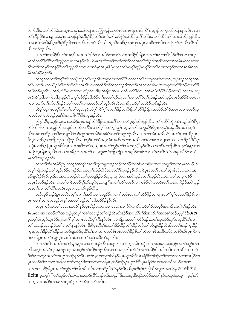လၫာ်ႇဒီးမၤလဲၫ်ထိဉ်ဝဲယံၤတုၤလၢမှၫ်မဆါတနံၤအံၤဘြတုန်ႇကလံၤစိးအၤဖရံးကၤဒီးကိ်ၫအ့ရှၫဉ်အက္ခအခ်ိတနိ႑န္ဉဉ်လီၤ. လ႑ တၫ်အိဉ်ဖိုဉ်လၫပျπအမှၫ်နံၤတဖဉ်နှဉ်,ဘီမှၫ်ဒိဉ်ထိဉ်ဒီးဒဉ်တ႑်,ဟ်ဖိုဉ်အါထိဉ်ပုၤဂိၢမှၫ်ဒီးမၤလဲၫ်ထိဉ်ကိၢ်ဆၢအါထိဉ်နှဉ်လိၤ ဒ်အမာဝဲအသိႏႇရိမ္နာဘီမှ<sup>ရဒ္ဌ</sup>ဉ်စိပၢတၫ်ကိႏကပာဒဲးယိာ်ယိာ်ဃှာ်ဒီးအရိမ္နာအလှၢ်အပ္နာႇအဖိတၫ်ာဒိီးတၫ်စူၫ်တၫ်နှာ်လီၤလီၤဆီ ဆီတဖဉ်နဉ်လီၤ.

လၤတၫ်တအိဉ်ဒီးတၫ်သးဒ့ဒိအပူၤ,တၫိဒိဉ်ဘၢအဒိဉ်ကတၢၫ်လၢအအိဉ်ဒီးရိမ္၊လၢတၫ်မၤန္ၫ်ကိ်ၫိနိဉ်ကိ်ၫဃၤာတဖဉ် မ့်)ထံ့ပုံယွ႕တွဲမွာလုပ္ငပ္မ်ားမာယားစ္နာ့တူး မွမ်ာ့အသွဲ့အင္ပ္မ်ားအထုပ္ငံပုပ္ပွဲဥပ္မံသလ္ဥအေဒွဥပေလ ၁၂၀၀ မွာေပာယ္မ လီၤတံၢိတၢ်မှာ်တၢ်ခုဉ်ဒီးတၢ်သူဉ်တိသးရာလာဘိမှၢ်အပူာခီဖိုျဖာနှာ်တၢ်မာနှာ်ဆူဉ်မာနှာ်ဗိုးတၢ်လာကလှာ်အတၢ်နှာ်စိနှာ်က မီးအ8ိခိန်နဉ်လီး.

ကလုာ်လၢတၫ်ဒုးနှၤ်အီၤတဖဉ်ဘဉ်တ႑်ဟုဉ်အီၤအခွဲးလၢကအိဉ်ဒီးကလုာ်တ႑်သဘျတဆံးတက္႑်ႇဘဉ်ဆဉ်ကလုာ်အ တၫ်ပၢတၫြပူးတဖဉ်ညီနှၤ်တ႑်ပ႒်လီၤက္ဥအိၤလ႑အသိဒီးထိဘိကဘဉ်ဒိုးအးလီၤအသးလ႑ရိမ္နာအသန္ဓတပတိၤ်ဘဉ်တပတိၤ် အဖိလာ်နဉ်လီၤ အဒိႇလံာ်မၤတၤ်ယ႑ာထိဉ်ကဲၤစါရံၤအရိမ္၊အပုၤပၫထံပၫကိ်ၤ်ခံကႇဒ်အမ္်ပဲလံဉ်ဒီးဖဲဉ်စထ႑ဉ်ႇလၢအပၫယူ ဒၤဒီကိံ\်ညါလၫကဲၤစါရံၤန္ဉာ်လီၤႉ မ့္ပ်ာပ်ပိုဉ်အါထိဉ်တ႑်ဆူတ႑်ရဲဉ်ကျဲၤတ႑်ထ႑တ႑်ခ်ိတ႑်သွဲန္ဉာ် အဝဲသ့ဉ်တဖဉ်အိဉ်ဒီးမှုဒါလ႑ ကပπဃာ်တၫ်မှာ်တၫ်ခုဉ်ဒီးတၫ်ကလုၫ်လၢအဘဉ်တၫ်ဟုဉ်လီၤအီၤလၢရိမ္၊ဘီမှၢ်အအိဉ်တခ်ိန္ဉာလီၤ

ဘိမှSဟူးဂဲၤမၤစ္SကိုးလှSလSထူသန္ဒဒီးထံဂ့SကိSဂ္ဒာအတSဒိဉ်ဘ႑ၶိဖျိတSပာဖိုဉ်ရိမ္၊အထံဖိကိSဖိအပုၤတဝ႑တဖဉ်ဆူ ကလုာ်လၢအဝဲသူဉ်ဒုးနှ<sup>ငှ</sup>ဝဲအထံဖိကိ်<sup>ရဖွ</sup>အပူၤန္ဉာလီၤ.

ညီန1်,ရိမ္နၤဟူဉ်သုံးလၢအအိဉ်ဘုံးတဖဉ်ဟိဉ်နိဉ်လၢထံကိြလၢအဝဲဒုံးန1်သိဝဲနှဉ်လီၤ. တ1်မၤဟိာ်ထွဲဝဲအံၤသူဉ်ထိဉ်ရိမ္န၊ ထံဖိကိ်် ဖိလၢအသူဉ်တိသးရာဒီးအထံအကိ််လၢဘိမှ ်ဒိတဘုဉ်ညါအပူာ့ ဒီးဆိဉ်သခုထိဉ်ရိမ့္၊အလှၤ်အပူာဒီးအတၤ်ဟုဉ် လီၤသးလၢပဒိဉ်ပပုါဒီးတါရှလိဉ်ဘဉ်ထွဲအတါအိဉ်သးခံမံၤလၢာ်အပူၤန္ဉာ်လီၤႉ လၢတါအံၤအဃိလံာ်မၤတါယ႑ာထိဉ်ပုၤ ဂြိမှ်လာရိမ့္ပတဘိုတဉ်တဘိုနဉ်လီၤ. ဒ်ဘူဉ်ယဲ််််ဆံအမှ်နံၤအဆိကတၢ်အသိႏွပဖးလာမၤတဉ်၂း၁၀–၁၁လၢအိဉ်ဝဲဒီး ပုံၤ တမုံၤလၢရိမ္၊(ပုၤယူအဖိဒီးပုၤလၢအဆီတလဲဆူယူအအတၫ်ဘူဉ်တၫ်ဘါတဖဉ်)"နဉ်လိၤႉ မၤကဒီးတဘိုုႇစီၤကန္လလံးႇပုၤလၢ အပျံုယွာရိမ့္မာသူးဖိတကယာအခ်ိန်လာမာတ႑် ၁၀,ဟူးဂဲၤဒ်ကျိုကျဲလာအရှဒိန်တမံၤလာတၤ်ရာလီၤတၤ်သးခုကစိန်လာလံ>် မၤတၫ်အပူၤန္Sလီၤ.

လၫတ်ြဒားအမဲှာသါ့,ကလှာ်အလှ၊်အလ၊်ထူသန္နတဖဉ်ဘဉ်တ၊်ဒိဉ်ဘၢအီးလ၊ရိမ္နာအပုၤကမျာ၊်အတ၊်မၤတဖဉ်,ဒိ အမ့်)ကျဲတဖဉ်,တၫ်သူဉ်ထိဉ်တဖဉ်ဒီးပုၤကမျၫ်ထံဉ်လိ5်သးအလိ်\တဖဉ်နဉ်လီၤႉ ရိမ့ၤအတၤ်ပၢတၤ်ဆုၫဒ်အံၤတကပၤဒုး နဲဉ်ဖျါထိဉ်စီၤပီလူးဒီးပုၤအဂၤတဖဉ်လဲၤတ႑်သဘူဒြဉ်မးဒီးပူၤပူ၊ဖျဲးဖျဲးလၤအဝဲသ့ဉ်အတ႑်ဟ့ဉ်လီၤသးမၤတ႑်သးခုကစိဉ် အပူၤဒ်လဲဉ်နဉ်လီၤႉ ပုၤတၫ်မၢဖိတဖဉ်စ့ၢ်ကီးသူဝဲပုၤကမျၫ်အတၫ်လိႝၤ်တဖဉ်လၢကစံဉ်တဲၤတဲလီၤတၫ်သးခုကစိဉ်ဒ်အဝဲသ့ဉ် လဲၤတၫ်လၢတၫ်လိႝၫ်တတိၤဆူအဂၤတတိၤန္ဉာ်လီၤ.

ဘဉ်သ့ဉ်သ့ဉ်ရိမ့ၤအဘိအမှ<sup>ရ</sup>အကဲ့<sup>ရှ</sup>အဂြီးလၢအရှ<sup>8</sup>ဉ်ကတၢါတမံၤလၢတၢ်အိဉ်ဖှိဉ်လၢပျπအဂိါမ့ါဝဲအတ<sup>ရဒ္ဌ</sup>ဉ်စိလၢ ပှၤကမျၫ်လၫအဝဲသ့ဉ်မၤန္<sup>၎</sup>ဝဲအတ<sup>၎</sup>ဘူဉ်တၫ်ဘါအ<sup>88</sup>ဉ်နှဉ်လီၤ**.** 

ဖဲလူၤကဉ်ကွဲးတၫ်အဆၢကတိႝၤန္5ဲႇပုၤအိဉ်ဝဲတဂၤလၢအဆၢထၢဉ်ဝဲလၢရိမ္၊ဘီမုၤ်ဒိတဘ္ဉာ်အခၢဉ်သးကဲစၫ်နှဉ်လိၤႉ စီးပၤလၢအပၢဘဉ်ကိ်ိုအါဘွဉ်မှတမှ့်ကဲစဉ်တဘဉ်တဉ်ထံဉ်အီၤထဲဒဉ်ဒ်အပုၤဂိၢမှ်ုဒီးအဘိမှ ်အကစဉ်ဘာ်,မမှ့်္ာဒ် $Soter$ မှတမ့်ပြာအုဉ်ကူးခိဉ်ကူးပုံးဂြိမှ်တကအသိုးစ့်ၫကီးနဉ်လီး လ၊ရိမ္နာအတ႑်ကစိဉ်နှဉ် ကဲစ႑်ထူးထိဉ်ကံ့ဉ်အပုံးဂြိမှ်လ၊ တၫ်သဘံဉ်သဘုဉ်ဒီးတၫ်ခံးတ႑်နၤန္ဥလီၤ. ဒီးရိမ္နၤဘိမှၫ်အတ႑်ဒိဉ်ထိဉ်လဲ႑်ထိဉ်ဘဉ်တ႑်ဟ်ဖျထိဉ်အီၤဒ်အတ႑်အှဉ်က္πဒိဉ် က္ခၤအတၫ်ဒိဉ်လဲၫ်ထိဉ်,မၤထူဉ်ဖျဲးထိဉ်ပုၤဂိၢမှၫ်လၢအကလှာ်စီၤပၤအတၫ်ဒိဉ်စိတ႑်ထဲတဂၤဇိၤအဖိလာ်ဒီးဟဲစိာ်ဃီၤပုၤကိးဂၤ ဒဲးလၫရိမ္၊အတၫ်သူဉ်ဂ္၊သး၀ါအတ႑်ပၢတ႑်ဆု၊အဖိလာ်နှဉ်လီ၊.

လၢတၫ်လိ်ြအအါကတ႑ၢိန္၄ိႇပုၤလၢတ႑်မၤန္ ်အိၤတဖဉ်ဘဉ်တ႑်ဟ္ဝ်အိၤအခွဲးလၢကဆဲးမၤအဝဲသ့ဉ်အတ႑်ဘူဉ်တ႑် ဘါအလုံ၊အလၢ်ဒဉ်ဝဲ,ဘဉ်ဆဉ်အဝဲသွဉ်တ႑်လိဉ်ဘဉ်အီၤလၢကအၫဉ်လီၤကဲစၢ်အတ႑်အိဉ်ဒီးအစိကမီၤလၢအဒိဉ်ကတ႑၊ ဒီးရိမ္နာအလှ်ာအလ်ာအယွာတဖဉ်နဉ်လီာ. ခဲအံာ,လာကျဲအါဘိန္၄်,ပုာယူအဖိဒီးပုာခရံာ်ဖိအါဒဉ်တဉ်တက့်ာလာတာယာဖိုဉ်အ ပူၤတဖဉ်မ့<sup>၎</sup>ပုၤအဂ္ၤအဝါလၢအဒိကနဉ်ဒိးပၢအသးလၢရိမ္နာႇဘဉ်ဆဉ်ပုၤယူဒၤဖိဒီးပုၤခရံာ်ဖိလၢအသးတိတဖဉ်သမၢဝဲ လၫကဟ်ပနိဉ်ရိမ္နာအတၫ်ဘူဉ်တၫ်ဘါအစိကမိၤလၢအဒိဉ်စိတ႑်နှဉ်လီး. ရိမ္နာဘီမှၫ်ဟ်ဖျါထိဉ်ယူအအတ႑်နှာ်ဒ် religio licita မှတမ့<sup>ရ "</sup>တၫ်ဘူဉ်တၫ်ဘါလၢအဘဉ်လိာ်ဘဉ်စးဒီးသန့္"ဒီးဝံသးစူ၊ဒီးပျဲဝဲခရံာ်ဖိအတ႑်နာ်တသဲ့ဖဲအသ့ – မ့မ့္ပ်နာ် သက္ခလၢအဆိိုခ်တိၤ်မာနπပုာခံဖုလၫာ်အံၤဒဉ်လဲာ်လီၤ.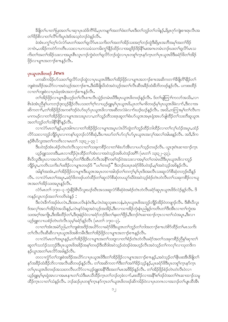<sup>8</sup>ၛိတ်ပၢတၢိပြးအတၫ်ပၢဆှၢပှၤထံဖိကိ်ါဖိႇပှၤကမျၫ်အတၫ်ဖံးတၢ်မၤဒီးတၫ်ဘူဉ်တၫ်ဘါနဉ်ႇရိမ့ၤဂုဉ်ကျဲးစၢးရၤလီၤအ တၫ်ဒိဉ်စိလၢတၫ်လိ်ၤကိုးပူၤဒဲးဒ်အသွဝဲဘဉ်ဝဲနဉ်လီၤ.

.<br>ခဲအံၤပက္ဂ<sup></sup>ါတ့်၊လံလံာ်မၤတၫ်အတ<sup>ုံ</sup>ရှလိ5်မၤသက်ိးတၫ်အတ႑်အိဉ်သးအဂ္ဂၢ်ဘဉ်ထွဲဒီးရိမ္ၤအဘိအမှၢ်အတ႑်ဒိဉ် ာၫဝံၤႇပအိဉ်ကတဲာ်ကတိၤပသးလၢပကသမံသကမိးကွ<sup>ရန္</sup>ဉ်ထိဉ်လၢအရှ<sup>ဒ္ဌ</sup>ဉ်ဒိဉ်နိ<sup>ရ</sup>မးအဂၤတမံၤဘဉ်ဃးတ<sup>ရ</sup>ရှလိာ်မၤသ ကိုးတၫ်အတၫ်အိဉ်သးလၢအပူ၊စီၤလူ၊ကဉ်ကွဲးဝဲတၫ်ရှလိ်ာဘည်ထွဲလၢပု၊တစူၫ်က္၊နှာ်က္၊တ႑်ပု၊ယူဒ၊ဖိဒီးခရံာ်ဖိတၫ်အိဉ် ဗိုဉ်လၢပျπအဘၢဉ်စπနှဉ်လီး.

# $\alpha$  or  $\alpha$  or  $\alpha$  or  $\alpha$  or  $\alpha$  or  $\alpha$  or  $\alpha$  or  $\alpha$

.<br>ပကဆိကမိဉ်ပာ်သးတ<sup>ရ</sup>ရလိာ်ဘဉ်ထွဲလၫပှၤယူဒၤဖိဒီးတၫ်အိဉ်ဖှိဉ်လၫပျπအဘ႑ာ်စπအဆိကတ႑၊်ခ်ီဖျိတိ<sup>ု</sup>နိဉ်တ႑် <mark>ႃ</mark>ားစဲအဒိဉ်အယိ5်လၫအဝဲသုဉ်အဘ႑ာ်စπႇဒီးခံံနိဖြိုဃိထံအဝဲသုဉ်အတ႑်လီၤဆီအနိဉ်ထံးနိဘိတဖဉ်နဉ်လီၤ<sup>့ီ</sup> ပကစ်းထိဉ် လၢတၫ်ဘူးစဲလၢပုၤခံဖုအံၤအဘၢဉ်စ႑န္ဥလိၤ.

တၫ်အိဉ်ဖှိဉ်လၢပျπနိုၤဟ့ဉ်တၫ်လီၤစπလီၤသွဲဉ်တမံၤဃိဒီးပှၤယူဒၤဖိတဖဉ်နဉ်လီၤ. ဒ်တၫ်ဖျံတြၫ်ကလာ်အသိး,လၢ စိၤခဲအံၤညီနှၤ်ပကဘဉ်ဒုးသ့ဉ်နိုဉ်လီၤပသးတၤ်ဂ့ၤ်လၢယ့ဉ်ရူးမ့ၤ်ပုၤယူအဖိႇပုၤတၤ်မၢဖိတဖဉ်မ့ၤ်ပုၤယူအဖိခဲလၢာ်ႇဒီးလၢအ ဆိကတၫ်ႇတၫ်အိဉ်ဖိုဉ်အကစၫ်ဒဉ်ဝဲဟ်ဃှာ်ပုၤယူအဖိလၢအဆိတလဲခဲလၫာ်ဃဉ်ဃဉ်နဉ်လီၤႉ အဃိႇတကြၢးမ့ၢ်တၫ်လီၤက မၢကမဉ်လၢတၫ်အိဉ်ဖှိဉ်လၢပျπအသးပူၤလၢႇတၫ်သူဉ်တိသးရာဆူတၫ်စံးပာ်ယူအအမ့ၤရုံအၤဟ်ဖျါထိဉ်တၫ်သးတိဆူယူအ အတၫ်ဘူဉ်တၫ်ဘါနိ<sup>ု</sup>နိ<sup>ု</sup>နှဉ်လီၤ.

လၢလံာ်မာတ်၊နှဉ်,ပုံာအါကလာတၫ်အိဉ်ဖိုဉ်လာပျπအပူာလဲၤပိာ်ထွဲတၫ်ဘူဉ်ထိဉ်ဘါထိဉ်လာတ႑်လှၤ်ဟုဉ်အပူာ,ထံဉ် လိ5်သးလၫဘူဉ်ဘိုဉ်ပူၤလ႑ကန<်ပဉ္စဘဉ်လံာ်စီဆိုႇဒီးပ႑ာဃာတ်ၫ်ဟ်လှျပာပွာယူအအလှၤ်အလၤ်အါမးနဉ်လိၤႇ အဲဒိႇဒိက နဉ်စီၤ၀ီလူးအတ႑်ကတိၤလၢမၤတ႑် ၁၃း၃၂–၃၃:

.<br>ဒီးပဝဲဒဉ်အံၤပစံဉ်တဲၤတဲလီၤသုလၢတ်သးခုကစိဉ်လၢတၢ်စံးဟ်အီၤလၢပပၢ်သ့ဉ်တဖဉ်လီၤ. ယွၤဒုးဂဲၤဆၢထၢဉ်ကွၤ ယ့ဉ်ရူးသတးဒီး မာလၢထိဉ်ပုံၤထိဉ်တၫ်အံၤလၢအဝဲသ့ဉ်အဖိပဝဲဒဉ်အဂိ်၊ (မာတ႑် ၁၃း၃၂–၃၃).

စီၤ၀ိလူးဒီးပုၤလၢအလဲၤသက်ိးဃှာ်တၫ်ဒီးအိၤဟ်လီၤအနိ<sup>ု</sup>ကစၫ်ဒဉ်ဝဲအသးလၢအမ့ၢ်တၢ်တမံၤဃိဒိးပုၤယူအဖိလၢဘူဉ် ဘျဉ်ပူ၊ ကတိၤသကိဴးပါဖးဒိဉ်လ ၊ပျ ။ တဖဉ်ဒ် "ပပါတဖဉ်" ဒီးဘဉ်ဃးပု၊ ခရံာဖိဒ်ပဝဲဒဉ် မှ ါအဝဲသုဉ်အဖိနဉ်လီ၊

အါန1်အအံၤႇတ1်အိဉ်ဖိုဉ်လၢပျπဒီးယူဒၤအပုၤတဝၢအါဒဉ်တ1်တက့1်မ့ှ်ပုၤဒိးအးလီၤသးဆူလံာ်စီဆုံတဘ့ဉ်ဃိနဉ် လီၤ. လၢလံာ်မၤတၫ်အပူၤ,ခရံာ်ဖိတဖဉ်ပတံထိဉ်တ႑်ဆူလံာ်စိဆုံတပယူာ်ဃိဖဲအဝဲသူဉ်စံဉ်တဲၤတဲလီၤတ႑်သးခုကစိဉ်လၢယူ ဒၤအတ႑်အိဉ်သးအပူၤန္နဉ်လီၤ.

လံာ်မၤတၫ် ၁၇း၁–၃ ကွဲးနိဉ်စီၤပီလူးဃဉ်ဃီၤအသးဆူလံာ်စီဆုံဖဲအစံဉ်တဲၤတဲလီၤခရံာ်ဆူပှၤယူအဖိဒ်လဲဉ်နဉ်လီၤ. ဒိ ကနဉ်လူးကဉ်အတ<sup>ှ</sup>ကတိၤဖဲနှဉ် :

ဒီးလဲၤခီက်အဉ်ဖံပလဲၤႇဒီးအၤပလိၤနံပံၤဒိးႇလဲၤ၀ဲဆူသူးစၤလနံႇဖဲပုၤယူဒၤဖိအဘူဉ်ဘိုုဉ်အိဉ်၀ဲတဖျၢဉ်လီၤႉ ဒီးစီၤပီလူး ဒ်အလှၤ်အလၤ်အိဉ်ဝဲအသိးနဉ်,လဲၤနှာ်ဝဲဆူအဝဲသုဉ်အအိဉ်,ဒီးလၤသၤအိဉ်ဘုံးနံၤညါနဉ်ကတိၤတၤ်ဒီးအီၤလၤတၤ်ကွဲးအ သးအဂ္ဂါအကျိုး ဒီးအိးထိဉ်တ1်,ဒီးဒုးနဲ့ဉ်ဝဲလၢခရံှာ်ဘဉ်ဒိးတ1်နးတ1်ဖိုဉ်,ဒီးဘဉ်ဂဲၤဆၢထ႑ာ်က္ၤလၢတ႑်သံအပူ၊ ,ဒီးလၢ ယူဉ်ရူးလၢယစံဉ်တဲၤတဲလီၤသုမ္နါခရံှာန္ ဉ်လီၤ (မၤတ႑် ၁၇း၁–၃).

လၢတၫ်အံၤအမဲာ်ညါႇတၫ်ဘူးစဲအဒိဉ်အယိာ်လၢခရံာ်ဖိဒီးယူအတၫ်ဘူဉ်တၫ်ဘါအဘ႑ာ်စπဟဲစိာ်ထိဉ်တၫ်မၤသကိႏ တၫ်လီၤလီၤဆီဆီလၫပုၤယူဒၤဖိအစိကမဵၤဒီးတၫ်အိဉ်ဖိုဉ်လၫပျ႑ာအဘ႑ာ်စ႑ာနှဉ်လီၤ.

လၢလံာ်မၤတၫ်အပူၤန္ဉာ်ႇတၫ်အိဉ်ဖိုဉ်လၢပျπအတ႑်သးဒူလၢတၫ်စံဉ်တဲၤတဲလီၤခရံာ်အတ႑်သးခုကစိဉ်ညီနှၤ်ဆုၢတ႑် ဆူတၫ်သဘံဉ်သဘုဉ်ဒီးပုၤယူဒၤဖိအခိဉ်အန<်တဖဉ်ဒီးထိဒါအဝဲသ့ဉ်ထဲဒဉ်ဖဲအဟုဉ်လီၤအဝဲသ့ဉ်တ႑်ကလှၤ်လၤသုတဒိက နဉ်ယွၤအတ<sup>၎</sup>မၤလိဉ်အခါနဉ်လီၤ**.** 

,<br>တလၢက္ဂံာ်တၫ်ဘူးစဲအဒိဉ်အယိာ်လၢပုၤယူဒၤဖိဒီးတၫ်အိဉ်ဖှိဉ်လၢပျπအဘၫဉ်စπန္ဉဉ်,အဝဲသ့ဉ်တၫ်နီၤဖးအီၤခီဖျိတ႑် နဉ်အခိဉ်ထံးခိဉ်ဘိလၢအလိၤဆိတဖဉ်နဉ်လီၤ. တၫ်အဆိကတ႑်ဒီးတၫ်အငံ္ဂါခိဉ်သူဉ်န္ဉာ်,ပုၤခရံဉ်ဖိဒီးပုၤတစူၫ်က္ၤနဉ်က္ၤ တၫိပ္ပာယူဒာဖိတဖဉ်အသးတလီၤပလိ§လ႑ယူဉ်ရှူးအနိ<sup>ုဒ္ဓိ</sup>းအတၫိမာအ<sup>88</sup>ခ်ိနဉ်လီၤ. တၫအိဉ်ဖိုဉ်စံဉိတ်ၤတ<sup>ို့</sup>လီၤဝဲလၤ ယွဉ်ရူးမှု်မှု၊ ရုံအာလၢအမာနု πတၫ်သံဒီးမာသီထိဉ်ကွာတၫ်ဘဉ်တဲ့ခဲလၫာ်,စးထိဉ်လၢအနိဂ်စၢ်ဒဉ်ဝဲအတၫ်ကဲဆၢထၫဉ်သမှု ထိဉ်က္ၤလၢတၫ်သံနဉ်လီၤႉ ဘဉ်ဆဉ်ပှၤတစူၫ်က္ၤန>်က္ၤတၫ်ယူဒၤဖိတဖဉ်ဆိကမိဉ်ဝဲလၢပှၤတဂၤလၢအဘဉ်တၫ်ပျၤထိအိၤ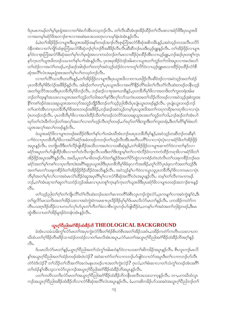ဒ်ပုၤမၤကမဉ်တၫ်မှၤ်မှၤရုံအၤလၢတၫ်စံးဟ်အိၤတသ့ဘဉ်လီၤ. တၫ်လီၤဆီအံၤဒုးအိဉ်ထိဉ်တ႑်လီၤဖးလၢခရံာ်<sup>08</sup>ဒီးပုၤယူအဖြ လၢအတမ့် ခရံာ်ဖိအဘၫာ်စπလၢအဆဲးမၤအသးတုၤလၢပမှ်နံၤခဲအံၤန္ ဉ်လီၤ.

ခံ,ဖဲတၫ်အိဉ်ဖိုဉ်လၢပျπဒီးယူအအခိဉ်အန႑်တဖဉ်အၫဉ်လီၤဇူးဘြံအလံာ်စီဆုံအစိကမိၤန္ဉာ်,အ၀ဲသ့ဉ်တသးလီၤပလိဉ် ဝဲနိတစဲးလၫတၫ်ကျိဉ်ထံ့ော်ဘြဲအလံာ်စိဆုံဘဉ်ဂ့ၫ်ဘဉ်ဝိအဖိခိဉ်လိၤလိၤဆိဆိဘဉ်ဃးဒီးယ့ဉ်ရူူးနှဉ်လိၤႉ တၫ်အိဉ်ဖိုဉ်လ႑ပျ႑ာ နှာ်ဝဲလၢဇူးဘြိုအလံာ်စီဆုံအတ႑်မှၤ်လ႑်မှၤရုံအၤလၢကဟဲဘဉ်တ႑်မၤလၢထိဉ်ပုဲၤထိဉ်အိၤလၢယူဉ်ရူးႇဘဉ်ဆဉ်ပုၤတစူ႑်က္၊ နှာ်ကူးတၫ်ယူအဖိတဖဉ်သမၢတၫ်နှၤ်ပၫ်ဒာံးနှဉ်လီး. ပုၤအဖုအိဉ်ဝဲဒဉ်အါမးလၢယူအတၫ်ဘူဉ်တၫ်ဘါအပူးလၢအဟံးဃာ် တၫ်ထံဉ်လၢအလဲၫ်တဖဉ်ႇဘဉ်ဆဉ်အါဒဉ်တၫ်တက့ၫ်အဝဲသ့ဉ်ထံဉ်ဝဲလၢကတူၫ်လိ5်ဝဲလၢယ့ဉ်ရူုးမၤလၢထိဉ်ပုဲၤထိဉ်လံာ်စီ ဆုံအလိ်ၤလံၤအမှၤရုံအၤအတၤ်မှၤ်လၤ်တသဲ့ဝဲဘဉ်လီၤ.

လၢတၫ်လိႝၫ်သၢတိၤတတိၤန္ဉာဴႇတၫ်အိဉ်ဖိုဉ်လၢပျπဒီးပုၤယူအဖိလၢတၢယၤဖိုဉ်လီၤဆီဝဲဒဉ်လၢအဝဲသူဉ်အတ႑်ထံဉ် ပုၤတခ်ိဘိမှ<sup>ု</sup>ဖိဒ်လဲဉ်အဖိခိဉ်နဉ်လီၤ. အါဒဉ်တၢ်တက့်ၫ,ပုၤယူအဖိလၢအတိ<sup>ု</sup>နိဉ်တိၢ်ဃါတၢ်လီၤတံၢလီၤဆဲးတဖဉ်တနိုၤဟ့ဉ် .<br>အတၫရလိ်ာအသးဒီးပုၤတခ်ိဘိမှၢိဖိဘဉ်လီၤႉ ဘဉ်ဆဉ်လၢစုအဂၤတခ်ိန္**ဉ်**,ပုၤတခ်ိဘိမှၢိဖိလၢအတဒ်ိးတၫ်ကူးတရံးအါမး ဘဉ်တၫ်ထုးနှၤ်အသးလၤယူဒၤအတ႑်ဘူဉ်တ႑်ဘါအတ႑်နှာ်ဒီးလှၤ်လ႑်သကဲးပ၀းအတ႑်သိဉ်လိတဖဉ်လၤအဝဲသ့ဉ်ဒုးစဲဘူးအ နို်ကစၢ်ဒဉ်ဝဲအသးဆူယူဒၤအကလှာ်အဘူဉ်ဘျိဉ်ဒီးဘဉ်တ႑်သူဉ်ညါအီၤဒ်ပုၤပုုံၤယွၤတဖဉ်နှဉ်လီၤႉ ပုၤပုုံၤယွၤတဖဉ်ဘဉ် တၫ်ပးကဲအိၤလၢပုၤတခ်ိဘိမှၫ်ဖိအဂၤတဖဉ်အဖိခိဉ်ႇဘဉ်ဆဉ်အဝဲသ့ဉ်တမ့ၢ်ပုၤယူဒၤဖိအတၫ်ကရၢကရိအကရၢဖိလၢလၢပုဲၤ ပုံၤတဖဉ်ဘဉ်လီၤႉ ပုၤတခ်ီဘီမှ<sup>ု</sup>ဖိလၢအဘါထိဉ်သိတ`iတဖဉ်လဲလိ်ာအသးဆူယူအအတ`iဘူဉ်တ`iဘါႇဘဉ်ဆဉ်တ`iအံၤဟ် ၰာ်တၫ်လဲၤဒီက်ဘဉ်တၫ်အလှၤ်အလၤ်လၢတၤ်ဟုဉ်လီၤတ့ၤ်တဖဉ်ႇပာ်ဃှာ်တၤ်ဒိးဘျၤဒိးတၤ်ကူးတရံးႇဒိးတၤ်တိၤ်နှၤ်ဖံးဃာ် ယူဒၤအလှၤ်အလျ်တဖဉ်နဉ်လီး.

ဖဲယူအခရံာ်ဖိလၢပျπတဖဉ်စးထိဉ်ဝဲဒီးတ႑်နှၤ်ပၢၢ်တမံၤဃိအံၤဘဉ်ဃးပုၤတခ်ိဘိမှၤ်နှဉ်,အဝဲသ့ဉ်တဆိဘဉ်တဆိနြ ပၢါ၀ဲလၢပုၤတခ်ိဘိမှSဖိလၢအပိဉ်ခရာ်အခံတဖဉ်ကဘဉ်တSဟ္ဥလီၤအီၤအတိၤပတိSလၢလၢပုံၤပုဲၤလၢခရာ်ဖိတSအိဉ်ဖိုဉ် အပူးနှဉ်လီး တကျိုးဃိဒီးတၫ်လိဉ်ဖျ်ထိဉ်အသိလၢအဟဲလၢသးစိဆုံနှဉ်,တၫ်အိဉ်ဖိုဉ်လၢပျπဆၢတဲာ်ဝဲလၢတ႑်နှာ်လၢ ခရံာ်အပူၤတၫ်ဟ်ဖျါထိဉ်အိၤလၢတၫ်တဲလီၤကျဲၤလိၤသးဒီးတၫ်ဒိးဘျာမှၤ်တ႑်လ႑ဝဲလိဉ်ဝဲလၢကကဲထိဉ်ကရာဖိလၢခရံာ်ဖိတ႑် အိဉ်ဖှိဉ်အပူၤအဂ်ိါနဉ်လီၤႉ အဃိႇပှၤတၫ်မၢဖိတဖဉ်ဟ်ဝဲတၫ်နဉ်ဒ်အတၫ်ပိဉ်ထွဲလၢကစံဉ်တဲၤတဲလိၤတၫ်သးခုကစိဉ်ဘဉ်ဃး ခရံာ်အတၫ်မှၤ်ကစၤ်လၢပုၤကိႏၵၤဒဲးအဂ်ိါဆူပုၤယူဒၤဖိဒိႏပုၤတခ်ိဘိမှၤ်ဖိခံဖုလ႑ာ်အအိဉ်ႇတူၤလိဉ်ပုၤခံဖုလ႑ာ်အတၤ်ဟုဉ်ဒိး အတၫ်မၤတၫ်သးခုကစိဉ်ဒ်တၫ်အိဉ်ဖိုဉ်ဒိဉ်ထိဉ်ဝဲအသိးန္ဉာ်လီၤႉ အဝဲသ္ဉာ်နှၤ်ပၫၤ်ဝဲလၢယွၤသူပုၤတခ်ိဘိမှၤ်ဖိလၢကမၤလၢပုဲၤ ဘိမှ်ျအတ်မှ်ာလာလာအဝဲမာလဲကြိဉ်ဝဲဆူအပုာဂိါမှ်ာလာလံာ်စိဆုံအလိါလံၤအပူာနှဉ်လီၤ. တမ့်ာ်တာ်လီၤကမၢကမဉ် ဘဉ်ႇတၫ်အံၤဆု႑တ႑်ဆူတ႑်သဘံဉ်ဘုဉ်အါမးလ႑ပုၤတစူ႑်က္နာနဉ်ကူၤတ႑်ယူအဖိဒြီးပုၤခရံှာဖိလ႑ပျ႑ၤတဖဉ်အဘ႑ာ်စ႑ၤန္နဉ် ್ಬಿ.

တၫ်သူဉ်ညါတၫ်ဂ့ၫ်တၫ်ကျိုလိြုတံၫလိုၤဆဲးဘဉ်ဃးတ႑်ဆ႑ကတိႝၤ်ဖိစီၤလူၤကဉ်ကွဲးလံာ်ႇပုၤကမျ႑ာ်လ႑အဝဲကွဲးန္ ၊်ဝဲႇဒိး တၫ်ရူလိ9်မၤသကိုးအတၫ်အိဉ်သးလၢအဝဲကွဲးဝဲကမၤစ႑ာပုဒိဉ်ဒိဉ်မှ၊်မှ၊်ဒ်ပမၤလိလံ9်မၤတ႑်နှဉ်လီၤ. ပကအိဉ်ကတဲ9်က တိၤပသးဂ္ဂၤဒိဉ်ထိဉ်လ ပကပာ်လှၤ်ပာ်ပွာတ႑်ကိတ႑်ခဲလ႑စီးလူာကဉ်ပာ်ဖျါထိဉ်ဝဲ,ပကန႑်ပ႑ာအဝဲအတ႑်ဘုံရဲတဖဉ်,ဒီးမာ ထွဲအီၤလၢပတၫ်အိဉ်မှုဒဉ်ဝဲတနံၤအံၤန္ဉာလီၤ.

# ယွာက်ိုပြီညါအငံ<sup>ု</sup>နိ*ုင်္*စီးနိ*ု*ဘိ THEOLOGICAL BACKGROUND

ခဲအံၤပသမံသမိးကွ ်လာ်မၤတ ်အပုၤကွဲးလံာ်ဒီးတ ်စံဉ်စိၤတဲစိၤအတ ်အိဉ်သးဝံၤႇပအိဉ်ကတဲာ်ကတိၤပသးလ ၊ပက ဃိထံပတၫ်ဂ္ဂါခိဉ်တိဖးဒိဉ်သၢထံဉ်တထံဉ်လၢတၢိမၤလိအံၤအပူၤႇလံာ်မၤတၢ်အယ္πဂ္ဂါပိညါအငံ္ဂါခ်ိဳဉ်ထံးခ်ိဳဉ်ဘိအဂ္ဂါန္ဉ  $\mathcal{S}_1$ .

ဒ်ပမာလိလံာ်မာတၫ်နဉ်,ယွာဂ့ါ်ပိညါအတ႑်သံကွ႑်အါမးဟဲနုာ်ဝဲလာပသးတ႑်ဆိကမိဉ်အပူၤန္ဉာ်လီၤ. စီၤလူၤကဉ်မာလိ နှ်အယွားဂ့ါ်ပီညါအတါထံဉ်တဖဉ်အံာဖဲလဲဉ် $?$  အဝဲဆၢတဲာ်တါလၢကဘဉ်ဟ်ဖျဲဝဲလၢလံာ်အပူာဒီးတါလၢကဘဉ်ဟ်လီာ တဲာ်ဝဲဒ်လဲဉ်? တၫ်သိဉ်တၫ်သိအကံၤ်အလဲမနၤတဖဉ်ပ႑ာအတၫ်ကွဲးလဲဉ်? ဂုၤလံႇတၫ်စံးဆ႑လ႑တ႑်သံကွၤ်တဖဉ်အံၤအဂိၤ် တၫ်ထံဉ်နှၤ်အီၤသ္ဇလၢလံာ်လူၤကဉ်အယွၤဂ့ၤ်ပီညါအဂံၤ်နိဉ်ထံးနိဉ်ဘိအပူၤန္ဉာလီၤ.

ပတၫ်ကတိၤသကိႏလံာ်မၤတၫ်အယွၤဂ့ၫ်ပိညါအဂံၫိခိဉ်ထံးခိဉ်ဘိကနိၤဖးလိၤအသးသၢက္ခန္ဥလိၤႉ တၢႇပကဃိထံလူၤ ကဉ်အယွπဂ့ါ်ပီညါအခ်ိဳဉ်ထံးခ်ိဳဉ်ဘိလၢလံာ်စီဆုံအလိါလံπအပူၤန္ဉာလီၤႉခံႇပကဆိကမိဉ်ပာ်သးအဝဲအယွπဂ့ါ်ပီညါဘဉ်တ ်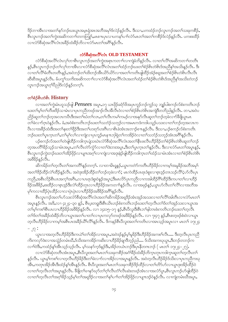ဒိဉ်ဘၢအိၤလၢအတၫ်နဉ်ဘဉ်ဃးယွၤအမှၤရုံအၤအဘိအမှၫ်ဒ်လဲဉ်နှဉ်လိၤႉ ဒီးသၢႇပကထံဉ်ဘဉ်လူၤကဉ်အတ႑်သးခုကစိဉ်ႇ စီးလူးကဉ်အတ<sup>ု</sup>ကွဲးအဆိကတၫ်တကတြူ)်,မာစπပုၤလၢပကနှၤ်ပၢၤ်လံာ်မာတၤ်အတၤ်ကစိဉ်ဒ်လဲဉ်နဉ်လီး. ပကစးထိဉ် လၢလံာ်စီဆုံအလိ်၊လံၤအခ်ိဉ်ထံးခ်ိဉ်ဘိလၢလံာ်မၤတၢ်အဂိၢ်နဉ်လီၤ.

#### လံာ်စီဆုံအလိ်လ်း OLD TESTAMENT

လံာ်စီဆုံအလိ်<sup>ရ</sup>လံၤလှၤ်ဘၢစီၤလူၤကဉ်အတၤ်ကွဲးအစုၤကတၤၤ်လၢကျဲခံဘိန္နဉ်လီၤႉ လၢတၤ်လိ်ၤ်အဆိကတၤၤ်တတိၤ နှဉ်,စီၤလူၤကဉ်ဘဉ်တ<sup>၎</sup>လု<sup>ရ်</sup>ဘၢအိၤလ<sup>ု</sup>လံပိစိဆုံအလိ်ၤလံၤအတၤ်ထံဉ်ဘဉ်ဃးတၤ်စံဉ်စိၤတဲစိၤဒ်အညီနုၤ်အသိးနဉ်လီၤ. ဒီး လၢတၫ်လိ်ၫ်ခံတိၤတတိၤန္ဥ်ႇအဝဲဘဉ်တ႑်ထိးဘဉ်အိၤယိဉ်ယိဉ်လၢအတ႑်ကတိၤဖျထိဉ်အံ့ဉ်စရူအတ႑်စံဉ်စိၤတဲစိၤလီၤလီၤ ဆီဆီအပူးန္2်လီး. မ်ပက္ဂၤ်သက်ိုးအဆိကတ႑ၤ်လၢလံာ်စီဆုံအလိၤ်လံၤအတၤ်ထံဥ်တၤ်စံဥစ်ၤတဲစ်ၤဒ်အညီနှၤ်အသိးတဲဘဉ် လူၤကဉ်အယွၤဂ့ၫ်ပီညါဒ်လဲဉ်နဉ်တက္၄ါ.

## တ<sup>ှ</sup>စံဉိစိၤတဲစိၤ History

လၢအတၫ်ကွဲးမံၤဟူသဉ်ဖျို Pensees အပူၤ,၁၇ ယၤဖိုဉ်ခရံှာ်ဖိအပုၤကူဉ်ဘဉ်ကူဉ်သ့ ဘျှဉ်ပါစကဉ်လ်စံးကတိၤဘဉ် ဃးတၫ်မှါတၫ်တိဖးဒိဉ်သၢမံၤလၢပုၤကညီတဖဉ်အၢဉ်လီၤအိလီၤဝဲလၢတၫ်စံဉ်စိၤတဲစိၤအကျဲဒီတဘိညါနှဉ်လီၤ. တၢ,အဝဲပ ညိဉ်ဆူတၫ်ဘဉ်တဲ့အလၤကပီၤဒီးအတၫ်ဃံတၫ်လၤႇတၫ်လီၤကမ႑်ကမဉ်လၤအနှာ်လီၤဆူတ႑်ဘဉ်တဲ့ခဲလ႑ာ်ခ်ီဖြိုယွာမၤ တၫ်ခဲလၫာ်ဂူၤဝဲန္နာ်လိုၤ. ခံ,အဝဲစံးကတိၤဘဉ်ဃးတ႑်သဘံဉ်သဘုဉ်လၢအမၤကဒံကဒါပသူဉ်ပသးလၢတ႑်ဘဉ်တဲ့အလၤက ပီၤလၢအခ်ိဳဉ်ထံးဒီးအတ႑်နႈတ႑်ဖိုဉ်ဒီးအတ႑်ဟးဂုဉ်ဟးဂိၤလၢစိၤခဲအံၤအဘ႑ာ်စπန္ဥလိၤ. ဒီးသ႑ပ္ဥစကဥ်လ်စံးကတိၤ ဘဉ်ဃးတၫ်ပုၤက္ၤတ႑်ႇတ႑်မှ႞လ႑်လၢကျဲလၢပုၤကူဉ်မၤန႑ၤဘုါရဲတ႑်ကအိဉ်ဝဲလၢတ႑်သဘံဉ်သဘုဉ်အံၤအဂိါန္ဉာ်လီၤ.

ပဉ်စကဉ်လ်အတၫ်တဲဖျါထိဉ်ကဒါက္•ၤပျဲသဃဲ႑လံာ်စိဆုံအလိႝၤလံၤအတ႑်နိၤဖးလီၤဟိဉ်ခိဉ်တ႑်စံဉ်စိၤတဲစိၤဆူတ႑်ဘဉ် တဲ့အပတိ ါခိဉ်သူဉ်သၢမံၤအပူၤႇတၫ်လီၤတဲဉ်ကွဲဉ်လၢတၫ်ဒဲးဘးအပူၤႇဒိိးတ႑်ပူၤက္ၤတ႑်နှဉ်လီၤႉ ဒီးလၢလံာ်မၤတၫ်အပူၤန္ဉာ်, စီၤလူၤကဉ်ကွဲးဘဉ်ဃးတ<sup>ရ</sup>အိဉ်ဖှိဉ်လာပျπအဂ္ဂါလာကျဲလာအဒုးနဲဉ်ဖျံထိဉ်ကဒါကွာတ<sup>ြ</sup>ထံဉ်သာမံၤအံၤလာတ<sup>ရ</sup>စံဉ်စိၤတစ်၊ အဖိခိဉ်နဉ်လီၤ.

ှ ''<br>ဆိကမိဉ်တၫ်တဲ့လီၤတၫ်အကတိႝၤ်နဉ်တက့႑်. လၢတၢမိၤရှန္ဉာ်,ယွၤကတဲာ်ကတိၤဟိဉ်ခိဉ်လၢကမ့ၢ်အမူခိဉ်အဘိအမု႑် အတ<sup>ရ</sup>ဒိဉ်ထိဉ်လဲ<sup>ရ</sup>ထိဉ်နဉ်လီၤ. အဝဲဒုးအိဉ်ထိဉ်တ<sup>ရ</sup>ဘဉ်တဲ့ခဲလၫာ်; မၤကဲထိဉ်ပၤရၤဒံစူးလၢဇ့ၤဒ့ဉ်တၤသဉ်လိ<sup>ရ</sup>;ဟ်လီၤပုၤ ကညီ,အစီၤလိဉ်စီၤပၤအက့်ၤအဂိၤ,လၢပၤရာဒံစူးဝဲန္ဉာ်အပူာ;ဒီးမာလိဉ်ပုကညီလၢကအါထိဉ်ဂိြလိဉ်ဒီးကပၢတၤ်လၢဟိဉ် ခြိ၌အဖိခြိ**ု**စးထိဉ်လၫဇူၤဒ္ဒဉ်ဒီးလဲၫ်ထိဉ်တုၤလၢဟိဉ်ခြိဉ်အကတ႑်နှဉ်လီၤ. လၢအဖုဉ်နှဉ်,ယွၤဟ်လီၤတ႑်လိ်ၤလ၊အဘိအ မှา်ကလၢထိဉ်ပုံၤထိဉ်လၢလၢပုံၤပုံၤလၢဟိဉ်ခိဉ်အဖိခိဉ်အဂိ်ၫန္ဉ်လီၤ.

စီၤလူၤကဉ်အတၫ်ဟ်သးလံာ်စီဆုံအလိံၤလံၤအတ႑်ဆိကမိဉ်အရှဒိဉ်အံၤအုဉ်အသးလၢတ႑်လိံြအါတီၤလၢလံာ်မၤတ႑် အပူးနဉ်လီး အဒိ,လၢ ၄း၂၄–၃၀ နဉ်, စီးပူးတရူးဒီးစီးယိၤဟဉ်စံးကတိၤဘဉ်ဃးတၢ်တဲ့လီၤတၢ်ဒ်တၢ်အှဉ်သးလၢယွၤအ တၫ်မှၤ်ကစၫ်စီၤပၤလၢဟိဉ်<sup>ဌ</sup>ဉ်အ<sup>88</sup>ဉ်နဉ်လီၤ. လၢ ၁၄း၁၅–၁၇ နဉ်,စီၤပီလူးဒီးစီၤဘၢ်နါဘၤစံးကတိၤဘဉ်ဃးတၢ်တဲ့လီၤ တၫ်ဒ်တၫ်အခဵဉ်ထံးခဵဉ်ဘိလၢယ္ပၤအတ႑်ပၢတ႑်လၢပုၤကလုာ်တဖဉ်အဖီခိဉ်န္ဉာ်လီၤႉ လၢ ၇း၄၇ န္ၟာ်ႇစီၤစတ္ဖဖဉ်စံး၀ဲလၢယ္ပၤ တဲ့လွိၤကွဲ၁ွဲခွဲ၃တၪကမ့႞အစ္မွၤကအခွံ၃ကွဴ႕တွႂန်၃တူး ဒွယၠဗ်ာစွပ္မွဴဖို႔ႏအလၪ့ယာအၤဘံ၃အယူတၪ ဇၪတၪၟ ၁ပဲႏွုင္  $-$ ,  $|0;$ 

ယ္ပၤလၢအတဲ့လိၤဟိဉ်8ိဉ်ဒီးကယဲ်ျတၫ်အိဉ်လၢအပူၤႇအဝဲဒဉ်နှဉ်မ့ှ်မှုနိဉ်ဒီးဟိဉ်နိဉ်အကစၤ်လိၤ… ဒီးတဲ့လီၤပုၤကညီ ကိႏကလုာ်ဒဲးလၢအသွံဉ်တမံၤဃိႇဒ်သိးအကအိဉ်ကဆိးလၢဟိဉ်ခိဉ်ချ၊ဒိဘ္ဉာ်ညါ…. ဒ်သိးအကဃုယ္မာႇဒိးဘဉ်တဘဉ်က လၢၢိ၀ဲဒိႏႇကထံဉ်နှၤ်အီၤသ္ဥ္ပ်ာသူဉ်လီၤ. မ့ၤ်သန5်က္ခဒ်န္ဥဒိႏႇအိဉ်တယံၤဘဉ်ဒိဳးပုၤနိတဂၤဘဉ် ( မၤတၤ် ၁၇း၂၄–၂၇).

လၢလံာ်စိဆုံတတိၤအံၤအပူၤႇစိၤပိလူးအတၤ်မၤတၤ်သးခုကစိဉ်အဂံၢိနိဉ်ထံးနိဉ်ဘိက္ၤတုၤကဒါက္ၤဆူတၤ်တဲ့လိၤတၤ် နဉ်လီၤႉ ယွာမ့်)ကစ္ပါလာတဲ့လီးဟိဉ်ခိဉ်ဒီးတ1်ခဲလာာ်လာအိဉ်လာအပူာနှဉ်လီၤႉ အဝဲတဲ့လီၤဟိဉ်ခိဉ်ဒ်သိးလာပုၤကညီကဃု အီၤႇကတုၤအိဉ်အီၤဒီးထံဉ်န1်အီၤန္ဉာလီၤ. စီၤ၀ီလူးအတ1်မၤတ1်သးခုကစိဉ်ဒိဉ်ထိဉ်လ႑တ1်တိ9်ပာ်လ႑ယ္ပၤဒုးအိဉ်ထိဉ်ဝဲ လၢတၫ်တဲ့လီၤတၫ်အပူၤန္နဉ်လီၤ. ခ်ီဖျိတၫ်ဖၫနုဉ်ဃုဉ်တ႑်ဂ့ၫ်လီၤတံ႑်လီၤဆဲးတဖဉ်အံၤလၢအလံဉ်ပူၤ.စီၤလူၤကဉ်ပာ်ဖျထိဉ်ဝဲ လၢတၫ်တဲ့လီၤတၫ်အဂ္ဂါခိဉ်သ့ဉ်မ့ၢ်တၫ်အရှဒိဉ်လၢအတ႑်နှၤ်ပၢၤ်တၫ်အိဉ်ဖိုဉ်လၢပျπဒဉ်ဝဲနှဉ်လီၤ. လၢကျဲတမံၤဃီအပူၤ,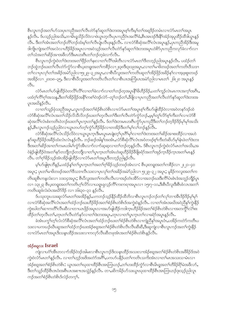စီၤလူၤကဉ်အတၫ်ဟ်သးပုၤကညီအတၫ်လိၤတဲ႒်နှာ်ဆူတၫ်ဒဲးဘးအပူၤစ့ၫ်ကီးမ့ၫ်တၫ်အရှ3ဉ်တမံၤလၢလံာ်မၤတၫ်အပူၤ နှဉ်လီၤႉ ဒ်ပသ္ဉဉ်ညါအသိး တၫမိၤရှုသိဉ်လိဝဲလၢဖဲယွၤတဲ့လီၤပုၤကညီဝံၤအလိၤ်ခံ စီၤအၤဒဉ်ဒီးနိံၤ်အံဉ်အုပူထိဉ်ထိဒါယွၤန္ဉဉ် လီၤႉ ဒီးတၫ်အံၤအတၫ်ဘဉ်တိၫ်ဘဉ်ထံးမ့ၫ်တၫ်လီၤပုံု၊လီၤဖုံးနဉ်လီၤႉ လၢလံာ်စီဆုံအလိၤ်လံၤအပူၤန္ဉာ်,ပုၤကညီအိဉ်ဒီးအမှု ဒါကိုုကျဲအကံ်ျအလဲလၢဟိႆဉ်ခိဉ်အပူၤလၢအဝဲသ့ဉ်အတၤ်လီၤတဲာ်နှာ်ဆူတၤ်ဒဲးဘးအပူၤဟဲစိာ်ပုၤကညီကလှာ်ခဲလၢာ်လၤ တၫ်သံအတၫ်ဆိဉ်အၫအဖိလာ်ဒီးမၤဟးဂီၤတ႑်ဘဉ်တဲ့ခဲလၫာ်လီၤ.

စီၤလူၤကဉ်ကွဲးဝဲတၫ်ဒဲးဘးအတၫ်ဖိုဉ်တ႑်နးလၢတ႑်လိ႑်အါတိၤလၢလံဉ်မၤတ႑်ဒိတဘ္ဥာ်ညါအပူၤန္ဥာလိၤႉ ပထံဉ်တ႑် ဘဉ်ထွဲဘဉ်ဃးတၫ်လီၤတဲ၁်ကွံ၁်လၫစီၤပူးတရူးအတၫ်ကစိဉ်လ႑၂း၃၈ဒီး၃း၁၉အပူၤႇလၫတ႑မၫဖိတဖဉ်အတ႑်ကတိၤဒိသဒ႑ တၫ်လၫပုၤလုၫ်တၫ်အခိဉ်အမဲာ်ညါလၫ၅း၂၉–၃၂အပူၫႇလၫစီၤပီလူးအတ႑်ကတိၤဆူတ႑်အိဉ်ဖိုဉ်အခိဉ်နှၤ်လၫအ့ဖူးစူးတဖဉ် အအိဉ်လၫ ၂၀း၁၈–၃၅, ဒီးလၫစီၤ၀ီလူးအတၫ်ကတိၤလီၤတၫ်လၫစီၤပၤအကြီးပၤအမဲဉ်ညါလ႑မၤတ႑် ၂၆း၂၀ အပူၤန္ဉဉ် ಿ1.

လံာ်မၤတၢ်ဟ်ဖျါထိဉ်ဝဲတလိ်ၤလိ်၊လၢတၢ်ခဲလၢာ်လၢတၢ်ဘဉ်တဲ့အပူၤနိ<sup>႖</sup>ဒိဟိဉ်နိဉ်,ပတၢ်ကူဉ်လဲၤမၤကၤအက့ၢ်အဂိၤ, ပထံဂ့ౕၢကိိၢဂ့ౕၢအသန္နႇဒိီးတౕၢအိဉ်ဖိုဉ်အနိၲ်ၤကစၤ်ဝဲဒဉ်လဲဉ်–တူၤ်ဘဉ်တၤ်ႇနိဖျိလၢပုၤကညီအတၤ်လီၤတဲဉ်နဉ်ဆူတၤ်ဒဲးဘးအ ပူးအဃိန5်လီး.

လၢတၫ်သူဉ်ဖုံသးညီအပူၤႇလူၤကဉ်အတၫ်စံဉ်စိၤတဲစိၤလၢလံာ်မၤတၫ်အပူၤစ့ၫ်ကီးဟ်ဖျဲထိဉ်ဝဲလၢအဝဲတနာ်ဒဉ်ထဲ လံာ်စီဆုံအလိ်ၤလံၤအတၤ်သိဉ်လိသိလိဘဉ်ဃးတၤ်တဲ့လီၤတၤ်ဒီးတၤ်လီၤတဲ၁်ကွံာ်ဘဉ်ႇမ့မ့ၤ်တူၤလိ၁်စ့ၤ်ကီးတၤ်လၤလံာ်စီ ဆုံအလိ်ါလံၤစံးကတိၤဝဲဘဉ်ဃးတၫ်ပူၤက္ၤတၫ်နှဉ်လီၤႉ ဒ်တၫ်ဒဲးဘးမၤဟးဂ်ီၤက္ဂံ၁်ပုၤကညီဒီးတၫ်ဘဉ်တဲ့ဒိဉ်ဒိဉ်မှ၊်မှ၊်အသိး န5်,စီးလူးကဉ်သွဉ်ညါဝဲလၢယွာတပာ်တ့်ကွဲာ်ဟိဉ်နိဉ်လၢတအိဉ်ဒီးတ႑်မှါလ႑်ဘဝနှဉ်လြီး.

လံာ်စီဆုံအလိ်ိၢလံၤသိဉ်လိဝဲလၢယွၤပုၤက္ၤဒီးမၤပူၤမၤဖျဲးတ့ၫ်ပုၤဂိၢမှၫ်လၢတၫ်ဒဲးဘးအတ႑်ဆိဉ်အၢစးထိဉ်လၢအဟဲ နှာ်ဆူဟိဉ်ခိဉ်အခိဉ်ထံးလံၤလံၤန္ဉာလိၤႉ ဘဉ်ဆဉ်အါန္ ်အအံၤႇလံာ်စီဆုံလိ်ၤလံၤအဝံတဖဉ်စ့်၊ကိႏတဲဆိဟ်မှ်နံၤဖဲတၤ်ဒဲးဘး ဒီးအတ႑်ဆိဉ်အၫတ႑်ကမၤဟါမ႑်က္ဂ်ာအီၤလ႑ာ်လ႑ာ်ဆ့ဆ့လ႑တ႑်ဘဉ်တ္နန္ဉါလီၤ. ဒ်စီၤလူၤကဉ်ကွဲးဝဲလံာ်မၤတ႑်အသိးႇအ ဝဲနဲ့ဉ်ဖျထိဉ်ဝဲအတ႑်နှာ်တဘျိဘဉ်တဘျိုလ႑တ႑်ပူးကွၤတ႑်အံၤဟဲဆူဟိဉ်ခိဉ်ခ်ီဖျိခရာ်အတ႑်အှဉ်ကူးခြိဉ်ကူးအတ႑်မၤန္ဉ လီၤႉ တၫ်ဂ္ဂါခိဉ်သူဉ်အံၤအိဉ်ဖျထိဉ်လၢလံာ်မၤတၫ်အပူၤဒီတဘုဉ်ညါနဉ်လီၤႉ

မ့်ျပာ်ဖျံစုၤဘိန္ဉ်ႇပထံဉ်နှ်ျတ႑်ပူးကူးတ႑်အတ႑်ဂုၤိခ်ဉ်သူဉ်တဖဉ်အံၤလၤ: စီၤပူးတရူးအတ႑်ကစိဉ်လၤုး၂၁–၄၀ အပူး; ပုၤတၫ်မၢဖိတဖဉ်အတၫ်ဒီသဒၢလီၤသးလၢပုၤလှၫ်တၫ်အခိဉ်အမဲာ်ညါလၢ ၅း၂၉–၃၂ အပူး; မှုခိဉ်ကလူးအတ႑်က တိၤဆူစီၤကန္လလံးလၢ ၁၁း၁၄အပူၤ; စီၤ၀ိလူးအတၤ်ကတိၤလီၤလၢအဉ်တံၤအိ>်လၢအဘဉ်ဃးဒီးကိ်ၤ်ပံၤစံၤဒံအဘူဉ်ဘိုဉ်ပူၤ လၫ ၁၃း၂၃ စီၤပူးတရူးအတ<sup>်</sup>ကတိၤဂ့<sup>ရလြှ</sup>လ႑ယရူ၊ ရှလ့ဉ်ကိ<sup>ရ</sup>ကးကရ႑အပူးလ႑ ၁၅း၇–၁၁,ဒီးစီၤပီလူးဒီးစီၤစံလၤအတ<sup>ရ</sup> ကတိၤဆူဖံလံးပံၤအဃိာ်ဒိဉ် လ႑၁၆း၃၀–၃၁ နဉ်လီၤ.

ဒ်ပသုးဘူးပသးဆူလံာ်မၤတၫ်အအိဉ်နှဉ်,ပကဘဉ်သူဉ်နိုဉ်ထိဉ်ထိဘိလၢစီၤလူၤကဉ်ဘဉ်တ႑်လှၤ်ဘၢအိၤ $3$ ဉ် $3$ ဉ်မှ၊်မှ၊ လၢလံာ်စိဆုံအလိ်၊လံၤအတ႑်ထံဉ်ဘဉ်ဃးဟိဉ်ခိဉ်အတ႑်စံဉ်စိၤတဲစိၤဒ်အကွဲးဝဲနှဉ်လီၤႉ လၢတ႑်အံၤအဃိအဝဲညိန္န ကွဲးနိုဉ် ကွဲးဃါတၫ်ဆၢကတိႝၤလီၤဆီလၢတၢယၤဖိုဉ်အပူၤလၢအပာ်ဖျါထိဉ်ကဒါက္ၤဟိဉ်ခိဉ်အတ႑်စံဉ်စိၤတဲစိၤလၢအတကွိႝၤလဲၤ်စး ထိဉ်တၫ်တဲ့လိၤတ႑်,တုၤတ႑်လိၤတဲဉ်နဉ်လၢတ႑်ဒဲးဘးအပူၤ,တုၤလၢတ႑်ပုၤက္ၤတ႑်လၢခရံဉ်အပူၤန္နဉ်လီၤ.

ခဲအံၤပက္ဂ<sup></sup>ါတ့်<sup>ရ</sup>လံလံာ်စိဆုံအလိ်<sup>ရ</sup>လံၤအတ႑်ထံဉ်ဘဉ်ဃးတ႑်စံဉ်စိၤတဲစိၤလၢကျဲညိန္ ၊်အပူၤတံႇပအိဉ်ကတဲာ်ကတိၤပ သးလၢပကဃဉ်ဃိၤဆူအတၫ်ထံဉ်ဘဉ်ဃးအံဉ်စရူအတၫ်စံဉ်စိၤတဲစိၤလီၤလီၤဆီဆီ,ဒီးဆူကျဲလၢစီၤလူၤကဉ်အတၫ်ကွဲးနိုဉ် လၢလံာ်မၤတၢ်အပူၤဒိးသန္ၤထိဉ်အသးလၢကလှာ်လီၤဆီတဖုအံၤအတၢ်စံဉ်စိၤတဲစိၤန္ဉာ်လီၤ.

# အံဉိစရလး Israel

ကျဲလၢပဂံၫအိၤတလ႑ာ်အိဉ်ဝဲဒဉ်အါမးလၢစိၤလူၤကဉ်ဒိးသနၤထိဉ်အသးလၢအံဉ်စရအတ႑်စံဉ်စိၤတဲစိၤအဖိခိဉ်ဒ်အဝဲ ကွဲးဝဲလံာ်မၤတၫ်နဉ်လီၤ. လၢတၫ်ဟ္၌အဒိအတဲဉ်အဂိၢ်,ပကပဉ်ပန်ီဉ်ပတ႑်ကတိၤသက်ိးအံၤလၢတ႑်မၤအသးသၢမံၤလၢ အံဉ်စရူအတၫ်စံဉ်စိၤတဲစိၤ: ယွၤအတ႑်ဃုထၢထိဉ်စီၤအာဘြၤဟဉ်,တ႑်ဟးထိဉ်ကွံာ်လၢစီၤမိၤရူအတ႑်တိခိဉ်ရြိမဲအဖိလာ်, ဒီးတၫ်သူဉ်ထိဉ်စီၤဒၤဝံးအစီၤပၤအစ ။ အသွဲဉ်နဉ်လိၤႉတ႑ႇဆိကမိဉ်ပာ်သးယွၤဃုထ ၊ထိဉ်စီၤအၤဘြၤဟဉ်ဒုးသူဉ်ညါလူၤ ကဉ်အတ႑်စံဉ်စိၤတဲစိၤဒ်လဲဉ်တက္၄ါ.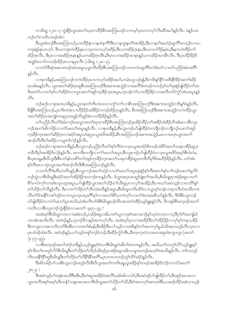တၫမိၤၡ ၁၂း၁–၃ ကွဲးနိ5့ယွπအတ႑်ဃုထၢထိဉ်စီၤအာဘြၤဟဉ်လၢကမ့္ပ်ြပုတကလုဉ်လီၤဆီအပ႑်န္နဉ်လီၤႉ ဖဲန္နဉ်ပဖး ဘဉ်တၤ်ကတိၤတဖဉ်အံုး:

ဒီးယွၤစံးဘဉ်စီၤအာဘြၤဟဉ်ႇဟးထိဉ်နဲလၢနထံနက်ိိဒြီးလၢနဘူးနတံၲအအိဉ်ႇဒီးလၢနပါအဟံဉ်ဆူကိိၢ်တဘ့ဉ်လၢယ ကဒုးနဲဉ်နၤတက္န1်း ဒီးယကဒုးကဲထိဉ်နၤလၢပုၤတကလှာ်ဖးဒိဉ်,ဒီးယကဆိဉ်ဂူးနၤ,ဒီးယကဟ်ဒိဉ်နမံၤ,ဒီးနကကဲထိဉ်တ႑် ဆိုဂ်ဂ္ဂလိုၤ - ဒီးပုၤလၢအဆိုဂ်ဂ္ဂၤနၤန္ ဉိယကဆိုဂ်ဂ္ဂၤအိၤႇဒီးပုၤလၢအဆိုဉ်အာနၤန္ ဉိယကဆိုဉ်အာအီၤလိၤ - ဒီးပုၤဟိဉ်နိဉ်ဖိ အဒူဉ်ခဲလၢာ်ကဘဉ်ဆိဉ်ဂ္ဂၤလၢနပူၤလီၤ (၁မိၤရှ ၁၂း၁–၃).

လၫလံာ်စိဆုံအဆ႑တဖဉ်အ်ၤအပူးႇယ္လၤက်ိးထိဉ်စီၤအၤဘြၤဟဉ်လ႑ကလဲၤဆူကိြတ႑်စံးပာ်လ႑တ႑်ပညိဉ်ခံမံၤအဂိြ  $500.$ 

လၢစုတခ်ိန္ဉာ်,အာဘြာဟဉ်ကကဲထိဉ်ပုၤတကလှာ်ဖးဒိဉ်အပၤ်,ကမံၤဟူသဉ်ဖျံ,ဒိီးကဒိးနၤ်နိ်ၤသးဒိီးနိ်ၤနိဉ်အတၤ်ဆိဉ် ့ဂအါမးနဉ်လီၤႉ ယွာအတၫ်ဆိဉ်ဂုၤဆူစီၤအာဘြာဟဉ်ဒီးအစ႑ာအသွဲဉ်လၢအလိံၫ်ခံတဖဉ်ကဘဉ်မှၤ်တၫ်ဒုးနဲဉ်ဖျါထိဉ်တ႑်အ ဒိအတဲ9်လၢတၫ်မှ႞လၢ်အိဉ်ဝဲလၢယွၤအတ႑်အှဉ်ကူးခ်ိဉ်ကူးအပူး,တုၤဒဉ်လဲ9်လၢဟိဉ်ခိဉ်လၢအလီၤတဲ9်ကွံ9်အံၤအပူးနှဉ်  $\circ$ <sup>8</sup>

ဘဉ်ဆဉ်လၢစုအဂၤတခ်ိန္ဉာ်,ယွၤအတၫ်ကိႏလဲၤတလၢက္ပံာ်တၫ်လၢစီၤအၤဘြၤဟဉ်ဒီးအစ႑ာအသွဲဉ်ကဒိးန႑်ဝဲနဉ်လီၤ. ခ်ိဖိုစီးအာဘြၤဟဉ်,ပုၤကိုးကဒဲးလၢဟိဉ်ခိဉ်အဖိခိဉ်ကဘဉ်ဆိဉ်ဂူးနှဉ်လီး. စီးအာဘြၤဟဉ်ဒီးအစ ။အသွဲဉ်ကကဲထိဉ်ယွာ အတၫ်ဆိဉ်ဂုၤအကျဲစπဆူပုၤအဒူဉ်ကိႏၶူဉ်ဒဲးလၢဟိဉ်ခိဉ်နဉ်လီၤ.

တၫ်ပည်ဉ်လိၤတံၫ်ခံမိၤဘဉ်ဃးယွၤအတ႑်ဃုထ႑ထိဉ်စီၤအၤဘြၤဟဉ်ဒုးအိဉ်ထိဉ်တ႑်အခိဉ်ထံးခိဉ်ဘိအါမးလ႑စီၤလူၤ ကဉ်အတၫ်ဆိကမိဉ်လၢလံဉ်မၤတၫ်အပူၤန္ဉာလီၤ. လၢစုတခ်ိန္ဉာ,စီၤလူၤကဉ်ပာဖျံထိဉ်ဝဲတဘျီဘဉ်တဘျီဘဉ်ဃးတၫ်အှဉ် က္ခ္အာန္အိဂ္ဥက အတုအသုတ္ေပးဆံုး မွာေပါက္ေပးဆံုး ေဆးေ<br>က္ခ္အာန္အိက္ခ္အား က ေျပာင္းေကာင္း က်ာင္း ေနာက္ အၫဉ်လီၤဒီးပါဖးဒိဉ်လၢပျπဒ်လဲဉ်နဉ်လီၤ.

ဘဉ်ဆဉ်လၢစုအဂၤတခ်ိန္၄်,စိုၤလူၤကဉ်ပညိဉ်လီၤတိၢ်စ့ၢ်ကီးဝဲလၢပုၤယူဒၤခရံာ်<sup>8</sup>တဖဉ်ဟဲစိာ်အတ<sup>ၡ</sup>သးခုကစိဉ်ဆူပုၤ တခ်ိဘိမှ်ျအအိဉ်ဒ်လဲဉ်နဉ်လီၤ. မၤကဒီးတဘိုုလၢလံာ်မၤတၢ်အပူၤ,စီၤလူၤကဉ်ဟ်ဖျါထိဉ်ဝဲလၢပုၤယူဒၤဖိဒ်အမှ်္ဂါစီၤဖံလံး, စီၤပူးတရူး,စီၤပီလူးဒီးစီၤဘၤ်နါဘၤစိဉ်တ႑်အှဉ်ကူၤခိဉ်ကူၤအတၤ်သးခုကစိဉ်ဆူပုၤတခ်ိဘိမှၤ်ဖိအဟိဉ်ခိဉ်နှဉ်လီၤ. တၤ်အံၤ စ့ါ်ကီးမာလၢပှဲာယွာအတါအၫဉ်လီၤဒီးစီးအာဘြာဟဉ်နဉ်လီၤ.

လၢတၫ်လိ်ြိုခံတိၤတတိၤန္၌, စီၤလူၤကဉ်အတ႑်ထံဉ်လၢလံာ်မၤတၤ်အပူၤဒုးနဲ့ဉ်စ့ါကိုးအတၤ်နှၤ်ပၢါဘဉ်ဃးတၤ်ရှလိဉ် ဘဉ်ထွဲလၢစီးမိၤရှဒိုးခရံာ်အတ<sup>ြ</sup>အဉ်ဖိုဉ်အဘ႑ာ်စπနှဉ်လီၤႉ ဒ်ယွၤအပုၤမၤထူဉ်ဖျဲးတၫ်အသိး<sub>•</sub>စီၤမိၤရှဆုၢအံဉ်စရူလၢတ႑် စိ>်မาကဲကု်လၢအဲၤကူပတူးအပူၤႇပ>်ဖျါထိဉ်ယွၤအတ႑်သိဉ်တ႑်သိဆူပုၤကလှာ်အအိဉ်ႇဒီးပπဃာ်အဝဲသ့ဉ်လၢကတိြနှြ တၫ်သိဉ်တၫ်သိန္ဉာ်လိၤႉ ဒီးလၢတၫ်သိဉ်တ႑်သိတမံၤဃိန္ဉာ်အပူၤႇစီၤမိၤရူကတိၤဆိဝဲလၢယ္ပၤမှၫ်တနံၤကဆုၢလိၤဝံအသိတဂၤ လီၤက်ဒ်အနိ<sup>5</sup>ကစ<sup>5</sup>ဒဉ်ဝဲလၢကပူးကူးအပု၊ဂိ<sup>5</sup>မှ<sup>5</sup>လၢအတ<sup>ှ</sup>စိဉ်မၢကဲကု်လၢတ<sup>ှ</sup>ဒဲးဘးအဖိလာ်နဉ်လီး အီးဒ်စီးလူးကဉ် ဟ်ဖျါထိဉ်ဝဲလၢလံာ်မၤတၫ်ပူၤအသိးႇဝံအံၤလိၤက်ဒ်စီၤမိၤရှဃဉ်ဃီၤအသးကဲထိဉ်ယှဉ်ရူးနဉ်လီၤႉ ဒိကနဉ်စီၤစတဲ့ဖဉ်အတ႑် ကတိၤလၢစီၤလူၤကဉ်ကွဲးနိ5့ဝဲလၢမၤတ႑် ၇ႏ၃၇–၃၉:

အအံၤမ့ါစီၤမိၤရူတဂၤလၢအစံးဘဉ်ပုၤအံ့ဉ်စရူလးဖိႇကစါယွၤကဒုးဂဲၤဆၢထၫဉ်နှါသုဝံတဂၤလၢသုဒိပုါဝဲါအကျါႇဒ် ယၤအံၤအသိးလိၤႉ အဝဲဒဉ်န္၄ဲႇသုဘဉ်ဒိကနဉ်အကလုၤ်လိၤႉ အအံၤမ့္ပ်ြပုၤလၤအအိဉ်ဒိုးတ႑်အိဉ်ဖိုဉ်လၤပု႑်မှၤ်ကန႑ႇအိဉ် ဒီးကလူးလၢအကတိၤတၫ်ဒီးအီၤလၢကစၫ်စံၤနါ,ဒီးအိဉ်ဒီးပပါသူဉ်လၢအဒိးနှါတၫအကလု၊မူ,ဒ်သိးအကဟ္ဝံလီၤက္ၤလၢ ပုၤပဝဲဒဉ်အံၤလီၤ. အဝဲဒဉ်နှဉ်,ပပါသူဉ်တစူါဘဉ်ဝဲဘဉ်,ဒီးဆိဉ်ကွံာ်အီၤ,ဒီးကွၤက္ၤဝဲလၢအသးဆူအဲၤကူပတူး (မၤတါ  $2: 55-56$ 

လၫစီၤစတ့ဖဉ်အတၫ်ထံဉ်တခ်ိန္ဉာႇယ့ဉ်ၡူးမ့ၫ်ဝံလၫစီၤမိၤရှတဲဆိပာ်ဝဲတဂၤနှဉ်လီၤႉ အဃိႇတၫ်တတှၫ်လိာ်ယှဉ်ရူးမ့ၫ် စ့်ၫကီးတၫ်တတုၫ်လိ်ာစီၤမိၤရူဒီးတ႑်သိဉ်တ႑်သိဳႇဒ်သိးဒဉ်ပုၤအံဉ်စရူလးဖိလ႑ပျπတဖဉ်မၤတ္႑်ာအသိးနှဉ်လိၤႉ တ႑်ကဟ္ဉဉ် လီၤသးနိ<sup>ု</sup>နိ<sup>ု</sup>ဆူစီၤမိၤရူဒီးတ႑်သိဉ်တ႑်သိနိ<sup>ု</sup>နိ<sup>ု</sup>အဂိ်၊,ပုၤတဂၤကဘဉ်တူၤ်လိဉ်ခရံာ်နှဉ်လီၤ.

ု ၂၈ႏု ျပ

ု<br>ဒီးအဝဲသ့ဉ်ဟ်အနံၤအသိဒီးအိၤႇဒီးဟဲဆူအအိဉ်ဝဲအလိ႑်ႇအါအါကလဲာ်ႇဒီးအဝဲဒဉ်ဟ်ဖျါထိဉ်တ႑်ႇဒီးအုဉ်အသးလ႑ ယ္ဇၤအဘိအမုၢ်အဂ္ဂါႇဒီးသနံၥ်သန္ၤအသးလၢစိၤမိၫရူအတ႑်သိဉ်တ႑်သိႇဒီးဝံအကလုၤ်အကထါဒီးႇသဆဉ်ထိဉ်အခံလၢယ္ဝ်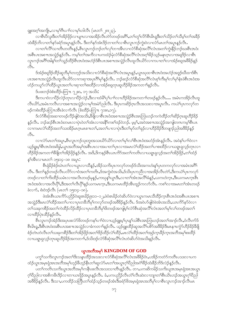ျူးအ၀့်)အကျိုး,လၢမှါဂ်ီးပၢါလၢမှါဟါလီၤ (မၤတၢ် ၂၈း၂၃).

လၫစီၤ၀ိလူးဒီးတၫ်အိဉ်ဖိုဉ်လ႑ပျπလၫအအိဉ်လီၤတဲဉ်တဖဉ်အဂိ်ၫ,တၫ်တူၫ်လိဉ်စီၤမိၤရူဒီးတ႑်သိဉ်တ႑်သိမ္၂်တ႑်အခိဉ် ထံးခဵဉ်ဘိလၢတၲနာ်ခရံာ်အပူၤန္ဉာ်လီၤႉ ဒီးတၲနာ်အံၤဒိဉ်ဘၢတၲလၢစီၤလူၤကဉ်ကွဲး၀ဲလၢလံာ်မၤတၲာအပူၤန္ဉာ်လီၤႉ

လၢတၫ်လိႝၤ်သၢတိၤတတိၤန္ဉာ်,စီၤလူၤကဉ်ဘဉ်တၤ်လုၤ်ဘၢအိၤလၢလံာ်စိဆုံအလိၤ်လုံးအတၤ်ကွဲးနိဉ်ဘဉ်ဃးစီၤဒၤဝံး အစီၤပၤအစ႑ၤအသွဲဉ်နှဉ်လီၤႉ ကမ့္်ာတ႑်အကီလ႑ပကထံဉ်မုံလံာ်စိဆုံအလိၤ်လံၤအဂ္ဂါခိဉ်သူဉ်မနုၤဂ္ဂၤလ႑အရှ3ဉ်လ႑စီၤ လူၤကဉ်အဂိ<sup>ု</sup>အါန<sup>5</sup>တ1်သူဉ်ထိဉ်စီၤဒၤဝံးအဟံဉ်ဒ်စီၤပၤအစ႑ာအသွဲဉ်လီၤထူလီၤယိဉ်လ႑ကပ႑တ1်လ႑အံဉ်စရအဖိခိဉ်နဉ်  $\circ$ 31.

ဒ်အံဉ်စရူဒိဉ်ထိဉ်ဆူဘိမှၫ်တဘ့ဉ်အသိးလၢလံာ်စိဆုံအလိၤ်လံၤအပူၤန္ဉ\$,ယွၤဃုထၢစီၤအပံံးအဟံဉ်အဒူဉ်ဃိထၢဒ်စိၤ ပၤအစπအသွဲဉ်လီၤထူလီၤယိဉ်လၢကဆုၢအပုၤဂိါမု႞န္ဉဉ်လီၤႉ ဘဉ်ဆဉ်လံာ်စီဆုံအလိ်ၤလံၤစ့္ပ်ကိုးမုၤ်လၤမု်နံၤဖဲစီၤအငံးအ ဟံဉ်ကယူာ်လဲၫ်ထိဉ်ယွၤအတ႑်ပၢဆုၢတ႑်စးထိဉ်လၢအံဉ်စရူတုၤဆူဟိဉ်ခိဉ်အကတ႑ၤ်နှဉ်လီၤႉ

ဒ်ပဖးဘဉ်ဖဲစံးထိဉ်ပတြπ ၇၂း၈, ၁၇ အသိး $\colon$ 

ဒီးကပၢဝဲလၢပိဉ်လဲဉ်တုၤလၢပိဉ်လဲဉ်,ဒီးလၢထံမိၫ်ပု႑်ပၢၢ်လၢဟိဉ်နိဉ်အကတ႑်တဖဉ်နဉ်လီၤ… အမံၤကအိဉ်လီၤထူ လီၤယိ9်,အမံၤကလီၤလၢအစπအသွဲဉ်လၢမှSအမဲ9်ညါလီၤ. ဒီးပုၤကဆိဉ်ဂ္ၤလီၤအသးလၢအပူၤလီၤ. ကယဲSပုၤကလု9်တ ဖဉ်ကစံးထိဉ်ပတြπဒာီးခဲလၢာ်လီး (စံးထိဉ်ပတြπ ၇၁း၈,၁၇).

ဒ်လံာ်စီဆုံအဆၢတဖဉ်လိဉ်ဖျဲဝဲအသိး နီဖြိုလၢစိၤဒၤဝံးအစ႑ာအသွဲဉ်စီၤအာဘြၤဟဉ်ကကဲထိဉ်တ႑်ဆိဉ်ဂ္ၤဆူဟိဉ်နိဉ် နှဉ်လီၤႉ ဘဉ်ဆဉ်စီၤဒၤဝံးတမၤလၢပုံၤဝဲတၫ်အံၤလၢအနိၤ်ကစၫ်ဒဉ်ဝဲဘဉ်ႉ မုမ္္မာ့ဆဲအစ႑ာအသွဲဉ်အကျါတဂၤကမ္ါစီၤပၤ လၢကမၤလဲၫ်ထိဉ်အတ႑်သးအိဉ်မၤဂ္ဂၤမၤစ πတ႑် အတ႑်ပၢလၢပုံၤဒီးတ႑်မှာ်တ႑်ခုဉ်လၢဟိဉ်ခိဉ်ဒီတဖျာဉ်ညါအဖိခိဉ်နှဉ် o31.

လၢလံာ်မၤတၫ်အပူၤႇစီၤလူၤကဉ်သုံးဘူးအသးယိာ်ယိာ်လၢတၫ်မှၫ်လၢ်စီၤအပံံးအဟံဉ်အံၤန္ဉာ်လီၤႉ အဝဲန႑်ပၢၢ်ဝဲလၢ ယ္ဝိရူးမ့<sup>ရ</sup>စီၤဒၤဝံးအဖိခွါႇယ္ပၤအဘိအမုၢိအစီၤပၤလၢအပၢတၢိပုၤလၢအမၤလဲၫထိဉ်အတ႑်ပၢစးထိဉ်လၢယရူ၊ ရုလ့ဉ်တုၤလၢ ဟိဉ်ခိဉ်အကတ႑ၢိနိဖျိတၤ်အိဉ်ဖိုဉ်နှဉ်လီၤႉ အဒိႇဒိကနဉ်စီၤယၤကိဉ်အတၤ်ကတိၤလၢယရူ၊ရှလ့ဉ်အတၤ်အိဉ်ဖိုဉ်ႇတၤ်ထံဉ် န∫အီၤလၢမၤတ႑် ၁၅း၁၄–၁၈ အပူာ $\colon$ 

စီၤရုံမိဉ်စံဉ်ဃဲၤတၫ်လၢယွၤလၢသိန္ဥ်ႇအိဉ်သကိႏပုၤကလုာ်တဖဉ်ဒ်သိးအကဟံးန္ ၊်ပုၤတကလုာ်လၢအမံၤအဂိၤ် လီၤႉ ဒီးတ႑်နဉ်တဖဉ်လီၤပလိဉ်လၤဝံအတ႑်ကတိၤႇဒ်အကွဲးဝဲအသိးႇဒ်သိးပုၤကညီလၤအအိဉ်လီၤတဲဉ်ႇဒီးကယဲ႑်ပုၤကလုဉ် တဖဉ်လၢတၫ်ကိႈထိဉ်ယမံၤလၢအလိၤတဖဉ်မှနဉ်,ကဃုန္နှၤိယ္မွၤဒီး,လၢတၫ်အံၤအလိၢိခံန္႕်,ယကဟဲက္၊ ့ဒီးယကမၤက္၊စီၤ အငံးအဒဲလၢအလီၤ၀ို1်,ဒီးအတ႑်လီၤ၀ို1်နှဉ်ယကမၤက္၊ ,ဒီးယကမၤထိဉ်အိၤထူဉ်ကလာ်လီ၊ . ကစ႑်လၢအမၤတ႑်အံၤတဖဉ် ခဲလၢာ်, စံးဝဲဒဉ်လီၤ (မၤတ႑် ၁၅း၁၄–၁၈).

ဖဲအံၤစီၤယၤကိ9်ပညိဉ်ဝဲဆူ၏မိဉ်ဨး၁၁–၁၂,ဖဲဝံ၏မိဉ်တဲဆိပ9်ဝဲလၢယွၤကမၤသိထိဉ်က္ၤစီၤဒၤဝံးအစီၤပၤအစ႑ာ အသွဲဉ်ဒီးမာလဲြထိဉ်အတ်ပာလာပုာတခ်ိဘိမှ်ကလုာ်တဖဉ်အဖိခိဉ်နှဉ်လီာ. ဒ်အဝဲဟ်ဖျါဝဲဖဲအံာအသိး,ယာကိ်နာ်ဝဲလာ တၫ်သးခုကစိဉ်အတၫ်ကဲထိဉ်လိဉ်ထိဉ်လၫပုၤတခ်ိဘိမှၫ်ဖိတဖဉ်အကျဲမ့ၫ်လံာစီၤဆုံအလိၤ်လုံၤအတ႑်မှၤ်လၤ်တဖဉ်အတ႑် လၢထိဉ်ပုံၤထိဉ်နဉ်လီၤ.

စီးလူးကဉ်အဲဉ်ဒိးအပုၤဖးလံာ်ဖိတဖဉ်ကန5်ပၢြဝဲလၢယ့ဉ်ရူးမ့ှါပုၤန္5သါစီးအာဘြာဟဉ်အတ§အာဉ်လီး စံလီးက်ဒ် စီးမိၫ့ရှ,ဒီးစီးဒၤဝံးအစီးပၤအစ႑ာအသွဲဉ်လၢခံကတ႑်နှဉ်လီး. ယှဉ်ရူးထိဉ်ဆူအလိ်ၤပစိဉ်အဖိခိဉ်ဒီးမာန႑ာကွံဉ်ဟိဉ်ခိဉ်ခ်ီဖြ စံဉ်တဲၤတဲလီၤတၫ်သးခုကစိဉ်ဒီးတၫ်အိဉ်ဖိုဉ်အတၫ်ဒိဉ်ထိဉ်လဲၤ်ထိဉ်,မၤလဲၤ်ထိဉ်အတၫ်အုဉ်ကူၤခိဉ်ကူၤအဘိအမှၤ်စးထိဉ် လာယရူးရလူဉ်တုၤဆူဟိဉ်ခိဉ်အကတၫ်ႇဒ်သိးဒဉ်လံာ်စီဆုံအလိ်ၤလံးတဲဆိပာ်ဝဲအသိးနဉ်လီၤ.

# ယ္ဇၤအဘိအမှ<sup>ငှ</sup> KINGDOM OF GOD

ပက္ဂၤ်သက်ိးလူၤကဉ်အတၤ်ဒိးသနၤထိဉ်အသးလၤလံာ်စီဆုံအလိၤ်လံၤအဖိ<sup>8</sup>ဉ်ဝံၤႇပအိဉ်ကတဲာ်ကတိၤပသးလၤပက ထံဉ်ယွာအမှာရုံအာအဘိအမှာ်ဟှဉ်ခ်ီဟှဉ်နီာတာဆူလံဉ်မာတာအယွာဂ့ာ်ပိညါအငံ္ဂါခ်ီဉ်ထံးခ်ီဉ်ဘိဒ်လဲဉ်နဉ်လီး

ပတၫ်ကတိၤသကိဴးယွၤအဘိအမှၢ်ကနိၤဖးလိၤအသးသၢတိၤန္ဉာ်လိၤႉ တၢႇပကဆိကမိဉ်သကိဴးယူဒၤအမ္ၤရုံအၤအယွၤ ဂ့ါ်၀ီညါလၢအစိကမိၤဒိဉ်လၢတၢယာဖှိဉ်အပူၤန္ဉာ်လီၤ. ခံ,ပကပညိဉ်လီၤတံါလီၤဆဲးလၢဘျာတၢိစီၤယိၤဟဉ်အယွπဂ့ါ်၀ီညါ အဖိခိဉ်နဉ်လီၤႉ ဒီးသ႑ႇပကထိဉ်သတြိုတ႑်ထံဉ်သူဉ်တဖဉ်အံၤဒီးခရံာ်ဖိအမှု၊ ရုံအၤအဘိမှၤ်လ႑စီၤလူၤကဉ်အ႑ာ်လီၤမၤ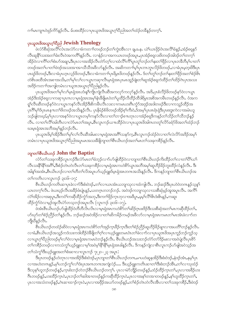ဂၢါမၤကျπဝဲဖှဉ်ကိ5်နဉ်လီၤ. မ်ပစးထိဉ်လၢပုၤယူအဖိအယွၤဂ့ၢ်ပိညါအတၤ်ထံဉ်တခ်ိန္ဉာ်တက့ၤ်.

# ပုံယူအဖိအယွာဂုလိုညို Jewish Theology

.<br>ဖဲလံာ်စိဆုံအလိ<sup>ြု</sup>လံၤအလံာ်လၢခံကတ႑ာ်တဖဉ်ဘဉ်တာ်ကွဲးအိၤလၢ ချႉခႉနႉ ယဲာ်ယာဖိုဉ်ဝံၤအလိၢ်ခံနဉ်ႇအံဉ်စရနဉ် လီးဆူနိ<sup>ု</sup>သးအတၫ်ခံးလီၤ၀ဲအကတိႝၫန္ၣလီၤႉ လၫနံဉ်လၢအကယၤတဖဉ်အပူၤႇပုၤအံဉ်စရ္ဒလးဖိတဖဉ်အါဒဉ်တၫ်တက့႑် အိဉ်ဝဲလาကိ်ါတၫ်စီးဟ်အချာ,ဒီးပုၤလာအအိဉ်လီၤတဲဉ်တဲ့ၫ်လာထံလိ်ၫ်ကိ်ၫ်ပူၤတုၫ်ဘဉ်တၫ်နူးတၫ်ဖိုဉ်လာပုၤတခ်ိဘိမှ ်ပာတ႑် တဖဉ်အတၫ်ပၢတၫ်ဖဲဒဉ်အသးအၫအၫသိသိအဖိလာ်နှဉ်လိၤႉ အဆိကတၫၢိမ့ၫ်ပုၤဘၤဘူၤလိဉ်ဖိတဖဉ်ႇလၢခံပုၤမ့တူးဖိဒြီးပုၤ ပာရဉ်ဖိတဖဉ်,ဒီးလၢခံပုာဟ္နာလှဉ်ဖိတဖဉ်,ဒီးလၢခံကတ႑ာ်ပုာရိမ္နာဖိတဖဉ်နှဉ်လီာ. ဒ်တာ်တူာ်ဘဉ်တ႑်နးတ႑်ဖိုဉ်အတ႑်စံဉ်စိာ တဲစိၤဖးထိအံၤအစၢအသိႏႇတၫ်မှၫ်လ႑်လၢယ္ပၤကဆုၫလိၤမ့ၤရုံအၤပုၤမၤထူဉ်ဖျဲးတ႑်ဆူအံဉ်စရူကဲထိဉ်တ႑်ထိဉ်ဂဲၤပုၤအသး အဒိဉ်ကတၫ်ာအကျါတမံၤလၢယူအအယွာဂ့ါ်ပီညါနဉ်လီၤ.

ပုၤယူဒၤဖိအတ1်မှ1်လ1်မှု၊ ရုံအၤဟီးန္<sup>6</sup>ကြို၊ ကျဲလိၤဆီအကလုာ်ကလုာ်န္5်လိၤႉ အဒိႇပုၤစံလီဉ်ဖိတဖဉ်န5်ဝဲလၤယွၤ အဲ့ဉ်ဒိုးအံ့ဉ်စရူလၫကဆုၫပုၤကလၫမ္ၤရုံအၤအမှ႑်နံၤခ်ဳဖျိမၤ၀ဲတ႑်ပူထိဉ်လိထိဉ်ထိဒါရိမ္နၤအစိအကမိၤတဖဉ်နှဉ်လိၤႉ ဝံအက ရှု၊်လီးဆီတဖဉ်နှာ်ဝဲလၤယွၤကနှာ်လီၤဒိန်ဦဒီးစိကမီၤလီၤလးလၤကမၤဟးဂီၤကွႆာ်အဒုဉ်အဒါတဖဉ်ဒီးလၤကသူဉ်ထိဉ်အ ပုၤဂိၢိမှၢ်ဒ်ပုၤမၤနπတၢိဖိတဖဉ်အသိးနှဉ်လီၤႉ ပုၤနိမံဉ်စ်ဖိတဖဉ်အိဉ်စ့ၢ်ကီးဝဲႇဒ်အမှ၊်ပုၤဖၤရုံ၊ရဲဒီးပုၤစးဒူးကဲလၢအမံၤဟူ သဉ်ဖျါတဖဉ့္နိမ့္ခ်ပုၤလၢအနှာ်ဝဲလၢယ္ပၤတမ့္ခ်ါကန္နာ်လီၤလၢတၫ်ဘ႑ာ်စ႑ာတုၤလၢအံ့ဉ်စရ္ဒဒိကနဉ်တ႑်သိဉ်တ႑်သိဘဉ်နှဉ် လီး လကာ်လိြအါတီးလက်ခံမွ၊တဉ်အပူး စီးလူးကဉ်ယπထိဉ်ဝဲလကုယူအဖြဲအါဂၤတတု်လိဉ်ခရံှာ်ဖိအတ်ထံဉ်ဘဉ် ဃးမ့ၤရုံအၤအဘိအမှ<sup>၎</sup>နဉ်ဘဉ်လိၤႉ

ပှာယူဒာဖိမ့<sup>ရ</sup>အိဉ်ဒီးတ<sup>ရ</sup>မု်လ<sup>ှ</sup>လီသီအါမးလာမ့ာရှံအာအဂိါသန>်က့ႇစီၤလူာကဉ်ထံဉ်ဝဲလာတ<sup>ှ</sup>လဲလိ်ာအဒိဉ်အမှ<sup>ရ</sup> တမံၤလၢပှၤယူဒၤဖိအယွπဂ့ါပီညါအပူၤမၤအသးခ်ိဳဖျိဘျၤတၫ်စီၤယိၤဟဉ်အတၫ်မၤတၫ်သးခုကစိဉ်နဉ်လီၤ.

### ဘျာတ<sup>ှ</sup>စီးယိၤတ**် John the Baptist**

လံာ်တ<sup>ှ</sup>သးခုကစိဉ်လူၤကဉ်ဒီးလံာ်မၤတၢ်ခံဘ့ဉ်လၢာ်ဟ်ဖျ်ထိဉ်ဝဲလၢဘျာတၢ်စီၤယိၤဟဉ်ကိးထိဉ်တ႑်လၢတ<sup>၎</sup>ပိ<sup>ရ</sup>ယ႑် လီၤသးနိ<sup>ု</sup>နိ<sup>ု</sup>အဂိ်ႏှဒီးစံဉ်တဲၤတဲလီၤတၫ်သးခုကစိဉ်လၢမဲ့၊ ရုံအၤကဟဲစိဉ်ယွာအဘိအမှၢ်ဆူဟိဉ်ခိဉ်ဘူးထိဉ်လံနဉ်လီၤ. ဒီး အါန1်အအံၤႇစီၤယိၤဟဉ်လၢတ1်တိတ1်လိအပူၤဟ်ယ့ဉ်ရူးဒ်မှၤရုံအၤတဂၤအသိးနဉ်လီၤႉ ဒိကနဉ်ဘျ၊တ1်စီၤယိၤဟဉ်အ တၫိကတိၤလၢလူၤကဉ် ၃း၁၆–၁၇:

စီးယိၤဟဉ်ကတ်ၤဆၢပုၤခဲလၫာ်ဒီးစံးဝဲဒဉ်,တ႑်လၫယၤအံၤယဘျၫသုလၫထံကျါလီၤ. ဘဉ်ဆဉ်ဒီးပုၤဟဲဝဲတဂၤနှဉ်သူနှၤ် ယာတက့််လီၤ. ဖဲယဃ္ဥ်လီၤအခ်ိဳဥ်ဖီးပုံံ။န္ဥ္က်,ယတဂ္ၤတဘဥ်ဘဥ်ႉ အဝဲဒဥ်ကဘျာသုလၫသးစီဆုံမှဉ်အူအပူၤလီၤ. အက်ိ လဲၫအိ>်လၫအစုပူၫႈဒီးကဝံၫ်ကဆိုထိဉ်ကွာ်အဘု,ဒီးကဂၢိဖိုဉ်က္နၤဘုလၫအဖြံပူၫွမ့်မှၤ်လိ<sup>႖</sup>ဖိုးဒီးဖိ႑နှဉ်ႇကဆူး ထိဉ်ကွံာ်ဝဲလၢမှဉ်အူလီၤပံာ်တသ့ဘဉ်အပူၤလီၤ (လူၤကဉ် ၃း၁၆–၁၇).

ဖဲအံၤစီၤယိၤဟဉ်ပာ်ဖျါထိဉ်ဝဲတီတိလိၤလိၤလၢမ္ၤရုံအၤကဟဲစိာ်တၫ်ဆိဉ်ဂ္ၤဖးဒိဉ်ဒိးသးစိဆုံအတ႑်မၤကဆိုထိဉ်တ႑်, ဟ်ဃုာ်တၢ်စံဉ်ညီဉ်တၢ်နှဉ်လီၤ. ဘဉ်ဆဉ်အဝဲအိဉ်လၢတၢ်ဆိကမိဉ်ကမဉ်အဖိလာ်လၢမှု၊ရုံအၤကမၤတၢ်မၤအံၤခဲလၢာ်တ ဘိုဃိနဉ်လီၤ.

စီးယိၤဟဉ်တထံဉ်ဆိဝဲလၢမှးရုံအာကဟဲစိ႒်တၫ်အှဉ်က္ $\mathsf{I}$ နိဉ်က္ $\mathsf{I}$ ဒီးတၫ်စံဉ်ညှိဉ်ဆူဟိဉ်နိဉ်ချၢလၢအပတိႝၤ်ဘဉ်နဉ်လီး $\mathsf{I}$ လၢခံ,စီၤယိၤဟဉ်အသူဉ်ကဒံသးကဒါထိဉ်ဝဲဒီဖျိတ႑်ဂ္ဂၤလၤယ္စဉ်ရျုးတမၤဝံၤတ႑်ခဲလ႑ာလ႑ပျာယူဒၤဖိအပုၤကူဉ်ဘဉ်ကူဉ်သွ လၢယ္လၤဂ့ၫ်ပြီညါတဖဉ်မှၫ်လ႑်ဝဲလၢမဲ့ၫရုံအၤကမၤဝဲဘဉ်နှဉ်လီၤ. စီၤယိၤဟဉ်အသးဘဉ်တံာ်တာ်ဒိဉ်မးလၢအဝဲပျဲလီၤပုၤစိဉ် တၫ်ကစိဉ်တဖဉ်လၢကသံကွၢ်ယှဉ်ရျူးလၢမ့ၢ်အဝဲမ့ၢိနိုၫနိုၫမ္မာရုံအာဖါနဉ်လီၤ. ဒိကနဉ်ကျဲလၢစီၤလူၤကဉ်ဟ်ဖျ်အဝဲသုဉ်အ တ႑်သံက္ဂ<sup>ရဒ္ဒိုး</sup>ယ့္ဂ်ရူးအတ႑်စံးဆၫလ႑လူၤက္ဂ် ၇ႏ၂၀–၂၃ အပူၤ:

ဒီးပုၤတဖဉ်နှဉ်ဟဲတုၤလၢအအိဉ်ဒီးစံးဝဲဒဉ်,ပုၤဘျာတၫ်စီၤယိၤဟဉ်တဂၤ,မၢပဟဲဆူနအိဉ်ဒီးစံးဝဲဒဉ်,နဲဒဉ်အံၤ,နမ့္ပ်ပုၤ လၫအဟဲတဂၤနဉ်ႇမ့<sup>ရ</sup>ဟာဉ်ကွ<sup>ရ</sup>လ<sup>ရှ</sup>ံးပုၤအဂၤတဂၤအကျဲလဲဉ်…. ဒီးယှဉ်ရှူးကတိၤဆၢတ<sup>ရဒြိုး</sup>စံးဘဉ်အိၤႇတ<sup>ရ</sup>လၫသုထံဉ် ဒီးသုန<sup>ှ</sup>ဟူဘဉ်တဖဉ်နဉ်,က့ၤစံးဘဉ်တဲဘဉ်စီၤယိၤဟဉ်တက့််၊. ပုၤလၢမဲာ်ဘျိဉ်တဖဉ်နဉ်,ထံဉ်ထိဉ်က္ၤတၤ်,ပုၤလၢအခ်ိဉ်ဟး ဂီၤတဖဉ်နဉ်,ဟးထိဉ်က္ၤ၀ဲ,ပုၤဘဉ်တၫ်ဆါအၢတဖဉ်နဉ်ကဆိုထိဉ်က္ၤ၀ဲ,ပုၤလၢအန႑်တအၢတဖဉ်နဉ်,န႑်ဟူထိဉ်က္ၤတ႑်, ပှၤလၢအသံတဖဉ်နဉ်,ဂဲၤဆၢထၢဉ်က္ၤဝဲ,ပှၤလၢအဖိုဉ်အယဉ်တဖဉ်နဉ်,တ႑်စံဉ်တဲၤတဲလီၤအီၤလၢတၤ်သႏၶုကစိဉ်,ဒီးဖဲဒဉ်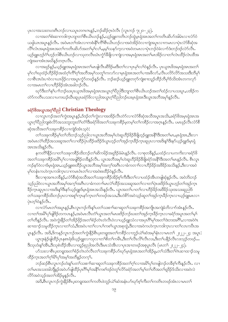ပုၤလၢအသးတဟးဂိၢတဉ်လၢယပူၤတဂၤဂၤနဉ်ႇဘဉ်ဆိဉ်ဂ္ၤဝဲလိၤ (လူၤကဉ် ၇း၂၀-၂၃).

လၫအတၫ်စံးဆ႑ကဒါက္႑ဘျာတၫိစီၤယိၤဟဉ်နဉ်ႇယ့ဉ်ၡူးကတိၤဘဉ်ထွဲမ့ၤရုံအၤအတ႑်ကတိၤဆိဟ်အါမံၤလၢလံာ်ဝံ ယၡါယၤအပူၤန္ဉာ်လီၤႉ အဝဲမၤတၫ်အံၤလၢကစံးနိ႖်ကိ႑်စီၤယိၤဟဉ်လၢအဝဲအိဉ်ဝဲလၢကျဲအပူၤလၢကမၤလၢပုဲၤလံာ်စီဆုံအ လိ်၊လံၤအမှၤရုံအၤအတ႑်ကတိၤဆိဟ်အတ႑်မှ႑်လ႑်ႇမ့မ့ှ်သန5်ကုလၢအဝဲတမၤလၢပုံၤဘဉ်ဝဲခဲလ႑ာ်ဒံးဘဉ်ဒဉ်လဲ5လိၤ. ယ့ဉ်ရူးဟုဉ်ဂံ<sup>ရ</sup>ဟုဉ်ဘါစီၤယိၤဟဉ်လၢသုတလီၤဃံၤကွံာ်ဒီဖျိလၢကျဲလၢအမှၤရုံအၤအတၢ်မၤအိဉ်လၢတၢ်လဲၤထိဉ်လဲၤထိအ ကြဲုအဖၫအံၤအဃိန္ဉာိတဂ္ဂၤလီၤ.

လၢအဖုဉ်နဉ်,ယှဉ်ရူးအမှၤရုံအၤအတၫ်မၤဖျဲလီၤဆီဒိဉ်မးဒီးတၫ်လၢပုၤမှၫ်လၢ်ဝဲနှဉ်လီၤ. ပုၤယူအဖိအမှၤရုံအၤအတ႑် မှၫ်လၢ်ဃုထံဉ်ဟိဉ်ခိဉ်အထံဂ့ၢ်ကိၢ်ဂ့ၢ်အဘိအမှၫ်သတူၫ်ကလာ်လၢမဲ့၊ ရုံအာအတၫ်ပၢအဖိလာ်,လိၤပလိဉ်လိဉ်အသးဒီးဘိမှ႑် လာစီၤဒၤဝံးပၢဝဲလၢယၤဖိုဉ်လၢအပူၤကၠံာ်တဖဉ်နဉ်လီၤႉ ဘဉ်ဆဉ်ယူဉ်ရူးတဂုာ်ကျဲးစၢးသူဉ်ထိဉ်ဘီမှ<sup>ု</sup>ဒ်သိးအံၤတကလုာ် လၫအမၤတ႑်လၢဟိဉ်ခိဉ်အံၤအခါဘဉ်လိၤႉ

ၰာ်ဒီးတၫ်နှၤ်ပၢၤ်ဘဉ်ဃးပုၤယူဒၤဗိအမှၤရုံအၤအယွၤဂ့ၢိပိညါဒီးဘျၤတၢ်စီၤယိၤဟဉ်အတၢ်ထံဉ်လၤပသးပူၤႇပအိဉ်က တဲာ်ကတိၤပသးလၢပကဃဉ်ဃိၤဆူပုၤခရံာ်ဖိလၢညါအယွၤဂ့ౕၢပိညါဘဉ်ဃးမှၤရုံအၤဒီးယွၤအဘိအမှၢ်နှဉ်လိၤႉ

# ခရံာ်ဖိအယွားအဂ္ဂ္ဒါစီညါ Christian Theology

လၫလူၤကဉ်အတ႑်ကွဲးအပူၤန္ဉဉ်ႇဒ်ဒဉ်တ႑်ကွဲးလ႑အအိဉ်လီၤတဲဉ်လ႑လံဉ်စီဆုံအသိအပူၤအသိႏႇရော်ဖိအမှၤရုံအၤအ ယွၤဂ့ါ၀ိညါဘျးစဲလိ်ာအသးဘူးဘူးတံါတံါဒိီးခရံဉ်ဖိအတၤ်သးခုကစိဉ်မ့တမ့ါတၤ်ကစိဉ်လၢအဂ္ဂၤနှဉ်လီၤ. ပမၤဖုဉ်လီၤလံဉ်စိ ဆုံအသိအတ႑်သးခုကစိဉ်လၢကျဲဒ်အံၤသ့ဝဲ:

တၫ်သးခုကစိဉ်မှၫတၫဘိးဘဉ်သုဉ်ညါလၫယ္ပၤအဘိအမှၫ်ဟဲဆူဟိဉ်နိဉ်နီဖျိဟ့ဉ်ရူးအနိုၤ်ဒီးအတ႑်မၤႇမ္ၤရုံအၤႇဒီးလ႑ အဝဲမာလဲ<sup>ရ</sup>ထိဉ်အသးဆူအတၫ်လၫထိဉ်ပှဲ၊ ထိဉ်ဖ<sup>ုံ့ဒြ</sup>ဉ်ဒ်ယွာဟ့ဉ်တၢ်အုဉ်က့၊ ခိဉ်က္၊ဆူပှၤလၢအဒိးန႑်ဒိးနဉ်ယှဉ်ရှူးဒ်မှၤရှံ အာအသိးနဉ်လီး.

နကတိ<sup>ု</sup>နိုဉ်လၢတ<sup>ု</sup>သးခုကစိဉ်ထိးဘဉ်တ<sup>ှ</sup>ဆိကမိဉ်အရှ<sup>ဌ</sup>ဉ်ခံမံၤနှဉ်လီၤႉ လၢစုတခ်ိန္ဉ်ႇပထံဉ်လၢပကကိုးလၢခရံှာ်<sup>8</sup> အတ႑်သးခုကစိဉ်အမိါပုါလၢအဖျိဒိဉ်တခ်ိန္ဉာလီၤ. ယွာအဘိအမှါဟဲဆူဟိဉ်ခိဉ်ခ်ီဖျိခရံာအနိ<sup>႖</sup>ဒိီးအတ<sup>ျ</sup>မာနှဉ်လီၤ. စီၤလူၤ ၮၣၲနၥၳ၀ဲလၫဒ်မ္ၤရုံအၤႇယ့ဉ်ရူူးစးထိဉ်ယွπအဘိအမှ<sup>ြ</sup>အက္ခ<sup>ရ</sup>အကြံလၫခံကတၫ်လၫဟိဉ်<sup>ဌ</sup>ဉ်အဖိခိဉ်အသိးနှဉ်ႇဒီးလၫအ၀ဲ မှ်တနံးကဟဲကူးကဒါကူးလၢကမၤဝံၤတၢ်လၢအဝဲစးထိဉ်ဝဲနဉ်လီး.

ဒီးလၢစုအဂၤတခ်ိန္ဉ်ႇလံာ်စိဆုံအသိအတ႑်သးခုကစိဉ်အိဉ်စ့ၤ်ကီးဒီးတ႑်လၢပထံဉ်အိၤတဖျါဆုံနှဉ်လိၤႉ အဝဲဘိးဘဉ် သူဉ်ညါဝဲလၢယ္ပၤအဘိအမှ်ျအက္ခါအဂ်ီၤလၢခံကတ႑ာမၤလဲဲြထိဉ်အသးဆူအတ႑်လၢတ႑်ပုံၤဖးဒိဉ်ဒ်ယွၤဟ့ဉ်တ႑်အှဉ်ကူၤ ခြိဉ်က္ ဆူပှာလ ၊အဒိးန1်ဒီးနာ်ယှဉ်ရှူးဒ်မှာရှံအာအသိးနဉ်လီၤ. ယွာအတ1်ပ ၊တ1်လ ၊ဟိဉ်ဒိဉ်အ<sup>8</sup>ခ်ည်းအသးဆူညါဒ် တၫ်သးခုကစိဉ်ထိးဘဉ်ပုၤလၢအစူၫ်က္ၤနှာ်က္ၤတၫ်တဖဉ်အသးႇဒီးဟဲစိာ်အဝဲသ့ဉ်ဆူတၫ်အှဉ်က္ၤခ်ိဉ်က္ၤလၢယ့ဉ်ရူူးမၤလၢ ပုံၤတ့ၢ်ဝဲနဉ်လီၤ.

လၢလံာ်မၤတၫ်အပူၤန္2်ႇစီၤလူၤကဉ်ကိႏန္ၤ်ပတ႑်သးစ႑်ာဆၤဆူတ႑်သးခုကစိဉ်အကျိုၤအကျဲခံဘိလ႑ာ်အံၤန္ဉာ်လီၤႉ လၢတၫ်အမိါပု၊်ဖျိဒိဉ်တကပၤန္**ဉ်**,အဝဲမၤလီၤတံ၊်ယွၤအတၢ်မၤဖးဒိဉ်ဘဉ်ဃးတၢ်အုဉ်က္ၤခိဉ်က္ၤလၢခရံာ်အပူၤအတၢ်မ့၊် တၫ်တိန္ဉာ်လိၤႉ အဝဲကွဲးနိုဉ်တၫ်အိဉ်ဖိုဉ်အတၫ်စံဉ်တဲၤတဲလိၤဝဲလၢယ္ဉာ်ရူးသံလၢအပုၤဂိၢမှၢ်အတၫ်ဒဲးဘးအဂိၢ်ႇလၢအဝဲဂဲၤ ဆၫထၫဉ်သမှုထိဉ်က္႑လၫတၫ်သံ,ဒီးအဝဲပ႑တ႑်လ႑ပ႑်ကစ႑်ယ္မွာအစုတ္တဲ့ ဒီးလ႑အဝဲကဟဲက္နာ ကဒါက္နာ လ႑တ႑်လၤကပြီးအ ပူးနှဉ်လီး. အဒိ,ဒိကနဉ်လူးကဉ်အတၫ်ကွဲးနိဉ်စီးပူးတရူးအတၫ်ကစိဉ်လၢဘူဉ်ယဲၫ်ဆံအမှၢ်နံးလၢမၤတ႑် ၂း၂၂–၂၄ အပူး ယွာဒုးနဲ့ဉ်ဖျါထိဉ်ပုံ၊ နစ်္စ၊ ရုံးဖိယ့ဉ်ရျုးလၫသုလၫတၫ်စိတ႑်ကမီး ,ဒီးတ႑်လီးလိၤလး ,ဒီးတ႑်ပနိဉ်လီၤလးသုဉ်တဖဉ်…

ဒီးသုဟီးနဂ်အိၤႇဒီးသုစဲထိဉ်အိၤလၫထူဉ်စုညါအလိၤဒီးမၤသံအိၤလၫပှၤအၫတဖဉ်အစုပူၤလီၤ (မၤတ႑် ၂း၂၂–၂၄).

္<br>ဟ်သးလၫစီၤပူးတရူးအတၫ်စံဉိတ်ၤတဲလီၤတၫ်သးခုကစိဉ်ဟ်ဃုာ်မှၤရုံအၤအတၫ်အိဉ်မူ တ႑်သံဒီးတ႑်ဂဲၤဆ႑ထ႑ာ်သမူ ထိဉ်ကူၤအတ<sup>႐</sup>ဂု<sup>18</sup>၂ပု1အမ္2အတိန္ဉာတက္န1်

ဘဉ်ဆဉ်စီၤလူၤကဉ်ဟံးနှ\်ပတN်သးစၫှ်ဆၢဆူတှ်သးခုကစိဉ်အတှ်ဂ့ှ်လၢအမိ်္ြုကဖျေဘဉ်တခ်ိစ့ှ်ကီးနှဉ်လီၤ. လၢ တၫိမၤအသးအါဘိုနှဉ်အဝဲဟ်ဖျါထိဉ်ပု၊ဂိၢိမှၢ်အနိ<sup>ု</sup>ကစၫ်ဒဉ်ဝဲတှၫ်လိဉ်ခရံှာ်အတၫ်မှု၊်တၢ်တိအတ႑်ရှုဒိဉ်ဒ်သိုးလၢအဝဲလဲ လိ5်အဝဲသူဉ်အတ႑်အိဉ်မှုနဉ်လီး.

အဒိ,စီၤလူၤကဉ်ကွဲးနိုဉ်စီၤပူးတရူးအတ႑်ကတိၤဖဲဘူဉ်ယဲ႑်ဆံအနံၤပာ်ဃှာ်စ့႑်ကိုးတ႑်ကတိၤတဖဉ်အံၤလၢမၤတ႑်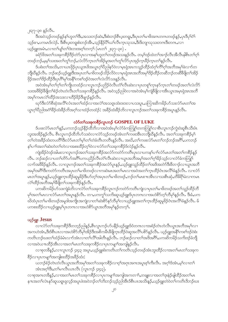၂း၃၇–၃၈ နဉ်လီၤ.

္က<br>ဒီးအဝဲသုဉ်တဖဉ်နဉ်န<sup>ှ</sup>ပျာတ<sup>ှ</sup>ဒြီး<sub>•</sub>အသးဘဉ်ဆဲး<sub>•</sub>ဒီးစံးဘဉ်စီၤပူးတရူး ဒီးပှၤတ<sup>ှ</sup>မၢဖိအဂၤတဂၤတဖဉ်နဉ်<sub>•</sub>ပှၤဒီပု<sup>ှ</sup>ဝဲှ သူဉ်ဧၢ,ပကမၤဒ်လဲဉ်. ဒီးစီၤပူးတရူးစံးဘဉ်အီၤ,သူဉ်နိုဉ်ပိါယၢ်လီၤက္ၤသုသး,ဒီးဒိးဘျာသုသးတဂၤဒီးတဂၤ,လ႑ ယ့ဉ်ရူးအမံၤႇလၢတၫ်ပျာ်တာ်ဒဲးဘးအဂ့ါ်တက့ါ (မၤတၤ် ၂း၃၇–၃၈).

ခရံာ်ဖိအတၤ်သးခုကစိဉ်ဒိဉ်တဲာ်ပုၤလၢအနၤ်ဟူတၤ်တဖဉ်အသးနှဉ်လီၤ. တမ့ါဒဉ်ထဲတၤ်အၢဉ်လီၤအီလီၤနါစိၤတၤ်ဂ့ၤ် တဖဉ်ဘဉ်,မမ့်ာသးအတၫ်တူၫ်ဘဉ်,လဲလိ5်က္ၤတၫ်အိဉ်မူအတၫ်တူၫ်လိ5်ပုၤအုဉ်က္ၤခ်ိဳဉ်က္ၤတၫ်န္ဉာ်လီၤ.

ဒ်ပစံးတၫ်အသိႏႇတၫယၤဖိုဉ်ပုၤယူဒၤဖိအယွၤဂ့ၫ်ပိညါန>်ဝဲလၢမှၤရုံအၤကသူဉ်ထိဉ်ထံဂ့ၫ်ကိ်ၫ်ဂွၢ်အဘိအမှၫ်ခဲလ႑ာ်တ ဘျီဃီနဉ်လီၤႉ ဘဉ်ဆဉ်ယူဉ်ရျူးဒီးအပုၤတၫ်မၢဖိတဖဉ်သိဉ်လိဝဲလၢမှၤရုံအၤအဘိအမှၢ်ဒိဉ်ထိဉ်တဆိဘဉ်တဆိီဒိဖျိတၫ်အိဉ် ဖိုဉ်အတ<sup>ု</sup>ဒိဉ်ထိဉ်ဒီးပုၤဂိၢမှၢ်အနိ<sup>ု</sup>ကစၢ်ဒဉ်ဝဲအတၢ်လဲလိ်ာသးနှဉ်လီၤ.

အဝဲအံၤမ့ါတ1်ဂ့ါတ1်ကျိုတထံဉ်လၢလူၤကဉ်ပညိဉ်ဝဲလီၤတံႝၤလီၤဆဲးလၢပုၤတစူါက္ၤနှာ်က္ၤတ1်တဖဉ်အတ1်လဲလိ?် သးအဖိ<sup>8</sup>ဉ်ခ်ိဖျိတၫ်စဉ်တဲၤတဲလီၤတၫ်သးခုကစိဉ်နဉ်လီၤႉ အဝဲသ့ဉ်ညါဝဲလၢအဝဲအံၤမ့ၫ်ကျဲခ်ိဖျိလၢအိၤယွၤအမ့ၤရုံအၤအဘိ အမှၫ်ကမၤလဲၤ်ထိဉ်အသးလၢဟိဉ်8ိဉ်ဒီဖျာဉ်နဉ်လီၤ.

ၰာ်ဒီးလံာ်စီဆုံအလိ်ၤလံၤအတၫ်ထံဉ်လၢအလဲၤ်အသရှၤထံး၀းလၤပသးပူၤႇပကြၤးဆိကမိဉ်ပာ်သးလံာ်မၤတၤ်အ ယွာဂ့<sup>ရ</sup>ဝိညါအငံ<sup>ရ</sup>ခိဉ်ထံးခိဉ်ဘိအဂ့<sup>ရ</sup>သၫထံဉ်တထံဉ် $\colon$  အခိဉ်ထံးခိဉ်ဘိလၫလူၤကဉ်အတ<sup>ရ</sup>သးခုကစိဉ်အပူၤန္ဉာလီၤ

## လံာ်တ<sup>ှ</sup>သးခုကစိဉ်လူးကဉ် GOSPEL OF LUKE

ဒ်ပဖးလံာ်မာတၫ်နဉ်,ပကဘဉ်သ့ဉ်နိဉ်ထိဘိလၢအဝဲအံာမ့ှ်လံာ်ခံကတြူ်တကတြူာ်လၢစီးလူာကဉ်ကွဲးဝဲဆူစီၤသီးဖံၤ လူးအအိဉ်နဉ်လီၤႉ စီၤလူၤကဉ်ထိဘိဟ်သးဝဲလၤလံာ်သူဉ်တဖဉ်အံၤတၤ်ကဖးအီၤတဘိုုဃီနဉ်လီၤႉ အတၤ်သးခုကစိဉ်မှၤ် တၫ်တဲအခဵဉ်ထံးတပတိႝ႞ဒီးလံာ်မၤတၢ်မ္႞တ႑်တဲခံတိၤတတိၤန္ဉာ်လီၤႉ အဃိႇတ႑်ကဖးလံာ်မၤတ႑်ဘဉ်ဘဉ်အဂိိၤ်ႇပကဘဉ် နှၤ်ပၢါအတၤ်ဆဲးတဲတၤ်တဲလၢအစးထိဉ်တဲ့ၤ်ဝဲလၤလံာ်တၤ်သးခုကစိဉ်ဒ်လဲဉ်နဉ်လီၤ.

ကျဲအိဉ်ဝဲဒဉ်အါမးလၫလူၤကဉ်အတ႑်သးခုကစိဉ်အလံာ်ကတဲာ်ကတိၤပုၤလ႑ပကန႑်ပ႑ါလံာ်မၤတ႑်အတ႑်ကစိဉ်နဉ် လီၤႉ ဘဉ်ဆဉ်လ ၊ပတၫ်တိ5်ယ်အင်္ဂိ\ပကပညိဉ်လီၤတံၫလီၤဆဲးလ ၊ယွၤအဘိအမုၢ်အတ႑်ဂ္ဂါခိဉ်သ့ဉ်လ ၊လံာ်ခံကတြူၫ လၫာ်အဖိခိဉ်နဉ်လီၤႉ လၫလူၤကဉ်အတ႑်သးခုကစိဉ်အလံာ်ပူၤန္ဉာ်ႇယ့ဉ်ရူးသူဉ်ထိဉ်တ႑်အဒိအတဲာ်ဒီးဖိတ႑ာ်လ႑ယွၤအဘိ အမှ1်အဂိ1်ဒီးကတဲဉ်ကတိၤအပုၤတ1်မၢဖိတဖဉ်လၢကဆဲးမၤအတ1်မၤလၢအ၀ဲအတ1်က္ၤထိဉ်ဝံၤအလိ1်ခံနဉ်လိၤႉ လၢလံဉ် မၤတၫ်အပူၤန္ဉ>်ႇယ္ဉ်ရူူးက္ၤထိဉ်ဆူမူခ်ိဉ်ဒီးဟ်တ့ၫ်အပုၤတၫ်မၢဖိတဖဉ်ႇဘဉ်တၫ်မၤစ႑ၤအီၤလၢသးစီၤဆုံႇတိ<sup>88</sup>ျမဲလၢကမၤ လဲြထိဉ်အဘိအမှS်ဖျိတ်သးခုကစိဉ်နဉ်လီၤ.

ပကဆိကမိဉ်ဟ်သးကျဲခံဘိလၤလံာ်တ႑်သးခုကစိဉ်လူၤကဉ်ကတဲာ်ကတိၤကျဲလၤပုၤတ႑်မၢဖိတဖဉ်အတ႑်သူဉ်ထိဉ်ဘိ မုîအတၢိမၤလၢလံာ်မၤတၢ်အပူၤန္ဉာ်လီၤႉ တ႑ႇပကကွၤ်သက်ိးဆူယ့ဉ်ၡူးဒ်ပှၤတဂၤလၢအဟဲစိာ်တ့ၢ်ဘိမုၢိန္ဉာ်လီၤ် ဒီးခံႇပက .<br>ဃိထံပုၤတၫ်မၫ<sup>8</sup>တဖဉ်အမူဒါအကျိုၤအကျဲလၫတၫ်ဆဲးစိ5်နှ5်ဘီမှၫ်လၤယ့ဉ်ရှူးအတၫ်ကူၤထိဉ်ဆူမှုခိဉ်ဝံၤအလိၫ်ခံနှဉ်လီၤ*.* မ် ပကစးထိဉ်လၢယ္ပဉ်ရူးမ့္ပ်ပုၤတဂၤလၢအဟဲစိဉ်ယူၤအဘိအမှ န္ ဉ်တက္္ပါ.

#### ယ့ဉ်ရူး  $$

လၢလံာ်တၫ်သးခုကစိဉ်ဒိတဘ့ဉ်ညါနဉ်,စီၤလူၤကဉ်ဟ်ပနိဉ်ယှဉ်ရှူးဒ်ဝံတဂၤလၢအစံဉ်တဲၤတဲလိၤယွၤအဘိအမှၫ်လၢ အကဟဲအံၤႇဒိီးဒ်စီၤပၤလၫအဟဲစိ႒်ဘိမှ ၊အိဉ်ဒီးအစိကမ်ိဳၤဒီဖျက္ၤထိဉ်ဝဲဆူအလိၤ်ပစိ႒်နဉ်လီၤ. ယှဉ်ရူးအနိၤ်ကစၤ်ဒဉ်ဝဲစံး ကတိၤဘဉ်ဃးတၫ်ထံဉ်ခံမံၤလၢာ်အံၤလၢတၫ်လိႝၤ်အါတီၤန္ဉာ်လီၤႉ ဘဉ်ဆဉ်လၢတၫ်အဒိအဂိႝၤ်ႇပကဆိကမိဉ်သကိးဒဉ်ခံဘျိ လၢအဝဲယπထိဉ်အီၤလၢအတ'်မၤတၫ်သးခုကစိဉ်လၢပုၤကမျၫ်အကျါနှဉ်လီၤ.

လၢစုတခ်ိန္5်,လၢလူးကဉ် ၄း၄၃ အပူး,ယှဉ်ရူးစီးကတိၤတၫ်ကတိၤသ့ဉ်တဖဉ်အံၤဘူးထိဉ်လၢအတ႑်မၤတ႑်သးခုက စိဉ်လၢပုၤကမျၫ်အကျါစးထိဉ်အခိဉ်ထံး:

ယဘဉ်စံဉ်တဲၤတဲလိၤယ္ပၤအဘိအမှၫ်အတ႑်သးခုကစိဉ်လၫဝ့ၫ်အဂုၤအဂၤအပူၤစ့ၫ်ကီးလိၤႉ အဝ့ၫ်ဒ်အံၤႇမ့ၫ်လ႑တ႑် အံၤအဂ္ဂါဒီး,တါမၢလီၤယၤလီၤ (လူၤကဉ် ၄း၄၃).

လၢစုအဂၤတခ်ိန္ဉာ်,လၢအတၫ်မၤတၫ်သးခုကစိဉ်လၢပုၤကမျၫၤ်အကျါအကတၫၢ်ႇတချူးလၢအတ႑်ဒုးနဲှဉ်ဖျါထိဉ်အတ႑်မၤ နπအတ<sup>ှ</sup>လဲ၊ နှာ်ဆူယရူ၊ ရုလ့ဉ်အပူ၊ ဖဲအဝဲဘဉ်တၫ်ဘိးဘဉ်သုဉ်ညါအီ၊ ဒ်စီ၊ ပၤအသိႏနဉ် ,ယ့ဉ်ရှူးတဲဝဲတၫ်ကတိၤဒိဘဉ်ဃး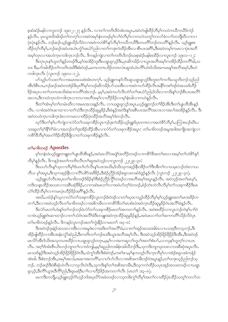စ့ဆံဆဲဉ်မနါလၫလူၤကဉ် ၁၉း၁၂–၂၇ နှဉ်လီၤ. လၫတ႑်ကတိၤဒိဝဲအံၤအပူၤ,အဝဲတဲဖျါထိဉ်ဘိမှၤ်ကဟဲကယီကယီဒ်လဲဉ် နှဉ်လီၤ. ပုၤယူဒၤဖိအါဒဉ်တၫ်တက့်ၫ်လၢအဝဲအမှၫ်နံၤတဖဉ်မှၫ်လ႑်တိမှၫ်လၤကဟဲသတူၫ်ကလာ်ခဲလ႑ာ်တဘိုုဃီလၤလၤ ပုံၤပုံၤန္ဉဴလီၤႉ ဘဉ်ဆဉ်ယ့ဉ်ရူူးသိဉ်လိဝဲလၢအဝဲကဟဲစိ႒်နှာ်ဘီမှၢ်ကယီကယီဒီးတပတိၲၢဘဉ်တပတိၢ်နှဉ်လီၤႉ ယ့ဉ်ရူူးစး အမှSတုၤလၢအဟဲကူးကဒါကူးဘဉ်လီး. ဒိကနဉ်ကျဲလၢတSကတိၤဒိဘဉ်ဃးစ့ဆဲဉ်မနါစးထိဉ်လၢလူးကဉ် ၁၉း၁၁–၁၂:

တး ဒီး,ဟ်အါထိဉ်တ ်ကတိၤအဒိဒီးစံးဝဲဒဉ်,မတၤတဂၤပဒိဉ်တဂၤလဲၤဆူထံယံၤကိြယ်ၤဒ်သိးအကမၤန္ ်အဘိအမှ ်,ဒီးဟဲ ကဒါက္နၤလီၤ (လူၤကဉ် ၁၉း၁၁–၁၂).

ဟ်သူဉ်ဟ်သးတ<sup>၎</sup>လၢအမၤအသးဖဲအံၤတက့ါ. ယ့ဉ်ရူးကနဉ်လီၤဆူယရူၤရုလ့ဉ်ဒီးဘူးတ<sup>ှ</sup>ကကိုးပသူဘိးဘဉ်သုဉ်ညှ အီၤဒ်စီၤပာ,ဘဉ်ဆဉ်အဝဲတအဲဉ်ဒိးပုၤဂိၢိမှၢ်တဖဉ်ဆိကမိဉ်ဟ်သးအီၤလၢအဝဲကဟ်ထိဉ်လီၤအနိုၤ်ကစၤ်ဒဉ်ဝဲအသးဒ်ဟိဉ် ခြဉ်အပုၤပၢတၫ်တဂၤအသိးဖဲဆၢကတိႝၤ်အားဘဉ်. မ့မ့္ပါ,အဝဲကဟ်လီၤတဲာ်တ႑်ဖးယံာ်ညါ,ဒ်သိးလၢကဒိးန္1ဘဉ်စီၤပၤအလိဲြ အလၤႇၖိဳးကဟဲက္ၤဟဲကဒါက္ၤလၫကပၫအဘိအမှSလၫဟိၣိခ်ိဉ်လၫမှS်နံၤခါလၫကဟဲန္ဉာလိၤႉ

ဒီးတၫ်အံၤမ့ၢ်တၫ်တမံၤဃိလၢအမၤအသးနဉ်လိၤႉ လၢယရူၤရုလ္ဉာ်အပူၤႇယ့ဉ်ရူူးဘဉ်တၫ်ဖိဉ်အိၤဒီးတၫ်ပျၤထိအိၤန္ဉာ် လီး လၢခံအဝဲဂဲ၊ဆၢထၢလၢတၫ်သံဒီးက္၊ထိဉ်ဆူမူခိဉ် ဒီးဖဲနဉ်အဝဲဒိးန႑်အစီၤပၤအလိၤ်အလၤလၢအပါအအိဉ်နဉ်လိၤ<sup>့ ဒြီး</sup> အဝဲတဟဲက္ၤကဒါက္ၤဒံးလၢကမၤလၢထိဉ်ပဲုၤထိဉ်အဘိအမှၤ်ဒံးဘဉ်လိၤႉ

ၰာ်ဒီးတၫ်နှၤ်ပၢၤ်ကျဲလၢလံာ်တ႑်သးခုကစိဉ်လူၤကဉ်ဒုးကဲထိဉ်ယ့ဉ်ရူးဒ်ပုၤတဂၤလၢအဟဲစိာ်ဘိမှၤ်ႇပကြၤးဃဉ်ဃီၤပ သးဆူတၫ်ဂု<sup>ရု</sup>နိ႑်ဂံ႑ိခံလၢအဘဉ်တ႑်ဒုးအိဉ်ထိဉ်အီၤလၢလံာ်တ႑်သးခုကစိဉ်အပူၤ တ႑်မၢဖိတဖဉ်အမူအဒါအကျို၊အကျဲလ႑ ကစိဉ်ိန္မွသွမ္မျခာတ္ပုဒ္မွဥထွဥစ္ခရိုလ္စ႑တ္ပါဘူးခုကစ္ခ်ဥ္ေလး

### တ<sup>ှ</sup>မၢဖိတဖ $\beta$  Apostles

မှာ်တန်းဖဲယ့ဉ်ရူးတချူးတာ်ပျာထိအီးနှဉ်,အဝဲမာလိာ်အပျိုအဘိဉ်တဖဉ်လၢကစိာ်ခီအတာ်မာလၢအမှာ်တာ်ဟဲစိာ်နှာ် ဘီမှၫ်နဉ်လီၤႉ ဒိကနဉ်အတ႑်ကတိၤလီၤတ႑်ဆူအဝဲသ့ဉ်လ႑လူၤကဉ် ၂၂ႏ၂၉–၃၀:

ဒီးယဟ်လီၤန္1်သုလၢဘိမှ1်ဒ်ယပ1်ဟ်လီၤန္1်ယၤအသိႏႇဒ်သိႏသုကဆ္ဉ်နိုၤအိဉ်တ1်ဒီးအိတ႑်လၢယမ္ၤလဉ်ထံးလၢယ ဘီယ မှၫ်အပူး နှီးသုကဆ့ဉ်နိုးလၫလိႝၤ်ပစိ႒်အဖိခိဉ် နိုးစံဉ်ညိႆဉ်အံဉ်စရူလးတဆံခံဒူဉ်နဉ်လိံၤ (လူးကဉ် ၂၂ႏ၂၉–၃၀).

ယ့ဉ်ရူးဟ်လီၤအပုၤတၫ်မၢဖိတဖဉ်§§ဉ်နှၤ်ဒီးစံဉ်ညီဉ်ကွိၤ်တဖဉ်လၢအဘိအမှၤ်အပူၤန္ဉာ်လီၤႉ အဝဲသ့ဉ်အတၤ်မၤမ့ၤ်ႇ ကဒိးသနၤထိဉ်အသးလၢသးစီၤဆုံဖိခိဉ်,လၢကဆဲးမၤတၫ်လၢအဝဲဟ်တ့ၫ်ဝဲတဖဉ်,စံဉ်တဲၤတဲလီၤဘိမှၢ်တၫ်သးခုကစိဉ်ဒီးမၤ လဲြထိဉ်ဘိမှ်လၫကမၤပှဲၤဟိဉ်နိဉ်အဂိါနဉ်လီၤ.

အဃိႇပထံဉ်နှ်သွလၢလံာ်တၫ်သးခုကစိဉ်လူၤကဉ်စံးဝဲဒဉ်လၢတၫ်ဃုထၢသူဉ်ထိဉ်ဘိမှ၊်မ့၊်ယှဉ်ရူးအတ႑်မၤအဒိဉ်က တၫ်ာ္ ဒီးလၢအဝဲဟ့ဉ်လီၤတၢ်မၢဖိတဖဉ်လၢအစိကမ်ိဳးလၢကစိ႒်ခ်ီတၫ်မၤအံၤဖဲအဝဲက္ၤထိဉ်ဆူမှုခ်ိဉ်ဝံၤအလိၢ်ခံနဉ်လီၤ

ဒီးလံာ်မာတၫ်ဟံးနှၤ်တ႑်ဘည်တဲ့ဝဲလံာ်တ႑်သးခုကစိဉ်မာတ႑်အကတ႑ါနှဉ်လီၤ. အဝဲစးထိဉ်လ႑လူာကဉ်တဲနှၤ်ပ႑ါဝဲ လၢဖဲယ့ဉ်ရူးဂဲၤဆၢထၢဉ်လၢတၫ်သံဝံၤအလိၢ်ခံဒီးတချုးအဝဲက္ၤထိဉ်ဆူမှုခ်ိဉ်နှဉ်,အဝဲမၤလၢာ်တၫ်ဆၢကတိၫ်သိဉ်လိဝဲပုၤ တၫ်မၢဖိတဖဉ်နဉ်လီၤ. ဒိကနဉ်လူၤကဉ်အတၫ်ကွဲးနိဉ်လၢမၤတ႑် ၁း၃–၈:

အိဉ်ဖျထိဉ်လၢအိၤအနံၤလွံၤ်ဆံညါ,ဒီးကတိၤတၤ်ဘဉ်ဃးဒီးယွၤအဘိအမှၤ်လိၤႉ ဒီးအဝဲသုဉ်အိဉ်ဖိုဉ်ရိဖိုဉ်ဒီးအိၤႇဒီးအဝဲဒဉ် မၤလိာ်အီၤဒ်သိးအသုတဟးထိဉ်လၢယရူ၊ရလူဉ်တဂူၤ,မမှ့်၊လၢအကဆူလၤ်ဟူပၤ်အတၤ်စံးဟ်,လၢသုန1်ဟူတဲ့ၤ်လၤယၤ လီး. အင်္ဂုဒ်အံၫစီၤယ်ၤဟဉ်ဘျာတ႑်လၤထံကျါ,မမူ့ နောညါတအါနံၤအါသီဘဉ်ဒီး,သုကဒိးဘျာသုးသးလၤသးစီဆုံအပူၤလီး. မၤသးဒ်န္ဉာ်ဒီးအဝဲသ္ဥ်အိဥ်ဖိုဥ်ရိဖိုဥ်ဝံၤဒိးႏသံကွၤ်အီၤဒိးစံးဝဲဒဉ်ႇကစၫ်ေးႇမ့ၢ်နကဟ္ဥ်လီၤက္ၤဘိမှၢ်လၢအံဥ်စရ္စလးခဲကနံဥ အံၤါေဒီးစံးဘဉ်အိၤႇအမှၫ်အလါႇအဆ႑အကတိိ႑ႇလ႑ပ႑်ပာ်လီၤလ႑အစိအကမိၤဒဉ်ဝဲအပူၤန္၄်ႇတ႑်တဒုးသူဉ်ညါဘဉ်သု ဘဉ်. ဘဉ်ဆဉ်ဒီးဖဲစီဆုံဟဲလီၤလၢသုလိၤဝံၤဒိး,သုကဒိးနှၤ်တၤ်အစိအကမိၤႇဒိးသုကကဲထိဉ်ယပုၤအုဉ်အသးတဖဉ်လၢယရူၤ ရလ္နာ်, ဒီးကိ်ိဳယူအဒီကိ်ိညါ, ဒီးရှာမရံဒီးပၢါလၢဟိဉ်ိခ်ဉ်အကတၢါလီၤ (မာတ ် ၁း၃–၈).

မၤကဒီးတဘိုု့ ယ့ဉ်ရူးဟ့ဉ်ဂံ<sup>ု</sup>ဟ့ဉ်ဘါအပုၤပိာ်အခံတဖဉ်လၢသုတ<sup>္</sup>းက်သိမှ်ာအတၤ်လၢထိဉ်ပုဲၤထိဉ်သတူၤ်ကလာ်တ